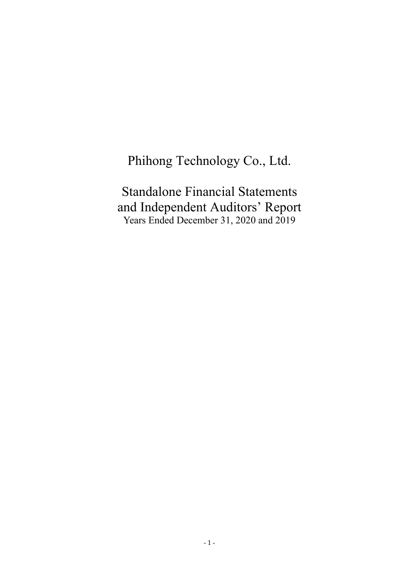# Phihong Technology Co., Ltd.

Standalone Financial Statements and Independent Auditors' Report Years Ended December 31, 2020 and 2019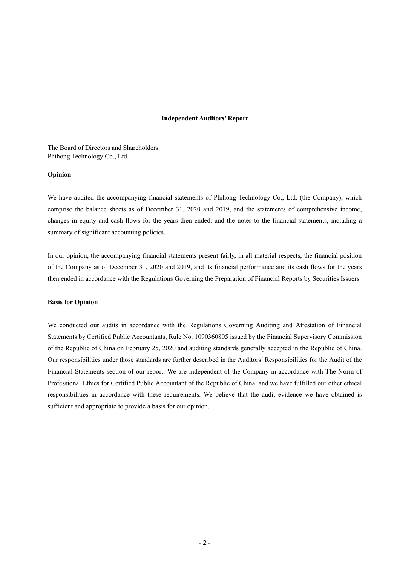#### **Independent Auditors' Report**

The Board of Directors and Shareholders Phihong Technology Co., Ltd.

#### **Opinion**

We have audited the accompanying financial statements of Phihong Technology Co., Ltd. (the Company), which comprise the balance sheets as of December 31, 2020 and 2019, and the statements of comprehensive income, changes in equity and cash flows for the years then ended, and the notes to the financial statements, including a summary of significant accounting policies.

In our opinion, the accompanying financial statements present fairly, in all material respects, the financial position of the Company as of December 31, 2020 and 2019, and its financial performance and its cash flows for the years then ended in accordance with the Regulations Governing the Preparation of Financial Reports by Securities Issuers.

#### **Basis for Opinion**

We conducted our audits in accordance with the Regulations Governing Auditing and Attestation of Financial Statements by Certified Public Accountants, Rule No. 1090360805 issued by the Financial Supervisory Commission of the Republic of China on February 25, 2020 and auditing standards generally accepted in the Republic of China. Our responsibilities under those standards are further described in the Auditors' Responsibilities for the Audit of the Financial Statements section of our report. We are independent of the Company in accordance with The Norm of Professional Ethics for Certified Public Accountant of the Republic of China, and we have fulfilled our other ethical responsibilities in accordance with these requirements. We believe that the audit evidence we have obtained is sufficient and appropriate to provide a basis for our opinion.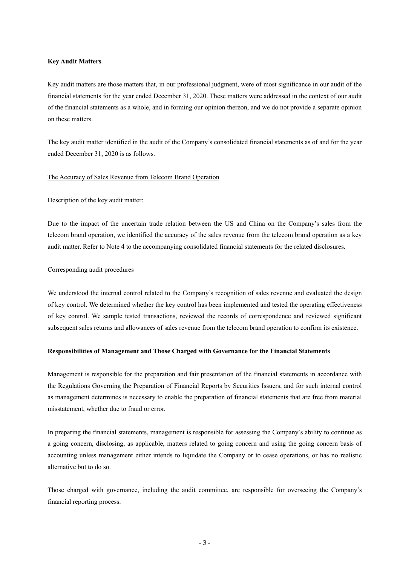#### **Key Audit Matters**

Key audit matters are those matters that, in our professional judgment, were of most significance in our audit of the financial statements for the year ended December 31, 2020. These matters were addressed in the context of our audit of the financial statements as a whole, and in forming our opinion thereon, and we do not provide a separate opinion on these matters.

The key audit matter identified in the audit of the Company's consolidated financial statements as of and for the year ended December 31, 2020 is as follows.

#### The Accuracy of Sales Revenue from Telecom Brand Operation

Description of the key audit matter:

Due to the impact of the uncertain trade relation between the US and China on the Company's sales from the telecom brand operation, we identified the accuracy of the sales revenue from the telecom brand operation as a key audit matter. Refer to Note 4 to the accompanying consolidated financial statements for the related disclosures.

#### Corresponding audit procedures

We understood the internal control related to the Company's recognition of sales revenue and evaluated the design of key control. We determined whether the key control has been implemented and tested the operating effectiveness of key control. We sample tested transactions, reviewed the records of correspondence and reviewed significant subsequent sales returns and allowances of sales revenue from the telecom brand operation to confirm its existence.

#### **Responsibilities of Management and Those Charged with Governance for the Financial Statements**

Management is responsible for the preparation and fair presentation of the financial statements in accordance with the Regulations Governing the Preparation of Financial Reports by Securities Issuers, and for such internal control as management determines is necessary to enable the preparation of financial statements that are free from material misstatement, whether due to fraud or error.

In preparing the financial statements, management is responsible for assessing the Company's ability to continue as a going concern, disclosing, as applicable, matters related to going concern and using the going concern basis of accounting unless management either intends to liquidate the Company or to cease operations, or has no realistic alternative but to do so.

Those charged with governance, including the audit committee, are responsible for overseeing the Company's financial reporting process.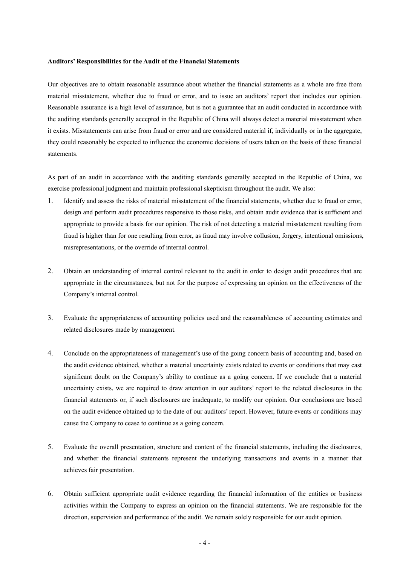#### **Auditors' Responsibilities for the Audit of the Financial Statements**

Our objectives are to obtain reasonable assurance about whether the financial statements as a whole are free from material misstatement, whether due to fraud or error, and to issue an auditors' report that includes our opinion. Reasonable assurance is a high level of assurance, but is not a guarantee that an audit conducted in accordance with the auditing standards generally accepted in the Republic of China will always detect a material misstatement when it exists. Misstatements can arise from fraud or error and are considered material if, individually or in the aggregate, they could reasonably be expected to influence the economic decisions of users taken on the basis of these financial statements.

As part of an audit in accordance with the auditing standards generally accepted in the Republic of China, we exercise professional judgment and maintain professional skepticism throughout the audit. We also:

- 1. Identify and assess the risks of material misstatement of the financial statements, whether due to fraud or error, design and perform audit procedures responsive to those risks, and obtain audit evidence that is sufficient and appropriate to provide a basis for our opinion. The risk of not detecting a material misstatement resulting from fraud is higher than for one resulting from error, as fraud may involve collusion, forgery, intentional omissions, misrepresentations, or the override of internal control.
- 2. Obtain an understanding of internal control relevant to the audit in order to design audit procedures that are appropriate in the circumstances, but not for the purpose of expressing an opinion on the effectiveness of the Company's internal control.
- 3. Evaluate the appropriateness of accounting policies used and the reasonableness of accounting estimates and related disclosures made by management.
- 4. Conclude on the appropriateness of management's use of the going concern basis of accounting and, based on the audit evidence obtained, whether a material uncertainty exists related to events or conditions that may cast significant doubt on the Company's ability to continue as a going concern. If we conclude that a material uncertainty exists, we are required to draw attention in our auditors' report to the related disclosures in the financial statements or, if such disclosures are inadequate, to modify our opinion. Our conclusions are based on the audit evidence obtained up to the date of our auditors' report. However, future events or conditions may cause the Company to cease to continue as a going concern.
- 5. Evaluate the overall presentation, structure and content of the financial statements, including the disclosures, and whether the financial statements represent the underlying transactions and events in a manner that achieves fair presentation.
- 6. Obtain sufficient appropriate audit evidence regarding the financial information of the entities or business activities within the Company to express an opinion on the financial statements. We are responsible for the direction, supervision and performance of the audit. We remain solely responsible for our audit opinion.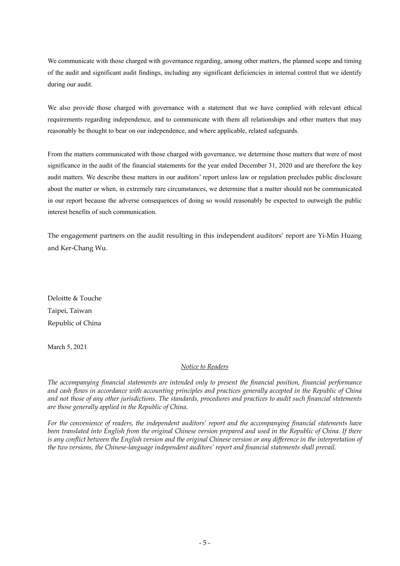We communicate with those charged with governance regarding, among other matters, the planned scope and timing of the audit and significant audit findings, including any significant deficiencies in internal control that we identify during our audit.

We also provide those charged with governance with a statement that we have complied with relevant ethical requirements regarding independence, and to communicate with them all relationships and other matters that may reasonably be thought to bear on our independence, and where applicable, related safeguards.

From the matters communicated with those charged with governance, we determine those matters that were of most significance in the audit of the financial statements for the year ended December 31, 2020 and are therefore the key audit matters. We describe these matters in our auditors' report unless law or regulation precludes public disclosure about the matter or when, in extremely rare circumstances, we determine that a matter should not be communicated in our report because the adverse consequences of doing so would reasonably be expected to outweigh the public interest benefits of such communication.

The engagement partners on the audit resulting in this independent auditors' report are Yi-Min Huang and Ker-Chang Wu.

Deloitte & Touche Taipei, Taiwan Republic of China

March 5, 2021

# *Notice to Readers*

*The accompanying financial statements are intended only to present the financial position, financial performance and cash flows in accordance with accounting principles and practices generally accepted in the Republic of China and not those of any other jurisdictions. The standards, procedures and practices to audit such financial statements are those generally applied in the Republic of China.* 

*For the convenience of readers, the independent auditors' report and the accompanying financial statements have been translated into English from the original Chinese version prepared and used in the Republic of China. If there*  is any conflict between the English version and the original Chinese version or any difference in the interpretation of *the two versions, the Chinese-language independent auditors' report and financial statements shall prevail.*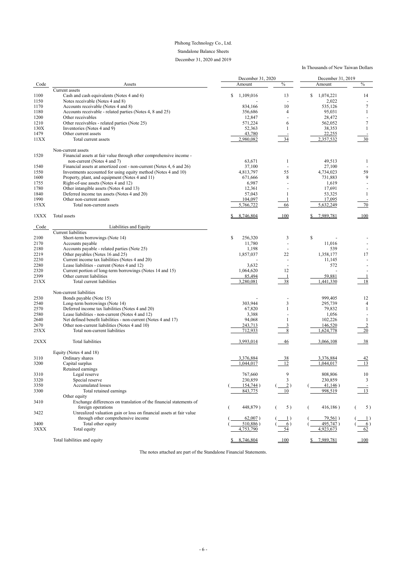# Phihong Technology Co., Ltd. Standalone Balance Sheets

# December 31, 2020 and 2019

# In Thousands of New Taiwan Dollars

|      |                                                                      | December 31, 2020 |                 | December 31, 2019 |               |
|------|----------------------------------------------------------------------|-------------------|-----------------|-------------------|---------------|
| Code | Assets                                                               | Amount            | $\frac{0}{0}$   | Amount            | $\frac{0}{0}$ |
|      | Current assets                                                       |                   |                 |                   |               |
| 1100 | Cash and cash equivalents (Notes 4 and 6)                            | \$<br>1,109,016   | 13              | \$<br>1,074,221   | 14            |
| 1150 | Notes receivable (Notes 4 and 8)                                     |                   |                 | 2,022             |               |
| 1170 | Accounts receivable (Notes 4 and 8)                                  | 834,166           | 10              | 535,126           | 7             |
| 1180 | Accounts receivable - related parties (Notes 4, 8 and 25)            | 356,686           | 4               | 95,031            |               |
| 1200 | Other receivables                                                    | 12,847            |                 | 28,472            |               |
| 1210 | Other receivables - related parties (Note 25)                        | 571,224           | 6               | 562,052           | 7             |
| 130X |                                                                      |                   |                 |                   |               |
|      | Inventories (Notes 4 and 9)                                          | 52,363            |                 | 38,353            |               |
| 1479 | Other current assets                                                 | 43,780            |                 | 22,255            |               |
| 11XX | Total current assets                                                 | 2,980,082         | 34              | 2,357,532         | 30            |
|      | Non-current assets                                                   |                   |                 |                   |               |
| 1520 | Financial assets at fair value through other comprehensive income-   |                   |                 |                   |               |
|      | non-current (Notes 4 and 7)                                          | 63,671            |                 | 49,513            |               |
| 1540 | Financial assets at amortized cost - non-current (Notes 4, 6 and 26) | 37,100            |                 | 27,100            |               |
|      |                                                                      |                   | 55              |                   |               |
| 1550 | Investments accounted for using equity method (Notes 4 and 10)       | 4,813,797         |                 | 4,734,023         | 59            |
| 1600 | Property, plant, and equipment (Notes 4 and 11)                      | 671,666           | 8               | 731,883           | 9             |
| 1755 | Right-of-use assets (Notes 4 and 12)                                 | 6,987             |                 | 1,619             |               |
| 1780 | Other intangible assets (Notes 4 and 13)                             | 12,361            |                 | 17,691            |               |
| 1840 | Deferred income tax assets (Notes 4 and 20)                          | 57,043            |                 | 53,325            |               |
| 1990 | Other non-current assets                                             | 104,097           |                 | 17,095            |               |
| 15XX | Total non-current assets                                             | 5,766,722         | 66              | 5,632,249         | 70            |
| 1XXX | Total assets                                                         | 8,746,804         | 100             | 7,989,781         | 100           |
|      |                                                                      |                   |                 |                   |               |
| Code | Liabilities and Equity                                               |                   |                 |                   |               |
|      | <b>Current liabilities</b>                                           |                   |                 |                   |               |
| 2100 | Short-term borrowings (Note 14)                                      | \$<br>256,320     | 3               | $\mathsf{\$}$     |               |
| 2170 | Accounts payable                                                     | 11,780            |                 | 11,016            |               |
| 2180 | Accounts payable - related parties (Note 25)                         | 1,198             |                 | 539               |               |
| 2219 | Other payables (Notes 16 and 25)                                     | 1,857,037         | 22              | 1,358,177         | 17            |
|      |                                                                      |                   |                 |                   |               |
| 2230 | Current income tax liabilities (Notes 4 and 20)                      |                   |                 | 11,145            |               |
| 2280 | Lease liabilities - current (Notes 4 and 12)                         | 3,632             |                 | 572               |               |
| 2320 | Current portion of long-term borrowings (Notes 14 and 15)            | 1,064,620         | 12              |                   |               |
| 2399 | Other current liabilities                                            | 85,494            |                 | 59,881            |               |
| 21XX | Total current liabilities                                            | 3,280,081         | 38              | ,441,330          | 18            |
|      | Non-current liabilities                                              |                   |                 |                   |               |
|      |                                                                      |                   |                 |                   |               |
| 2530 | Bonds payable (Note 15)                                              |                   |                 | 999,405           | 12            |
| 2540 | Long-term borrowings (Note 14)                                       | 303,944           | 3               | 295,739           | 4             |
| 2570 | Deferred income tax liabilities (Notes 4 and 20)                     | 67,820            |                 | 79,832            |               |
| 2580 | Lease liabilities - non-current (Notes 4 and 12)                     | 3,388             |                 | 1,056             |               |
| 2640 | Net defined benefit liabilities - non-current (Notes 4 and 17)       | 94,068            |                 | 102,226           |               |
| 2670 | Other non-current liabilities (Notes 4 and 10)                       | 243,713           |                 | 146,520           |               |
| 25XX | Total non-current liabilities                                        | 712,933           | $\,8\,$         | 1,624,778         | 20            |
| 2XXX | Total liabilities                                                    | 3,993,014         | $\frac{46}{5}$  | 3,066,108         | $-38$         |
|      |                                                                      |                   |                 |                   |               |
|      | Equity (Notes 4 and 18)                                              |                   |                 |                   |               |
| 3110 | Ordinary shares                                                      | 3,376,884         |                 | 3,376,884         |               |
| 3200 | Capital surplus                                                      | 1,044,017         | $\frac{38}{12}$ | 1,044,017         | 13            |
|      | Retained earnings                                                    |                   |                 |                   |               |
| 3310 | Legal reserve                                                        | 767,660           | 9               | 808,806           | 10            |
| 3320 | Special reserve                                                      | 230,859           | $\overline{3}$  | 230,859           | 3             |
|      | Accumulated losses                                                   |                   |                 |                   |               |
| 3350 |                                                                      | 154,744)          | $\overline{2})$ | 41,146)           |               |
| 3300 | Total retained earnings                                              | 843,775           | 10              | 998,519           | 13            |
|      | Other equity                                                         |                   |                 |                   |               |
| 3410 | Exchange differences on translation of the financial statements of   |                   |                 |                   |               |
|      | foreign operations                                                   | 448,879)          | 5)              | 416,186)          | 5)            |
| 3422 | Unrealized valuation gain or loss on financial assets at fair value  |                   |                 |                   |               |
|      | through other comprehensive income                                   | $62,007$ )        |                 | 79,561)           |               |
| 3400 | Total other equity                                                   | $510,886$ )       | 6)              | 495,747)          | 6)            |

| $2\sqrt{2}$<br>эллл | Total equity                 | 790         |      | $\sim$<br>$\sqrt{2}$ | 62  |
|---------------------|------------------------------|-------------|------|----------------------|-----|
|                     | Total liabilities and equity | -804<br>746 | ' OC | 7989<br>70           | 100 |

The notes attached are part of the Standalone Financial Statements.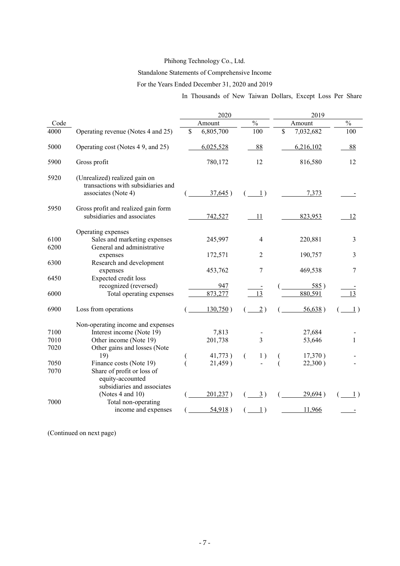# Phihong Technology Co., Ltd.

# Standalone Statements of Comprehensive Income

# For the Years Ended December 31, 2020 and 2019

In Thousands of New Taiwan Dollars, Except Loss Per Share

|              |                                                                                            | 2020            |                | 2019            |                          |
|--------------|--------------------------------------------------------------------------------------------|-----------------|----------------|-----------------|--------------------------|
| Code         |                                                                                            | Amount          | $\frac{0}{0}$  | Amount          | $\overline{\frac{0}{0}}$ |
| 4000         | Operating revenue (Notes 4 and 25)                                                         | \$<br>6,805,700 | 100            | \$<br>7,032,682 | 100                      |
| 5000         | Operating cost (Notes 49, and 25)                                                          | 6,025,528       | 88             | 6,216,102       | 88                       |
| 5900         | Gross profit                                                                               | 780,172         | 12             | 816,580         | 12                       |
| 5920         | (Unrealized) realized gain on<br>transactions with subsidiaries and<br>associates (Note 4) | $37,645$ )      | $\perp$ )      | 7,373           |                          |
| 5950         | Gross profit and realized gain form<br>subsidiaries and associates                         | 742,527         | 11             | 823,953         | 12                       |
| 6100<br>6200 | Operating expenses<br>Sales and marketing expenses<br>General and administrative           | 245,997         | $\overline{4}$ | 220,881         | 3                        |
|              | expenses                                                                                   | 172,571         | 2              | 190,757         | 3                        |
| 6300         | Research and development<br>expenses                                                       | 453,762         | 7              | 469,538         | 7                        |
| 6450         | Expected credit loss<br>recognized (reversed)                                              | 947             |                | 585)            |                          |
| 6000         | Total operating expenses                                                                   | 873.277         | 13             | 880,591         |                          |
| 6900         | Loss from operations                                                                       | 130,750)        | 2)             | 56,638)         | 1)                       |
|              | Non-operating income and expenses                                                          |                 |                |                 |                          |
| 7100         | Interest income (Note 19)                                                                  | 7,813           |                | 27,684          |                          |
| 7010         | Other income (Note 19)                                                                     | 201,738         | $\overline{3}$ | 53,646          | 1                        |
| 7020         | Other gains and losses (Note                                                               |                 |                |                 |                          |
|              | 19)                                                                                        | 41,773)         | 1)             | 17,370)         |                          |
| 7050         | Finance costs (Note 19)                                                                    | 21,459)         |                | 22,300)         |                          |
| 7070         | Share of profit or loss of<br>equity-accounted<br>subsidiaries and associates              |                 |                |                 |                          |
|              | (Notes 4 and 10)                                                                           | 201,237)        | $\frac{3}{2}$  | 29,694)         | 1)                       |
| 7000         | Total non-operating                                                                        |                 |                |                 |                          |
|              | income and expenses                                                                        | 54,918)         | 1)             | 11,966          |                          |

(Continued on next page)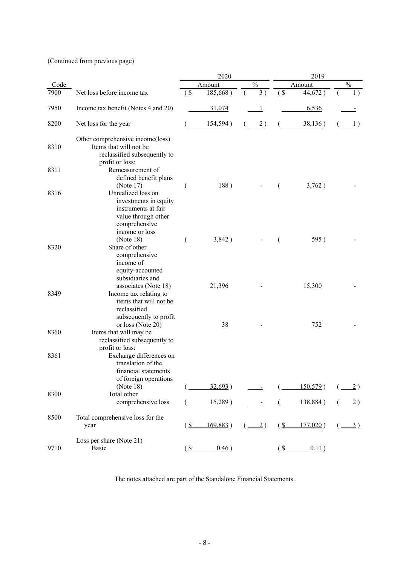(Continued from previous page)

|      |                                                                                                                              |               | 2020       |                                                       |                           | 2019        |                                           |
|------|------------------------------------------------------------------------------------------------------------------------------|---------------|------------|-------------------------------------------------------|---------------------------|-------------|-------------------------------------------|
| Code |                                                                                                                              |               | Amount     | $\%$                                                  |                           | Amount      | $\frac{0}{0}$                             |
| 7900 | Net loss before income tax                                                                                                   | (             | 185,668)   | 3)                                                    | $\left( \text{S} \right)$ | 44,672)     | 1)                                        |
| 7950 | Income tax benefit (Notes 4 and 20)                                                                                          |               | 31,074     |                                                       |                           | 6,536       |                                           |
| 8200 | Net loss for the year                                                                                                        |               | 154,594)   | $\overline{2})$                                       |                           | 38,136)     | $\perp$                                   |
| 8310 | Other comprehensive income(loss)<br>Items that will not be<br>reclassified subsequently to<br>profit or loss:                |               |            |                                                       |                           |             |                                           |
| 8311 | Remeasurement of<br>defined benefit plans<br>(Note 17)                                                                       |               | 188)       |                                                       | €                         | 3,762)      |                                           |
| 8316 | Unrealized loss on<br>investments in equity<br>instruments at fair<br>value through other<br>comprehensive<br>income or loss |               |            |                                                       |                           |             |                                           |
| 8320 | (Note 18)<br>Share of other<br>comprehensive<br>income of<br>equity-accounted                                                | €             | 3,842)     |                                                       |                           | 595)        |                                           |
| 8349 | subsidiaries and<br>associates (Note 18)<br>Income tax relating to<br>items that will not be<br>reclassified                 |               | 21,396     |                                                       |                           | 15,300      |                                           |
| 8360 | subsequently to profit<br>or loss (Note 20)<br>Items that will may be<br>reclassified subsequently to                        |               | 38         |                                                       |                           | 752         |                                           |
| 8361 | profit or loss:<br>Exchange differences on<br>translation of the<br>financial statements<br>of foreign operations            |               |            |                                                       |                           |             |                                           |
|      | (Note 18)                                                                                                                    |               | 32,693)    |                                                       |                           | $150,579$ ) | $(\underline{\underline{\hspace{1cm}}}2)$ |
| 8300 | Total other<br>comprehensive loss                                                                                            |               | $15,289$ ) |                                                       |                           | 138,884)    | 2)                                        |
| 8500 | Total comprehensive loss for the<br>year                                                                                     | $(S_{-})$     | 169,883)   | $\left( \underline{\underline{\hspace{1cm}}}2\right)$ | (S                        | $177,020$ ) | $(\underline{\underline{\hspace{1cm}}3})$ |
| 9710 | Loss per share (Note 21)<br><b>Basic</b>                                                                                     | $\frac{\S}{}$ | 0.46)      |                                                       | $\frac{S}{2}$             | 0.11)       |                                           |

The notes attached are part of the Standalone Financial Statements.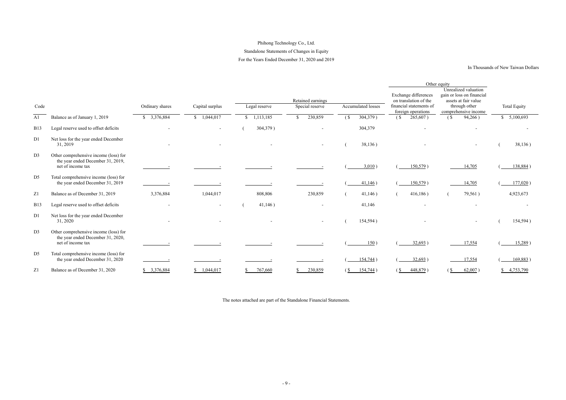# Phihong Technology Co., Ltd. Standalone Statements of Changes in Equity For the Years Ended December 31, 2020 and 2019

#### In Thousands of New Taiwan Dollars

|                |                                                                                                 |                           |                      |                    |                                      |                        |                                                                          | Other equity                                                                               |                        |
|----------------|-------------------------------------------------------------------------------------------------|---------------------------|----------------------|--------------------|--------------------------------------|------------------------|--------------------------------------------------------------------------|--------------------------------------------------------------------------------------------|------------------------|
| Code           |                                                                                                 | Ordinary shares           | Capital surplus      | Legal reserve      | Retained earnings<br>Special reserve | Accumulated losses     | Exchange differences<br>on translation of the<br>financial statements of | Unrealized valuation<br>gain or loss on financial<br>assets at fair value<br>through other | <b>Total Equity</b>    |
|                |                                                                                                 |                           |                      |                    |                                      |                        | foreign operations                                                       | comprehensive income                                                                       |                        |
| A1             | Balance as of January 1, 2019                                                                   | 3,376,884<br><sup>S</sup> | $\sqrt{9}$ 1,044,017 | $\sqrt{1,113,185}$ | 230,859<br>\$                        | $\sqrt{S}$<br>304,379) | 265,607)<br>(S <sub>1</sub> )                                            | 94,266)<br>(S                                                                              | $\overline{5,100,693}$ |
| <b>B13</b>     | Legal reserve used to offset deficits                                                           |                           |                      | 304,379)           |                                      | 304,379                |                                                                          |                                                                                            |                        |
| D1             | Net loss for the year ended December<br>31, 2019                                                |                           |                      |                    |                                      | 38,136)                |                                                                          |                                                                                            | 38,136)                |
| D <sub>3</sub> | Other comprehensive income (loss) for<br>the year ended December 31, 2019,<br>net of income tax |                           |                      |                    |                                      | $3,010$ )              | $150,579$ )                                                              | 14,705                                                                                     | 138,884)               |
| D <sub>5</sub> | Total comprehensive income (loss) for<br>the year ended December 31, 2019                       |                           |                      |                    |                                      | 41,146)                | 150,579)                                                                 | 14,705                                                                                     | $177,020$ )            |
| Z1             | Balance as of December 31, 2019                                                                 | 3,376,884                 | 1,044,017            | 808,806            | 230,859                              | 41,146)                | 416,186)                                                                 | 79,561)                                                                                    | 4,923,673              |
| <b>B13</b>     | Legal reserve used to offset deficits                                                           |                           |                      | 41,146)            |                                      | 41,146                 |                                                                          |                                                                                            |                        |
| D1             | Net loss for the year ended December<br>31, 2020                                                |                           |                      |                    |                                      | 154,594)               |                                                                          |                                                                                            | 154,594)               |
| D <sub>3</sub> | Other comprehensive income (loss) for<br>the year ended December 31, 2020,<br>net of income tax |                           |                      |                    |                                      | 150)                   | $32,693$ )                                                               | 17,554                                                                                     | $15,289$ )             |
| D <sub>5</sub> | Total comprehensive income (loss) for<br>the year ended December 31, 2020                       |                           |                      |                    |                                      | $154,744$ )            | $32,693$ )                                                               | 17,554                                                                                     | 169,883)               |
| Z1             | Balance as of December 31, 2020                                                                 | \$3,376,884               | \$1,044,017          | 767,660            | 230,859                              | (S<br>$154,744$ )      | 448,879)<br>$(S_{-}$                                                     | $62,007$ )<br><u>(S</u>                                                                    | \$4,753,790            |

The notes attached are part of the Standalone Financial Statements.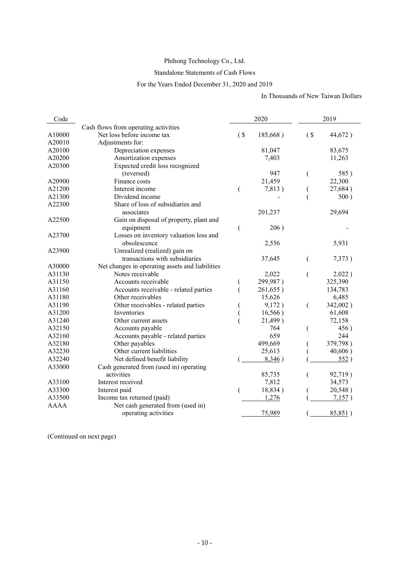# Phihong Technology Co., Ltd.

# Standalone Statements of Cash Flows

## For the Years Ended December 31, 2020 and 2019

In Thousands of New Taiwan Dollars

| Code        |                                                 |        | 2020     |                           | 2019     |
|-------------|-------------------------------------------------|--------|----------|---------------------------|----------|
|             | Cash flows from operating activities            |        |          |                           |          |
| A10000      | Net loss before income tax                      | $($ \$ | 185,668) | $\left( \text{S} \right)$ | 44,672)  |
| A20010      | Adjustments for:                                |        |          |                           |          |
| A20100      | Depreciation expenses                           |        | 81,047   |                           | 83,675   |
| A20200      | Amortization expenses                           |        | 7,403    |                           | 11,263   |
| A20300      | Expected credit loss recognized                 |        |          |                           |          |
|             | (reversed)                                      |        | 947      | $\overline{(}$            | 585)     |
| A20900      | Finance costs                                   |        | 21,459   |                           | 22,300   |
| A21200      | Interest income                                 | (      | 7,813)   |                           | 27,684)  |
| A21300      | Dividend income                                 |        |          |                           | 500)     |
| A22300      | Share of loss of subsidiaries and               |        |          |                           |          |
|             | associates                                      |        | 201,237  |                           | 29,694   |
| A22500      | Gain on disposal of property, plant and         |        |          |                           |          |
|             | equipment                                       |        | 206)     |                           |          |
| A23700      | Losses on inventory valuation loss and          |        |          |                           |          |
|             | obsolescence                                    |        | 2,556    |                           | 5,931    |
| A23900      | Unrealized (realized) gain on                   |        |          |                           |          |
|             | transactions with subsidiaries                  |        | 37,645   | $\overline{(}$            | 7,373)   |
| A30000      | Net changes in operating assets and liabilities |        |          |                           |          |
| A31130      | Notes receivable                                |        | 2,022    | (                         | 2,022)   |
| A31150      | Accounts receivable                             |        | 299,987) |                           | 325,390  |
| A31160      | Accounts receivable - related parties           |        | 261,655) |                           | 134,783  |
| A31180      | Other receivables                               |        | 15,626   |                           | 6,485    |
| A31190      | Other receivables - related parties             |        | 9,172)   | $\overline{(}$            | 342,002) |
| A31200      | Inventories                                     |        | 16,566)  |                           | 61,608   |
| A31240      | Other current assets                            |        | 21,499)  |                           | 72,158   |
| A32150      | Accounts payable                                |        | 764      |                           | 456)     |
| A32160      | Accounts payable - related parties              |        | 659      |                           | 244      |
| A32180      | Other payables                                  |        | 499,669  |                           | 379,798) |
| A32230      | Other current liabilities                       |        | 25,613   |                           | 40,606)  |
| A32240      | Net defined benefit liability                   |        | 8,346)   |                           | 552)     |
| A33000      | Cash generated from (used in) operating         |        |          |                           |          |
|             | activities                                      |        | 85,735   |                           | 92,719)  |
| A33100      | Interest received                               |        | 7,812    |                           | 34,573   |
| A33300      | Interest paid                                   |        | 18,834)  |                           | 20,548)  |
| A33500      | Income tax returned (paid)                      |        | 1,276    |                           | 7,157)   |
| <b>AAAA</b> | Net cash generated from (used in)               |        |          |                           |          |
|             | operating activities                            |        | 75,989   |                           | 85,851)  |

(Continued on next page)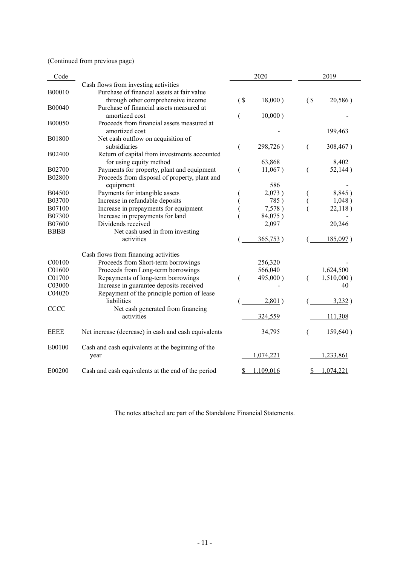# (Continued from previous page)

| Code          |                                                      |        | 2020      |     | 2019          |
|---------------|------------------------------------------------------|--------|-----------|-----|---------------|
|               | Cash flows from investing activities                 |        |           |     |               |
| B00010        | Purchase of financial assets at fair value           |        |           |     |               |
|               | through other comprehensive income                   | $($ \$ | 18,000)   | (S) | 20,586)       |
| B00040        | Purchase of financial assets measured at             |        |           |     |               |
|               | amortized cost                                       |        | 10,000)   |     |               |
| <b>B00050</b> | Proceeds from financial assets measured at           |        |           |     |               |
|               | amortized cost                                       |        |           |     | 199,463       |
| <b>B01800</b> | Net cash outflow on acquisition of                   |        |           |     |               |
|               | subsidiaries                                         |        | 298,726)  | (   | 308,467)      |
| B02400        | Return of capital from investments accounted         |        |           |     |               |
|               | for using equity method                              |        | 63,868    |     | 8,402         |
| B02700        | Payments for property, plant and equipment           |        | 11,067)   |     | 52,144)       |
| B02800        | Proceeds from disposal of property, plant and        |        |           |     |               |
|               | equipment                                            |        | 586       |     |               |
| <b>B04500</b> | Payments for intangible assets                       |        | 2,073)    |     | 8,845)        |
| B03700        | Increase in refundable deposits                      |        | 785)      |     | 1,048)        |
| B07100        | Increase in prepayments for equipment                |        | 7,578)    |     | 22,118)       |
| B07300        | Increase in prepayments for land                     |        | 84,075)   |     |               |
| B07600        | Dividends received                                   |        | 2,097     |     | 20,246        |
| <b>BBBB</b>   | Net cash used in from investing                      |        |           |     |               |
|               | activities                                           |        | 365,753)  |     | 185,097)      |
|               |                                                      |        |           |     |               |
|               | Cash flows from financing activities                 |        |           |     |               |
| C00100        | Proceeds from Short-term borrowings                  |        | 256,320   |     |               |
| C01600        | Proceeds from Long-term borrowings                   |        | 566,040   |     | 1,624,500     |
| C01700        | Repayments of long-term borrowings                   |        | 495,000)  | €   | $1,510,000$ ) |
| C03000        | Increase in guarantee deposits received              |        |           |     | 40            |
| C04020        | Repayment of the principle portion of lease          |        |           |     |               |
|               | liabilities                                          |        | 2,801)    |     | 3,232)        |
| CCCC          | Net cash generated from financing                    |        |           |     |               |
|               | activities                                           |        | 324,559   |     | 111,308       |
|               |                                                      |        |           |     |               |
| <b>EEEE</b>   | Net increase (decrease) in cash and cash equivalents |        | 34,795    |     | 159,640)      |
| E00100        | Cash and cash equivalents at the beginning of the    |        |           |     |               |
|               | year                                                 |        | 1,074,221 |     | 1,233,861     |
|               |                                                      |        |           |     |               |
| E00200        | Cash and cash equivalents at the end of the period   |        | 1,109,016 | S   | 1,074,221     |

The notes attached are part of the Standalone Financial Statements.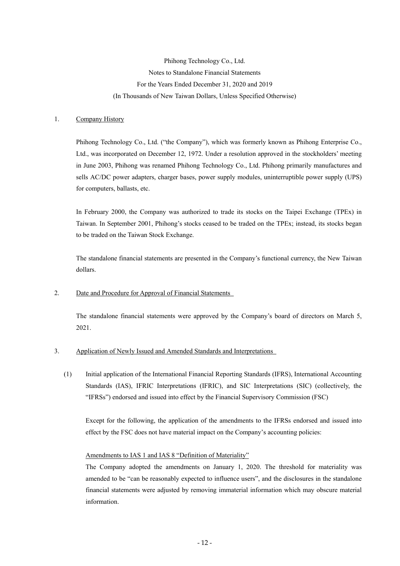Phihong Technology Co., Ltd. Notes to Standalone Financial Statements For the Years Ended December 31, 2020 and 2019 (In Thousands of New Taiwan Dollars, Unless Specified Otherwise)

#### 1. Company History

Phihong Technology Co., Ltd. ("the Company"), which was formerly known as Phihong Enterprise Co., Ltd., was incorporated on December 12, 1972. Under a resolution approved in the stockholders' meeting in June 2003, Phihong was renamed Phihong Technology Co., Ltd. Phihong primarily manufactures and sells AC/DC power adapters, charger bases, power supply modules, uninterruptible power supply (UPS) for computers, ballasts, etc.

In February 2000, the Company was authorized to trade its stocks on the Taipei Exchange (TPEx) in Taiwan. In September 2001, Phihong's stocks ceased to be traded on the TPEx; instead, its stocks began to be traded on the Taiwan Stock Exchange.

The standalone financial statements are presented in the Company's functional currency, the New Taiwan dollars.

#### 2. Date and Procedure for Approval of Financial Statements

The standalone financial statements were approved by the Company's board of directors on March 5, 2021.

#### 3. Application of Newly Issued and Amended Standards and Interpretations

(1) Initial application of the International Financial Reporting Standards (IFRS), International Accounting Standards (IAS), IFRIC Interpretations (IFRIC), and SIC Interpretations (SIC) (collectively, the "IFRSs") endorsed and issued into effect by the Financial Supervisory Commission (FSC)

Except for the following, the application of the amendments to the IFRSs endorsed and issued into effect by the FSC does not have material impact on the Company's accounting policies:

#### Amendments to IAS 1 and IAS 8 "Definition of Materiality"

The Company adopted the amendments on January 1, 2020. The threshold for materiality was amended to be "can be reasonably expected to influence users", and the disclosures in the standalone financial statements were adjusted by removing immaterial information which may obscure material information.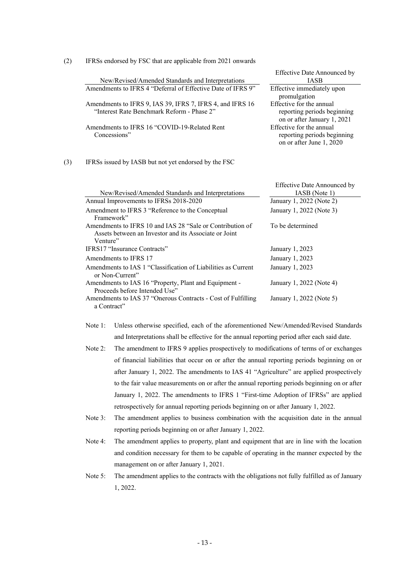| (2) | IFRSs endorsed by FSC that are applicable from 2021 onwards                                                                    |                                                                                        |
|-----|--------------------------------------------------------------------------------------------------------------------------------|----------------------------------------------------------------------------------------|
|     | New/Revised/Amended Standards and Interpretations                                                                              | <b>Effective Date Announced by</b><br><b>IASB</b>                                      |
|     | Amendments to IFRS 4 "Deferral of Effective Date of IFRS 9"                                                                    | Effective immediately upon<br>promulgation                                             |
|     | Amendments to IFRS 9, IAS 39, IFRS 7, IFRS 4, and IFRS 16<br>"Interest Rate Benchmark Reform - Phase 2"                        | Effective for the annual<br>reporting periods beginning<br>on or after January 1, 2021 |
|     | Amendments to IFRS 16 "COVID-19-Related Rent<br>Concessions"                                                                   | Effective for the annual<br>reporting periods beginning<br>on or after June 1, 2020    |
| (3) | IFRSs issued by IASB but not yet endorsed by the FSC                                                                           |                                                                                        |
|     | New/Revised/Amended Standards and Interpretations                                                                              | <b>Effective Date Announced by</b><br>IASB (Note 1)                                    |
|     | Annual Improvements to IFRSs 2018-2020                                                                                         | January 1, 2022 (Note 2)                                                               |
|     | Amendment to IFRS 3 "Reference to the Conceptual<br>Framework"                                                                 | January 1, 2022 (Note 3)                                                               |
|     | Amendments to IFRS 10 and IAS 28 "Sale or Contribution of<br>Assets between an Investor and its Associate or Joint<br>Venture" | To be determined                                                                       |
|     | IFRS17 "Insurance Contracts"                                                                                                   | January 1, 2023                                                                        |
|     | Amendments to IFRS 17                                                                                                          | January 1, 2023                                                                        |
|     | Amendments to IAS 1 "Classification of Liabilities as Current<br>or Non-Current"                                               | January 1, 2023                                                                        |
|     | Amendments to IAS 16 "Property, Plant and Equipment -<br>Proceeds before Intended Use"                                         | January 1, 2022 (Note 4)                                                               |
|     | Amendments to IAS 37 "Onerous Contracts - Cost of Fulfilling<br>a Contract"                                                    | January 1, 2022 (Note 5)                                                               |

- Note 1: Unless otherwise specified, each of the aforementioned New/Amended/Revised Standards and Interpretations shall be effective for the annual reporting period after each said date.
- Note 2: The amendment to IFRS 9 applies prospectively to modifications of terms of or exchanges of financial liabilities that occur on or after the annual reporting periods beginning on or after January 1, 2022. The amendments to IAS 41 "Agriculture" are applied prospectively to the fair value measurements on or after the annual reporting periods beginning on or after January 1, 2022. The amendments to IFRS 1 "First-time Adoption of IFRSs" are applied retrospectively for annual reporting periods beginning on or after January 1, 2022.
- Note 3: The amendment applies to business combination with the acquisition date in the annual reporting periods beginning on or after January 1, 2022.
- Note 4: The amendment applies to property, plant and equipment that are in line with the location and condition necessary for them to be capable of operating in the manner expected by the management on or after January 1, 2021.
- Note 5: The amendment applies to the contracts with the obligations not fully fulfilled as of January 1, 2022.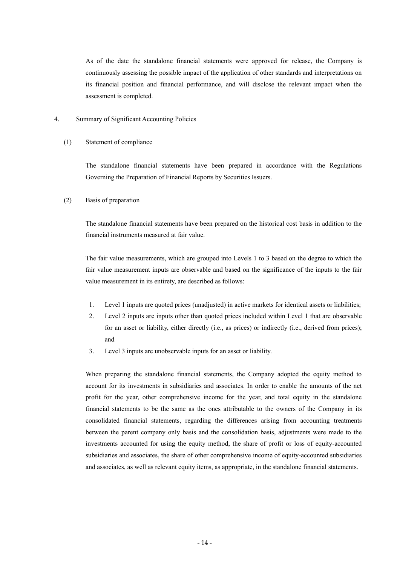As of the date the standalone financial statements were approved for release, the Company is continuously assessing the possible impact of the application of other standards and interpretations on its financial position and financial performance, and will disclose the relevant impact when the assessment is completed.

#### 4. Summary of Significant Accounting Policies

#### (1) Statement of compliance

The standalone financial statements have been prepared in accordance with the Regulations Governing the Preparation of Financial Reports by Securities Issuers.

#### (2) Basis of preparation

The standalone financial statements have been prepared on the historical cost basis in addition to the financial instruments measured at fair value.

The fair value measurements, which are grouped into Levels 1 to 3 based on the degree to which the fair value measurement inputs are observable and based on the significance of the inputs to the fair value measurement in its entirety, are described as follows:

- 1. Level 1 inputs are quoted prices (unadjusted) in active markets for identical assets or liabilities;
- 2. Level 2 inputs are inputs other than quoted prices included within Level 1 that are observable for an asset or liability, either directly (i.e., as prices) or indirectly (i.e., derived from prices); and
- 3. Level 3 inputs are unobservable inputs for an asset or liability.

When preparing the standalone financial statements, the Company adopted the equity method to account for its investments in subsidiaries and associates. In order to enable the amounts of the net profit for the year, other comprehensive income for the year, and total equity in the standalone financial statements to be the same as the ones attributable to the owners of the Company in its consolidated financial statements, regarding the differences arising from accounting treatments between the parent company only basis and the consolidation basis, adjustments were made to the investments accounted for using the equity method, the share of profit or loss of equity-accounted subsidiaries and associates, the share of other comprehensive income of equity-accounted subsidiaries and associates, as well as relevant equity items, as appropriate, in the standalone financial statements.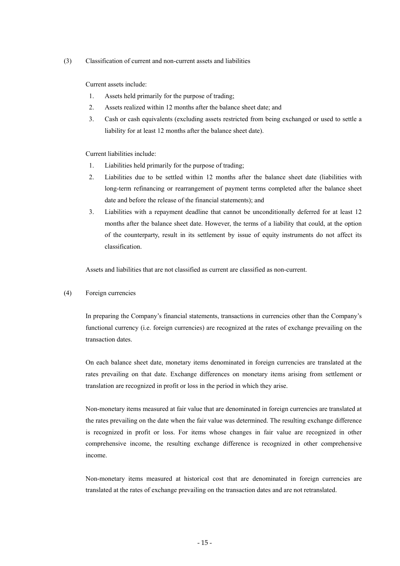(3) Classification of current and non-current assets and liabilities

Current assets include:

- 1. Assets held primarily for the purpose of trading;
- 2. Assets realized within 12 months after the balance sheet date; and
- 3. Cash or cash equivalents (excluding assets restricted from being exchanged or used to settle a liability for at least 12 months after the balance sheet date).

Current liabilities include:

- 1. Liabilities held primarily for the purpose of trading;
- 2. Liabilities due to be settled within 12 months after the balance sheet date (liabilities with long-term refinancing or rearrangement of payment terms completed after the balance sheet date and before the release of the financial statements); and
- 3. Liabilities with a repayment deadline that cannot be unconditionally deferred for at least 12 months after the balance sheet date. However, the terms of a liability that could, at the option of the counterparty, result in its settlement by issue of equity instruments do not affect its classification.

Assets and liabilities that are not classified as current are classified as non-current.

#### (4) Foreign currencies

In preparing the Company's financial statements, transactions in currencies other than the Company's functional currency (i.e. foreign currencies) are recognized at the rates of exchange prevailing on the transaction dates.

On each balance sheet date, monetary items denominated in foreign currencies are translated at the rates prevailing on that date. Exchange differences on monetary items arising from settlement or translation are recognized in profit or loss in the period in which they arise.

Non-monetary items measured at fair value that are denominated in foreign currencies are translated at the rates prevailing on the date when the fair value was determined. The resulting exchange difference is recognized in profit or loss. For items whose changes in fair value are recognized in other comprehensive income, the resulting exchange difference is recognized in other comprehensive income.

Non-monetary items measured at historical cost that are denominated in foreign currencies are translated at the rates of exchange prevailing on the transaction dates and are not retranslated.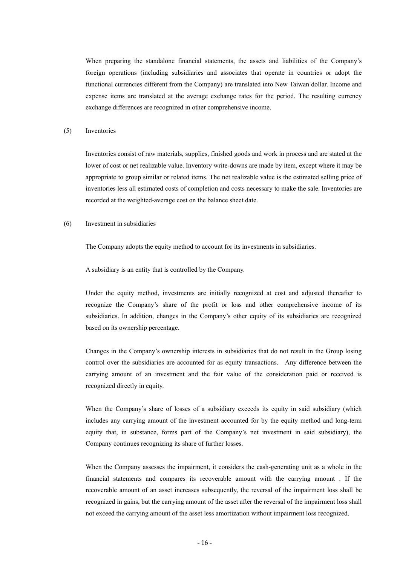When preparing the standalone financial statements, the assets and liabilities of the Company's foreign operations (including subsidiaries and associates that operate in countries or adopt the functional currencies different from the Company) are translated into New Taiwan dollar. Income and expense items are translated at the average exchange rates for the period. The resulting currency exchange differences are recognized in other comprehensive income.

#### (5) Inventories

Inventories consist of raw materials, supplies, finished goods and work in process and are stated at the lower of cost or net realizable value. Inventory write-downs are made by item, except where it may be appropriate to group similar or related items. The net realizable value is the estimated selling price of inventories less all estimated costs of completion and costs necessary to make the sale. Inventories are recorded at the weighted-average cost on the balance sheet date.

#### (6) Investment in subsidiaries

The Company adopts the equity method to account for its investments in subsidiaries.

A subsidiary is an entity that is controlled by the Company.

Under the equity method, investments are initially recognized at cost and adjusted thereafter to recognize the Company's share of the profit or loss and other comprehensive income of its subsidiaries. In addition, changes in the Company's other equity of its subsidiaries are recognized based on its ownership percentage.

Changes in the Company's ownership interests in subsidiaries that do not result in the Group losing control over the subsidiaries are accounted for as equity transactions. Any difference between the carrying amount of an investment and the fair value of the consideration paid or received is recognized directly in equity.

When the Company's share of losses of a subsidiary exceeds its equity in said subsidiary (which includes any carrying amount of the investment accounted for by the equity method and long-term equity that, in substance, forms part of the Company's net investment in said subsidiary), the Company continues recognizing its share of further losses.

When the Company assesses the impairment, it considers the cash-generating unit as a whole in the financial statements and compares its recoverable amount with the carrying amount . If the recoverable amount of an asset increases subsequently, the reversal of the impairment loss shall be recognized in gains, but the carrying amount of the asset after the reversal of the impairment loss shall not exceed the carrying amount of the asset less amortization without impairment loss recognized.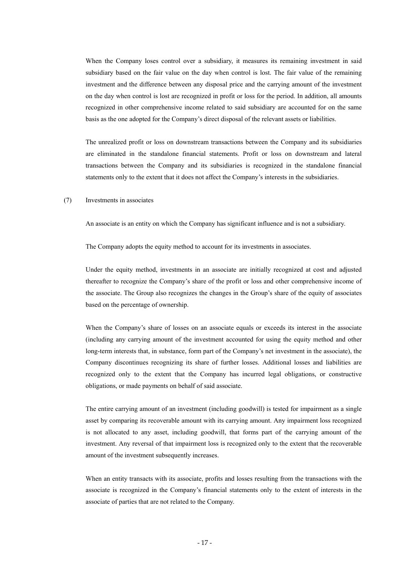When the Company loses control over a subsidiary, it measures its remaining investment in said subsidiary based on the fair value on the day when control is lost. The fair value of the remaining investment and the difference between any disposal price and the carrying amount of the investment on the day when control is lost are recognized in profit or loss for the period. In addition, all amounts recognized in other comprehensive income related to said subsidiary are accounted for on the same basis as the one adopted for the Company's direct disposal of the relevant assets or liabilities.

The unrealized profit or loss on downstream transactions between the Company and its subsidiaries are eliminated in the standalone financial statements. Profit or loss on downstream and lateral transactions between the Company and its subsidiaries is recognized in the standalone financial statements only to the extent that it does not affect the Company's interests in the subsidiaries.

#### (7) Investments in associates

An associate is an entity on which the Company has significant influence and is not a subsidiary.

The Company adopts the equity method to account for its investments in associates.

Under the equity method, investments in an associate are initially recognized at cost and adjusted thereafter to recognize the Company's share of the profit or loss and other comprehensive income of the associate. The Group also recognizes the changes in the Group's share of the equity of associates based on the percentage of ownership.

When the Company's share of losses on an associate equals or exceeds its interest in the associate (including any carrying amount of the investment accounted for using the equity method and other long-term interests that, in substance, form part of the Company's net investment in the associate), the Company discontinues recognizing its share of further losses. Additional losses and liabilities are recognized only to the extent that the Company has incurred legal obligations, or constructive obligations, or made payments on behalf of said associate.

The entire carrying amount of an investment (including goodwill) is tested for impairment as a single asset by comparing its recoverable amount with its carrying amount. Any impairment loss recognized is not allocated to any asset, including goodwill, that forms part of the carrying amount of the investment. Any reversal of that impairment loss is recognized only to the extent that the recoverable amount of the investment subsequently increases.

When an entity transacts with its associate, profits and losses resulting from the transactions with the associate is recognized in the Company's financial statements only to the extent of interests in the associate of parties that are not related to the Company.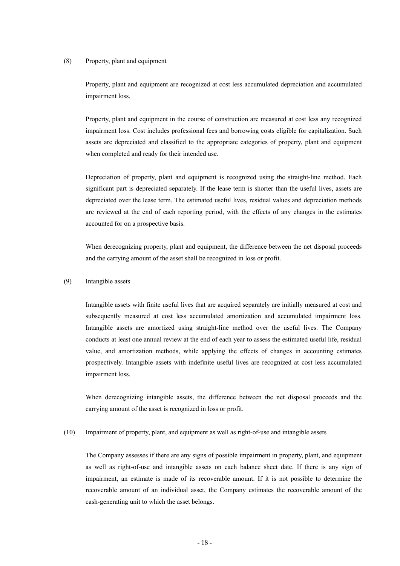#### (8) Property, plant and equipment

Property, plant and equipment are recognized at cost less accumulated depreciation and accumulated impairment loss.

Property, plant and equipment in the course of construction are measured at cost less any recognized impairment loss. Cost includes professional fees and borrowing costs eligible for capitalization. Such assets are depreciated and classified to the appropriate categories of property, plant and equipment when completed and ready for their intended use.

Depreciation of property, plant and equipment is recognized using the straight-line method. Each significant part is depreciated separately. If the lease term is shorter than the useful lives, assets are depreciated over the lease term. The estimated useful lives, residual values and depreciation methods are reviewed at the end of each reporting period, with the effects of any changes in the estimates accounted for on a prospective basis.

When derecognizing property, plant and equipment, the difference between the net disposal proceeds and the carrying amount of the asset shall be recognized in loss or profit.

#### (9) Intangible assets

Intangible assets with finite useful lives that are acquired separately are initially measured at cost and subsequently measured at cost less accumulated amortization and accumulated impairment loss. Intangible assets are amortized using straight-line method over the useful lives. The Company conducts at least one annual review at the end of each year to assess the estimated useful life, residual value, and amortization methods, while applying the effects of changes in accounting estimates prospectively. Intangible assets with indefinite useful lives are recognized at cost less accumulated impairment loss.

When derecognizing intangible assets, the difference between the net disposal proceeds and the carrying amount of the asset is recognized in loss or profit.

# (10) Impairment of property, plant, and equipment as well as right-of-use and intangible assets

The Company assesses if there are any signs of possible impairment in property, plant, and equipment as well as right-of-use and intangible assets on each balance sheet date. If there is any sign of impairment, an estimate is made of its recoverable amount. If it is not possible to determine the recoverable amount of an individual asset, the Company estimates the recoverable amount of the cash-generating unit to which the asset belongs.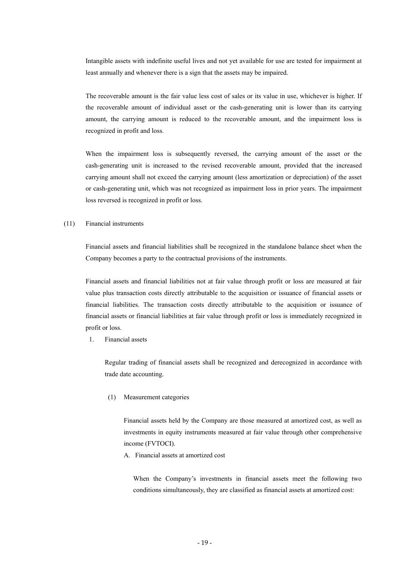Intangible assets with indefinite useful lives and not yet available for use are tested for impairment at least annually and whenever there is a sign that the assets may be impaired.

The recoverable amount is the fair value less cost of sales or its value in use, whichever is higher. If the recoverable amount of individual asset or the cash-generating unit is lower than its carrying amount, the carrying amount is reduced to the recoverable amount, and the impairment loss is recognized in profit and loss.

When the impairment loss is subsequently reversed, the carrying amount of the asset or the cash-generating unit is increased to the revised recoverable amount, provided that the increased carrying amount shall not exceed the carrying amount (less amortization or depreciation) of the asset or cash-generating unit, which was not recognized as impairment loss in prior years. The impairment loss reversed is recognized in profit or loss.

#### (11) Financial instruments

Financial assets and financial liabilities shall be recognized in the standalone balance sheet when the Company becomes a party to the contractual provisions of the instruments.

Financial assets and financial liabilities not at fair value through profit or loss are measured at fair value plus transaction costs directly attributable to the acquisition or issuance of financial assets or financial liabilities. The transaction costs directly attributable to the acquisition or issuance of financial assets or financial liabilities at fair value through profit or loss is immediately recognized in profit or loss.

1. Financial assets

Regular trading of financial assets shall be recognized and derecognized in accordance with trade date accounting.

(1) Measurement categories

Financial assets held by the Company are those measured at amortized cost, as well as investments in equity instruments measured at fair value through other comprehensive income (FVTOCI).

A. Financial assets at amortized cost

When the Company's investments in financial assets meet the following two conditions simultaneously, they are classified as financial assets at amortized cost: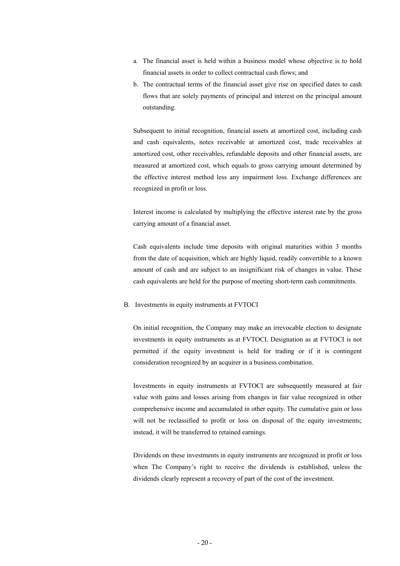- a. The financial asset is held within a business model whose objective is to hold financial assets in order to collect contractual cash flows; and
- b. The contractual terms of the financial asset give rise on specified dates to cash flows that are solely payments of principal and interest on the principal amount outstanding.

Subsequent to initial recognition, financial assets at amortized cost, including cash and cash equivalents, notes receivable at amortized cost, trade receivables at amortized cost, other receivables, refundable deposits and other financial assets, are measured at amortized cost, which equals to gross carrying amount determined by the effective interest method less any impairment loss. Exchange differences are recognized in profit or loss.

Interest income is calculated by multiplying the effective interest rate by the gross carrying amount of a financial asset.

Cash equivalents include time deposits with original maturities within 3 months from the date of acquisition, which are highly liquid, readily convertible to a known amount of cash and are subject to an insignificant risk of changes in value. These cash equivalents are held for the purpose of meeting short-term cash commitments.

B. Investments in equity instruments at FVTOCI

On initial recognition, the Company may make an irrevocable election to designate investments in equity instruments as at FVTOCI. Designation as at FVTOCI is not permitted if the equity investment is held for trading or if it is contingent consideration recognized by an acquirer in a business combination.

Investments in equity instruments at FVTOCI are subsequently measured at fair value with gains and losses arising from changes in fair value recognized in other comprehensive income and accumulated in other equity. The cumulative gain or loss will not be reclassified to profit or loss on disposal of the equity investments; instead, it will be transferred to retained earnings.

Dividends on these investments in equity instruments are recognized in profit or loss when The Company's right to receive the dividends is established, unless the dividends clearly represent a recovery of part of the cost of the investment.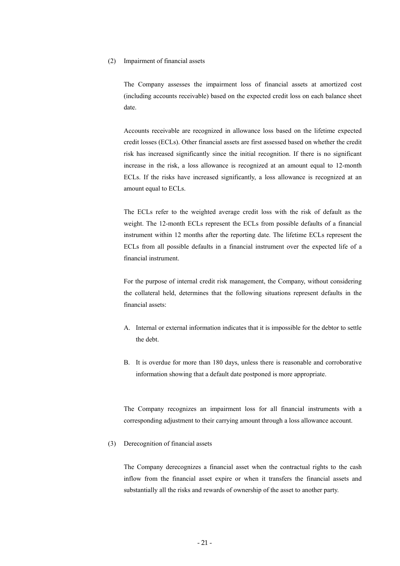#### (2) Impairment of financial assets

The Company assesses the impairment loss of financial assets at amortized cost (including accounts receivable) based on the expected credit loss on each balance sheet date.

Accounts receivable are recognized in allowance loss based on the lifetime expected credit losses (ECLs). Other financial assets are first assessed based on whether the credit risk has increased significantly since the initial recognition. If there is no significant increase in the risk, a loss allowance is recognized at an amount equal to 12-month ECLs. If the risks have increased significantly, a loss allowance is recognized at an amount equal to ECLs.

The ECLs refer to the weighted average credit loss with the risk of default as the weight. The 12-month ECLs represent the ECLs from possible defaults of a financial instrument within 12 months after the reporting date. The lifetime ECLs represent the ECLs from all possible defaults in a financial instrument over the expected life of a financial instrument.

For the purpose of internal credit risk management, the Company, without considering the collateral held, determines that the following situations represent defaults in the financial assets:

- A. Internal or external information indicates that it is impossible for the debtor to settle the debt.
- B. It is overdue for more than 180 days, unless there is reasonable and corroborative information showing that a default date postponed is more appropriate.

The Company recognizes an impairment loss for all financial instruments with a corresponding adjustment to their carrying amount through a loss allowance account.

(3) Derecognition of financial assets

The Company derecognizes a financial asset when the contractual rights to the cash inflow from the financial asset expire or when it transfers the financial assets and substantially all the risks and rewards of ownership of the asset to another party.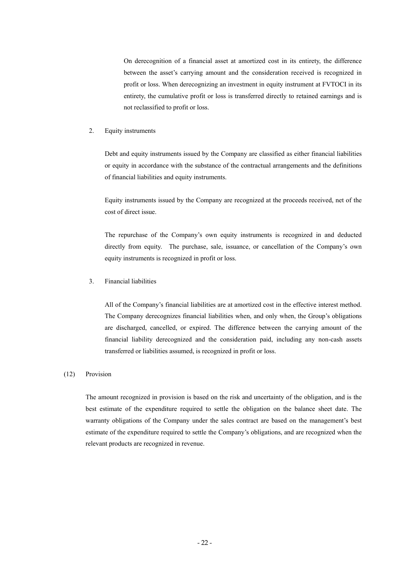On derecognition of a financial asset at amortized cost in its entirety, the difference between the asset's carrying amount and the consideration received is recognized in profit or loss. When derecognizing an investment in equity instrument at FVTOCI in its entirety, the cumulative profit or loss is transferred directly to retained earnings and is not reclassified to profit or loss.

#### 2. Equity instruments

Debt and equity instruments issued by the Company are classified as either financial liabilities or equity in accordance with the substance of the contractual arrangements and the definitions of financial liabilities and equity instruments.

Equity instruments issued by the Company are recognized at the proceeds received, net of the cost of direct issue.

The repurchase of the Company's own equity instruments is recognized in and deducted directly from equity. The purchase, sale, issuance, or cancellation of the Company's own equity instruments is recognized in profit or loss.

#### 3. Financial liabilities

All of the Company's financial liabilities are at amortized cost in the effective interest method. The Company derecognizes financial liabilities when, and only when, the Group's obligations are discharged, cancelled, or expired. The difference between the carrying amount of the financial liability derecognized and the consideration paid, including any non-cash assets transferred or liabilities assumed, is recognized in profit or loss.

#### (12) Provision

The amount recognized in provision is based on the risk and uncertainty of the obligation, and is the best estimate of the expenditure required to settle the obligation on the balance sheet date. The warranty obligations of the Company under the sales contract are based on the management's best estimate of the expenditure required to settle the Company's obligations, and are recognized when the relevant products are recognized in revenue.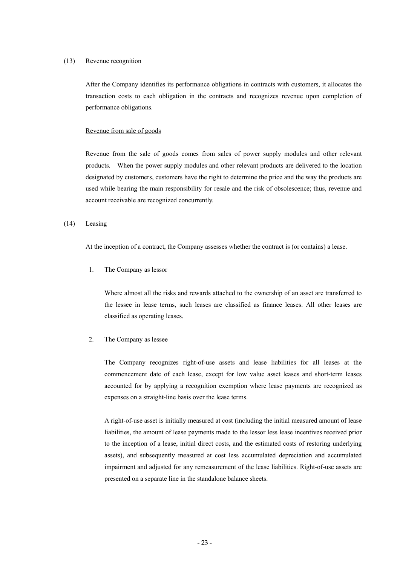#### (13) Revenue recognition

After the Company identifies its performance obligations in contracts with customers, it allocates the transaction costs to each obligation in the contracts and recognizes revenue upon completion of performance obligations.

#### Revenue from sale of goods

Revenue from the sale of goods comes from sales of power supply modules and other relevant products. When the power supply modules and other relevant products are delivered to the location designated by customers, customers have the right to determine the price and the way the products are used while bearing the main responsibility for resale and the risk of obsolescence; thus, revenue and account receivable are recognized concurrently.

#### (14) Leasing

At the inception of a contract, the Company assesses whether the contract is (or contains) a lease.

1. The Company as lessor

Where almost all the risks and rewards attached to the ownership of an asset are transferred to the lessee in lease terms, such leases are classified as finance leases. All other leases are classified as operating leases.

#### 2. The Company as lessee

The Company recognizes right-of-use assets and lease liabilities for all leases at the commencement date of each lease, except for low value asset leases and short-term leases accounted for by applying a recognition exemption where lease payments are recognized as expenses on a straight-line basis over the lease terms.

A right-of-use asset is initially measured at cost (including the initial measured amount of lease liabilities, the amount of lease payments made to the lessor less lease incentives received prior to the inception of a lease, initial direct costs, and the estimated costs of restoring underlying assets), and subsequently measured at cost less accumulated depreciation and accumulated impairment and adjusted for any remeasurement of the lease liabilities. Right-of-use assets are presented on a separate line in the standalone balance sheets.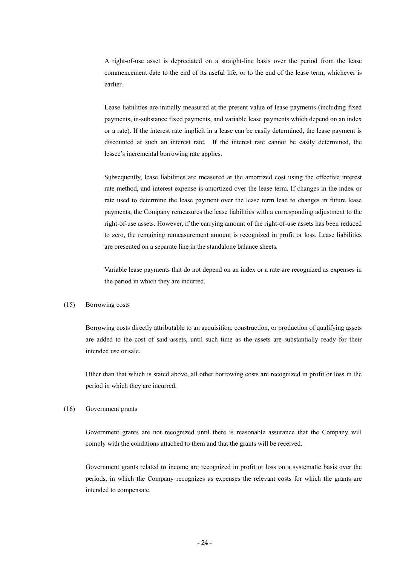A right-of-use asset is depreciated on a straight-line basis over the period from the lease commencement date to the end of its useful life, or to the end of the lease term, whichever is earlier.

Lease liabilities are initially measured at the present value of lease payments (including fixed payments, in-substance fixed payments, and variable lease payments which depend on an index or a rate). If the interest rate implicit in a lease can be easily determined, the lease payment is discounted at such an interest rate. If the interest rate cannot be easily determined, the lessee's incremental borrowing rate applies.

Subsequently, lease liabilities are measured at the amortized cost using the effective interest rate method, and interest expense is amortized over the lease term. If changes in the index or rate used to determine the lease payment over the lease term lead to changes in future lease payments, the Company remeasures the lease liabilities with a corresponding adjustment to the right-of-use assets. However, if the carrying amount of the right-of-use assets has been reduced to zero, the remaining remeasurement amount is recognized in profit or loss. Lease liabilities are presented on a separate line in the standalone balance sheets.

Variable lease payments that do not depend on an index or a rate are recognized as expenses in the period in which they are incurred.

#### (15) Borrowing costs

Borrowing costs directly attributable to an acquisition, construction, or production of qualifying assets are added to the cost of said assets, until such time as the assets are substantially ready for their intended use or sale.

Other than that which is stated above, all other borrowing costs are recognized in profit or loss in the period in which they are incurred.

#### (16) Government grants

Government grants are not recognized until there is reasonable assurance that the Company will comply with the conditions attached to them and that the grants will be received.

Government grants related to income are recognized in profit or loss on a systematic basis over the periods, in which the Company recognizes as expenses the relevant costs for which the grants are intended to compensate.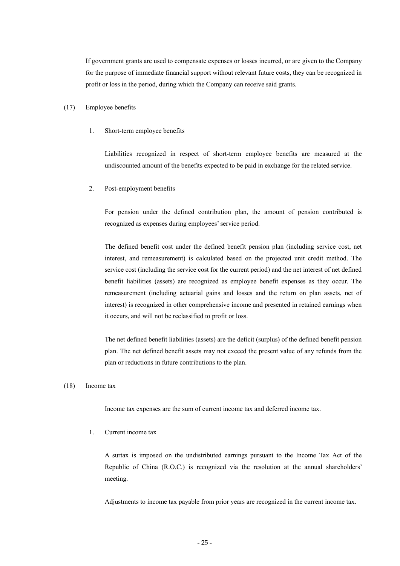If government grants are used to compensate expenses or losses incurred, or are given to the Company for the purpose of immediate financial support without relevant future costs, they can be recognized in profit or loss in the period, during which the Company can receive said grants.

#### (17) Employee benefits

1. Short-term employee benefits

Liabilities recognized in respect of short-term employee benefits are measured at the undiscounted amount of the benefits expected to be paid in exchange for the related service.

2. Post-employment benefits

For pension under the defined contribution plan, the amount of pension contributed is recognized as expenses during employees' service period.

The defined benefit cost under the defined benefit pension plan (including service cost, net interest, and remeasurement) is calculated based on the projected unit credit method. The service cost (including the service cost for the current period) and the net interest of net defined benefit liabilities (assets) are recognized as employee benefit expenses as they occur. The remeasurement (including actuarial gains and losses and the return on plan assets, net of interest) is recognized in other comprehensive income and presented in retained earnings when it occurs, and will not be reclassified to profit or loss.

The net defined benefit liabilities (assets) are the deficit (surplus) of the defined benefit pension plan. The net defined benefit assets may not exceed the present value of any refunds from the plan or reductions in future contributions to the plan.

#### (18) Income tax

Income tax expenses are the sum of current income tax and deferred income tax.

1. Current income tax

A surtax is imposed on the undistributed earnings pursuant to the Income Tax Act of the Republic of China (R.O.C.) is recognized via the resolution at the annual shareholders' meeting.

Adjustments to income tax payable from prior years are recognized in the current income tax.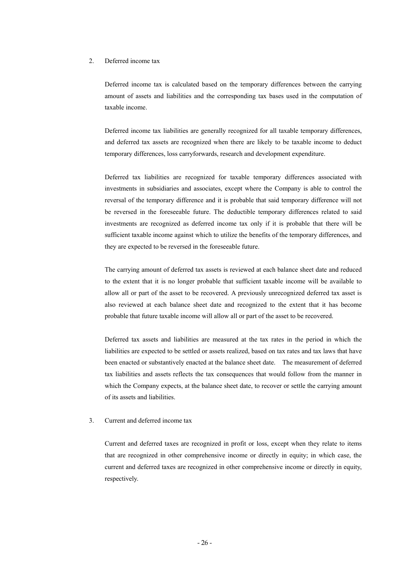#### 2. Deferred income tax

Deferred income tax is calculated based on the temporary differences between the carrying amount of assets and liabilities and the corresponding tax bases used in the computation of taxable income.

Deferred income tax liabilities are generally recognized for all taxable temporary differences, and deferred tax assets are recognized when there are likely to be taxable income to deduct temporary differences, loss carryforwards, research and development expenditure.

Deferred tax liabilities are recognized for taxable temporary differences associated with investments in subsidiaries and associates, except where the Company is able to control the reversal of the temporary difference and it is probable that said temporary difference will not be reversed in the foreseeable future. The deductible temporary differences related to said investments are recognized as deferred income tax only if it is probable that there will be sufficient taxable income against which to utilize the benefits of the temporary differences, and they are expected to be reversed in the foreseeable future.

The carrying amount of deferred tax assets is reviewed at each balance sheet date and reduced to the extent that it is no longer probable that sufficient taxable income will be available to allow all or part of the asset to be recovered. A previously unrecognized deferred tax asset is also reviewed at each balance sheet date and recognized to the extent that it has become probable that future taxable income will allow all or part of the asset to be recovered.

Deferred tax assets and liabilities are measured at the tax rates in the period in which the liabilities are expected to be settled or assets realized, based on tax rates and tax laws that have been enacted or substantively enacted at the balance sheet date. The measurement of deferred tax liabilities and assets reflects the tax consequences that would follow from the manner in which the Company expects, at the balance sheet date, to recover or settle the carrying amount of its assets and liabilities.

#### 3. Current and deferred income tax

Current and deferred taxes are recognized in profit or loss, except when they relate to items that are recognized in other comprehensive income or directly in equity; in which case, the current and deferred taxes are recognized in other comprehensive income or directly in equity, respectively.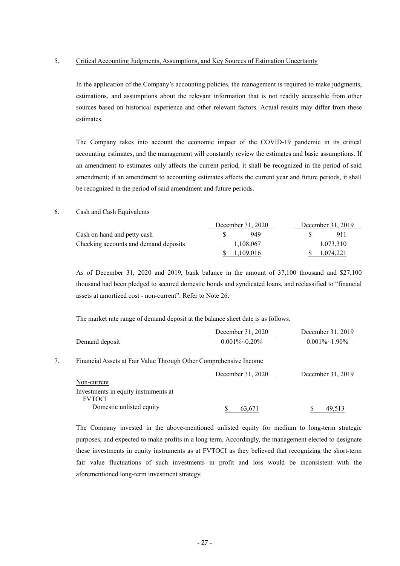#### 5. Critical Accounting Judgments, Assumptions, and Key Sources of Estimation Uncertainty

In the application of the Company's accounting policies, the management is required to make judgments, estimations, and assumptions about the relevant information that is not readily accessible from other sources based on historical experience and other relevant factors. Actual results may differ from these estimates.

The Company takes into account the economic impact of the COVID-19 pandemic in its critical accounting estimates, and the management will constantly review the estimates and basic assumptions. If an amendment to estimates only affects the current period, it shall be recognized in the period of said amendment; if an amendment to accounting estimates affects the current year and future periods, it shall be recognized in the period of said amendment and future periods.

#### 6. Cash and Cash Equivalents

|                                       | December 31, 2020 | December 31, 2019 |           |  |
|---------------------------------------|-------------------|-------------------|-----------|--|
| Cash on hand and petty cash           | 949               |                   | 911       |  |
| Checking accounts and demand deposits | 1,108,067         |                   | 1,073,310 |  |
|                                       | 1,109,016         |                   | 1,074,221 |  |

As of December 31, 2020 and 2019, bank balance in the amount of 37,100 thousand and \$27,100 thousand had been pledged to secured domestic bonds and syndicated loans, and reclassified to "financial assets at amortized cost - non-current". Refer to Note 26.

The market rate range of demand deposit at the balance sheet date is as follows:

|                                                                   | December 31, 2020    | December 31, 2019     |
|-------------------------------------------------------------------|----------------------|-----------------------|
| Demand deposit                                                    | $0.001\%$ ~ $0.20\%$ | $0.001\% \sim 1.90\%$ |
|                                                                   |                      |                       |
| Financial Assets at Fair Value Through Other Comprehensive Income |                      |                       |
|                                                                   | December 31, 2020    | December 31, 2019     |
| Non-current                                                       |                      |                       |
| Investments in equity instruments at                              |                      |                       |
| <b>FVTOCI</b>                                                     |                      |                       |
| Domestic unlisted equity                                          | 63.671               | 49,513                |

The Company invested in the above-mentioned unlisted equity for medium to long-term strategic purposes, and expected to make profits in a long term. Accordingly, the management elected to designate these investments in equity instruments as at FVTOCI as they believed that recognizing the short-term fair value fluctuations of such investments in profit and loss would be inconsistent with the aforementioned long-term investment strategy.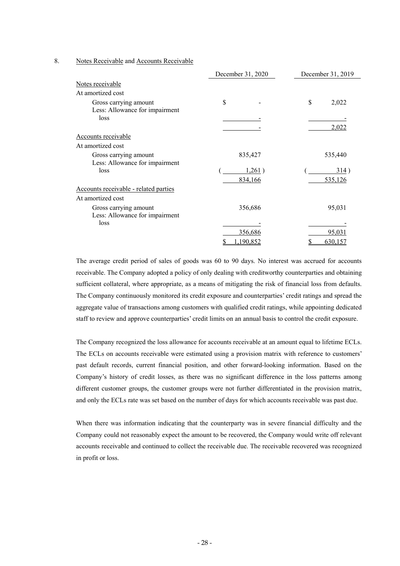#### 8. Notes Receivable and Accounts Receivable

|                                       | December 31, 2020 | December 31, 2019 |  |  |
|---------------------------------------|-------------------|-------------------|--|--|
| Notes receivable                      |                   |                   |  |  |
| At amortized cost                     |                   |                   |  |  |
| Gross carrying amount                 | \$                | \$<br>2,022       |  |  |
| Less: Allowance for impairment        |                   |                   |  |  |
| loss                                  |                   |                   |  |  |
|                                       |                   | 2,022             |  |  |
| Accounts receivable                   |                   |                   |  |  |
| At amortized cost                     |                   |                   |  |  |
| Gross carrying amount                 | 835,427           | 535,440           |  |  |
| Less: Allowance for impairment        |                   |                   |  |  |
| loss                                  | 1,261)            | 314)              |  |  |
|                                       | 834,166           | 535,126           |  |  |
| Accounts receivable - related parties |                   |                   |  |  |
| At amortized cost                     |                   |                   |  |  |
| Gross carrying amount                 | 356,686           | 95,031            |  |  |
| Less: Allowance for impairment        |                   |                   |  |  |
| loss                                  |                   |                   |  |  |
|                                       | 356,686           | 95,031            |  |  |
|                                       | 1,190,852         | 630,157           |  |  |

The average credit period of sales of goods was 60 to 90 days. No interest was accrued for accounts receivable. The Company adopted a policy of only dealing with creditworthy counterparties and obtaining sufficient collateral, where appropriate, as a means of mitigating the risk of financial loss from defaults. The Company continuously monitored its credit exposure and counterparties' credit ratings and spread the aggregate value of transactions among customers with qualified credit ratings, while appointing dedicated staff to review and approve counterparties' credit limits on an annual basis to control the credit exposure.

The Company recognized the loss allowance for accounts receivable at an amount equal to lifetime ECLs. The ECLs on accounts receivable were estimated using a provision matrix with reference to customers' past default records, current financial position, and other forward-looking information. Based on the Company's history of credit losses, as there was no significant difference in the loss patterns among different customer groups, the customer groups were not further differentiated in the provision matrix, and only the ECLs rate was set based on the number of days for which accounts receivable was past due.

When there was information indicating that the counterparty was in severe financial difficulty and the Company could not reasonably expect the amount to be recovered, the Company would write off relevant accounts receivable and continued to collect the receivable due. The receivable recovered was recognized in profit or loss.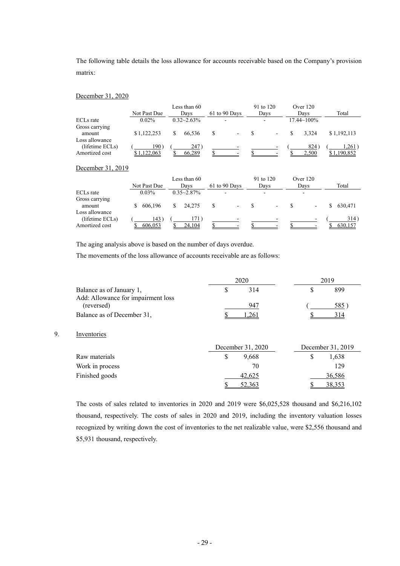The following table details the loss allowance for accounts receivable based on the Company's provision matrix:

#### December 31, 2020

|                                                     |                  | Less than 60    |   |                          | 91 to 120                | Over 120           |                   |
|-----------------------------------------------------|------------------|-----------------|---|--------------------------|--------------------------|--------------------|-------------------|
|                                                     | Not Past Due     | Davs            |   | 61 to 90 Days            | Days                     | Davs               | Total             |
| ECL <sub>s</sub> rate                               | $0.02\%$         | $0.32 - 2.63\%$ |   | $\overline{\phantom{a}}$ | $\overline{\phantom{0}}$ | $17.44 \sim 100\%$ |                   |
| Gross carrying<br>amount                            | \$1.122.253      | 66.536          | S | -                        | $\overline{\phantom{a}}$ | 3.324              | \$1.192.113       |
| Loss allowance<br>(lifetime ECLs)<br>Amortized cost | 190)<br>,122,063 | 247)<br>66,289  |   | $\overline{\phantom{0}}$ |                          | 824<br>2,500       | 1,261)<br>190,852 |

#### December 31, 2019

|                                                     | Not Past Due   | Less than 60<br>Davs | 61 to 90 Days            | 91 to 120<br>Davs        | Over $120$<br>Days       | Total           |
|-----------------------------------------------------|----------------|----------------------|--------------------------|--------------------------|--------------------------|-----------------|
| ECLs rate                                           | 0.03%          | $0.35 - 2.87\%$      |                          | -                        | $\overline{\phantom{a}}$ |                 |
| Gross carrying<br>amount                            | 606.196        | 24.275               | $\overline{\phantom{a}}$ | $\overline{\phantom{a}}$ | -                        | 630.471         |
| Loss allowance<br>(lifetime ECLs)<br>Amortized cost | 143<br>606,053 | 24.104               |                          |                          |                          | 314)<br>630,157 |

The aging analysis above is based on the number of days overdue.

The movements of the loss allowance of accounts receivable are as follows:

|                                    | 2020 |  | 2019 |
|------------------------------------|------|--|------|
| Balance as of January 1,           | 314  |  | 899  |
| Add: Allowance for impairment loss |      |  |      |
| (reversed)                         | 947  |  | 585. |
| Balance as of December 31,         |      |  | 314  |

# 9. Inventories

|                 | December 31, 2020 | December 31, 2019 |  |
|-----------------|-------------------|-------------------|--|
| Raw materials   | 9.668             | 1.638             |  |
| Work in process | 70                | 129               |  |
| Finished goods  | 42.625            | 36,586            |  |
|                 | 52,363            | $38.35^{2}$       |  |

The costs of sales related to inventories in 2020 and 2019 were \$6,025,528 thousand and \$6,216,102 thousand, respectively. The costs of sales in 2020 and 2019, including the inventory valuation losses recognized by writing down the cost of inventories to the net realizable value, were \$2,556 thousand and \$5,931 thousand, respectively.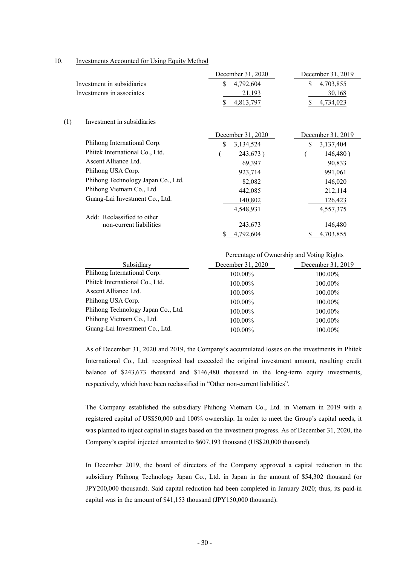#### 10. Investments Accounted for Using Equity Method

|                                    | December 31, 2020                         | December 31, 2019 |
|------------------------------------|-------------------------------------------|-------------------|
| Investment in subsidiaries         | \$<br>4,792,604                           | \$<br>4,703,855   |
| Investments in associates          | 21,193                                    | 30,168            |
|                                    | 4,813,797<br>\$                           | 4,734,023         |
| (1)<br>Investment in subsidiaries  |                                           |                   |
|                                    | December 31, 2020                         | December 31, 2019 |
| Phihong International Corp.        | \$<br>3,134,524                           | \$<br>3,137,404   |
| Phitek International Co., Ltd.     | 243,673)                                  | 146,480)          |
| Ascent Alliance Ltd.               | 69,397                                    | 90,833            |
| Phihong USA Corp.                  | 923,714                                   | 991,061           |
| Phihong Technology Japan Co., Ltd. | 82,082                                    | 146,020           |
| Phihong Vietnam Co., Ltd.          | 442,085                                   | 212,114           |
| Guang-Lai Investment Co., Ltd.     | 140,802                                   | 126,423           |
|                                    | 4,548,931                                 | 4,557,375         |
| Add: Reclassified to other         |                                           |                   |
| non-current liabilities            | 243,673                                   | 146,480           |
|                                    | 4,792,604                                 | 4,703,855         |
|                                    | Percentage of Ownership and Voting Rights |                   |

| Subsidiary                         | December 31, 2020 | December 31, 2019 |
|------------------------------------|-------------------|-------------------|
| Phihong International Corp.        | 100.00%           | 100.00%           |
| Phitek International Co., Ltd.     | 100.00%           | 100.00%           |
| Ascent Alliance Ltd.               | 100.00%           | 100.00%           |
| Phihong USA Corp.                  | 100.00%           | 100.00%           |
| Phihong Technology Japan Co., Ltd. | 100.00%           | 100.00%           |
| Phihong Vietnam Co., Ltd.          | 100.00%           | 100.00%           |
| Guang-Lai Investment Co., Ltd.     | 100.00%           | 100.00%           |
|                                    |                   |                   |

As of December 31, 2020 and 2019, the Company's accumulated losses on the investments in Phitek International Co., Ltd. recognized had exceeded the original investment amount, resulting credit balance of \$243,673 thousand and \$146,480 thousand in the long-term equity investments, respectively, which have been reclassified in "Other non-current liabilities".

The Company established the subsidiary Phihong Vietnam Co., Ltd. in Vietnam in 2019 with a registered capital of US\$50,000 and 100% ownership. In order to meet the Group's capital needs, it was planned to inject capital in stages based on the investment progress. As of December 31, 2020, the Company's capital injected amounted to \$607,193 thousand (US\$20,000 thousand).

In December 2019, the board of directors of the Company approved a capital reduction in the subsidiary Phihong Technology Japan Co., Ltd. in Japan in the amount of \$54,302 thousand (or JPY200,000 thousand). Said capital reduction had been completed in January 2020; thus, its paid-in capital was in the amount of \$41,153 thousand (JPY150,000 thousand).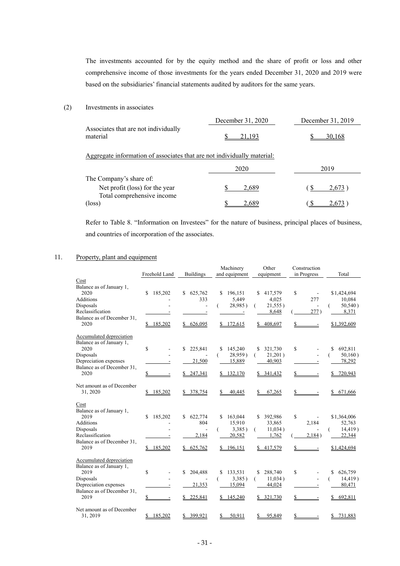The investments accounted for by the equity method and the share of profit or loss and other comprehensive income of those investments for the years ended December 31, 2020 and 2019 were based on the subsidiaries' financial statements audited by auditors for the same years.

## (2) Investments in associates

|                                                                         | December 31, 2020 | December 31, 2019 |
|-------------------------------------------------------------------------|-------------------|-------------------|
| Associates that are not individually<br>material                        | 21.193            | 30.168            |
| Aggregate information of associates that are not individually material: |                   |                   |
|                                                                         | 2020              | 2019              |
| The Company's share of:                                                 |                   |                   |
| Net profit (loss) for the year                                          | 2,689             | 2,673             |
| Total comprehensive income                                              |                   |                   |
| $(\text{loss})$                                                         | 2.689             | 2.67              |

Refer to Table 8. "Information on Investees" for the nature of business, principal places of business, and countries of incorporation of the associates.

# 11. Property, plant and equipment

|                                                                                                                                                 |                                      |                                            | Machinery                                                | Other                                                         | Construction                         |                                                                   |
|-------------------------------------------------------------------------------------------------------------------------------------------------|--------------------------------------|--------------------------------------------|----------------------------------------------------------|---------------------------------------------------------------|--------------------------------------|-------------------------------------------------------------------|
|                                                                                                                                                 | Freehold Land                        | <b>Buildings</b>                           | and equipment                                            | equipment                                                     | in Progress                          | Total                                                             |
| Cost<br>Balance as of January 1,<br>2020<br>Additions<br>Disposals<br>Reclassification<br>Balance as of December 31.                            | 185,202<br>\$                        | \$625,762<br>333                           | S.<br>196,151<br>5,449<br>28,985)<br>$\blacksquare$      | \$<br>417,579<br>4,025<br>21,555)<br>8,648                    | \$<br>277<br>277)                    | \$1,424,694<br>10,084<br>$50,540$ )<br>8,371                      |
| 2020                                                                                                                                            | 185,202                              | \$626,095                                  | \$172,615                                                | 408,697                                                       |                                      | \$1,392,609                                                       |
| Accumulated depreciation<br>Balance as of January 1,<br>2020<br>Disposals<br>Depreciation expenses<br>Balance as of December 31.<br>2020        | \$<br>\$<br>$\overline{\phantom{a}}$ | \$<br>225,841<br>21,500<br>\$247,341       | \$<br>145,240<br>28,959)<br>(<br>15,889<br>\$132,170     | \$<br>321,730<br>21,201)<br>€<br>40,903<br>341,432<br>S.      | \$<br>S.<br>$\overline{\phantom{a}}$ | \$<br>692,811<br>50,160)<br>- 1<br>78,292<br>720,943<br>S.        |
| Net amount as of December<br>31, 2020                                                                                                           | 185,202                              | \$378,754                                  | 40,445                                                   | 67,265                                                        | $\overline{\phantom{a}}$             | 671,666<br>S.                                                     |
| Cost<br>Balance as of January 1,<br>2019<br><b>Additions</b><br>Disposals<br>Reclassification<br>Balance as of December 31,<br>2019             | 185,202<br>\$<br>\$185,202           | 622,774<br>S.<br>804<br>2,184<br>\$625,762 | 163,044<br>S.<br>15,910<br>3,385)<br>20,582<br>\$196,151 | 392,986<br>S.<br>33,865<br>11,034)<br>€<br>1,762<br>\$417,579 | \$<br>2,184<br>2,184)                | \$1,364,006<br>52,763<br>$14,419$ )<br>(<br>22,344<br>\$1,424,694 |
| <b>Accumulated depreciation</b><br>Balance as of January 1,<br>2019<br>Disposals<br>Depreciation expenses<br>Balance as of December 31,<br>2019 | S<br>\$                              | 204,488<br>S<br>21,353<br>225,841          | \$<br>133,531<br>3,385)<br>€<br>15,094<br>145,240<br>S.  | 288,740<br>\$<br>11,034)<br>€<br>44,024<br>321,730            | \$<br>\$                             | \$<br>626,759<br>14,419)<br>80,471<br>692,811<br>S                |
| Net amount as of December<br>31, 2019                                                                                                           | \$185,202                            | \$399.921                                  | 50.911<br>\$                                             | 95,849                                                        | \$                                   | 731,883<br>\$                                                     |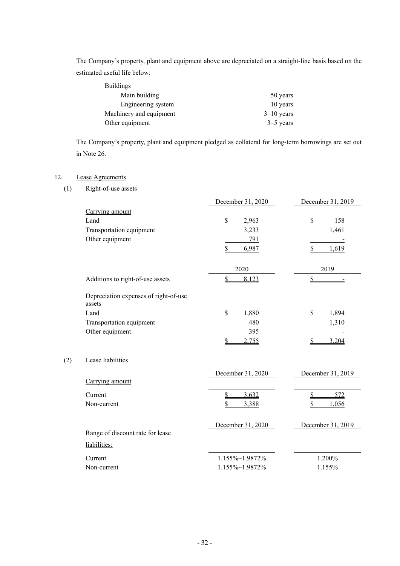The Company's property, plant and equipment above are depreciated on a straight-line basis based on the estimated useful life below:

| <b>Buildings</b>        |              |
|-------------------------|--------------|
| Main building           | 50 years     |
| Engineering system      | 10 years     |
| Machinery and equipment | $3-10$ years |
| Other equipment         | $3-5$ years  |

The Company's property, plant and equipment pledged as collateral for long-term borrowings are set out in Note 26.

# 12. Lease Agreements

 $(2)$ 

(1) Right-of-use assets

|                                                  | December 31, 2020 | December 31, 2019 |
|--------------------------------------------------|-------------------|-------------------|
| Carrying amount                                  |                   |                   |
| Land                                             | \$<br>2,963       | \$<br>158         |
| Transportation equipment                         | 3,233             | 1,461             |
| Other equipment                                  | 791               |                   |
|                                                  | 6,987<br>\$       | 1,619             |
|                                                  |                   |                   |
|                                                  | 2020              | 2019              |
| Additions to right-of-use assets                 | \$<br>8,123       | \$                |
| Depreciation expenses of right-of-use<br>assets  |                   |                   |
| Land                                             | \$<br>1,880       | \$<br>1,894       |
| Transportation equipment                         | 480               | 1,310             |
| Other equipment                                  | 395               |                   |
|                                                  | \$<br>2,755       | \$<br>3,204       |
| Lease liabilities                                |                   |                   |
|                                                  | December 31, 2020 | December 31, 2019 |
| Carrying amount                                  |                   |                   |
| Current                                          | \$<br>3,632       | \$<br>572         |
| Non-current                                      | 3,388             | 1,056             |
| Range of discount rate for lease<br>liabilities: | December 31, 2020 | December 31, 2019 |
|                                                  |                   |                   |
| Current                                          | 1.155%~1.9872%    | 1.200%            |
| Non-current                                      | 1.155%~1.9872%    | 1.155%            |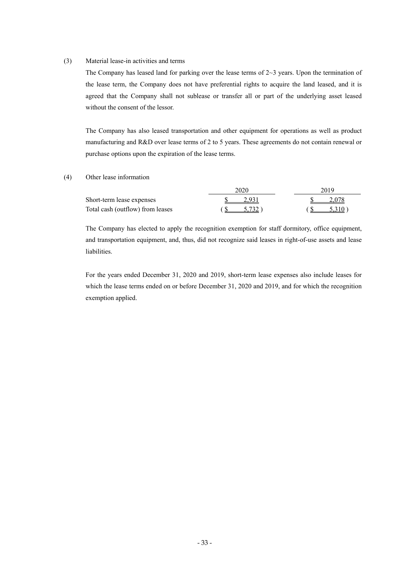#### (3) Material lease-in activities and terms

The Company has leased land for parking over the lease terms of  $2~3$  years. Upon the termination of the lease term, the Company does not have preferential rights to acquire the land leased, and it is agreed that the Company shall not sublease or transfer all or part of the underlying asset leased without the consent of the lessor.

The Company has also leased transportation and other equipment for operations as well as product manufacturing and R&D over lease terms of 2 to 5 years. These agreements do not contain renewal or purchase options upon the expiration of the lease terms.

## (4) Other lease information

|                                  | 2020  | 2019  |
|----------------------------------|-------|-------|
| Short-term lease expenses        | 2.931 |       |
| Total cash (outflow) from leases | 5.732 | 5.310 |

The Company has elected to apply the recognition exemption for staff dormitory, office equipment, and transportation equipment, and, thus, did not recognize said leases in right-of-use assets and lease liabilities.

For the years ended December 31, 2020 and 2019, short-term lease expenses also include leases for which the lease terms ended on or before December 31, 2020 and 2019, and for which the recognition exemption applied.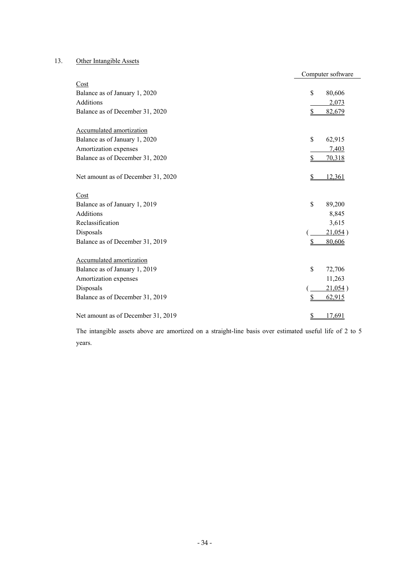# 13. Other Intangible Assets

|                                    | Computer software |         |
|------------------------------------|-------------------|---------|
| Cost                               |                   |         |
| Balance as of January 1, 2020      | $\mathbb{S}$      | 80,606  |
| <b>Additions</b>                   |                   | 2,073   |
| Balance as of December 31, 2020    | \$                | 82,679  |
| Accumulated amortization           |                   |         |
| Balance as of January 1, 2020      | \$                | 62,915  |
| Amortization expenses              |                   | 7,403   |
| Balance as of December 31, 2020    | \$                | 70,318  |
| Net amount as of December 31, 2020 | S                 | 12,361  |
| Cost                               |                   |         |
| Balance as of January 1, 2019      | \$                | 89,200  |
| <b>Additions</b>                   |                   | 8,845   |
| Reclassification                   |                   | 3,615   |
| Disposals                          |                   | 21,054) |
| Balance as of December 31, 2019    | \$                | 80,606  |
| Accumulated amortization           |                   |         |
| Balance as of January 1, 2019      | $\mathbb{S}$      | 72,706  |
| Amortization expenses              |                   | 11,263  |
| Disposals                          |                   | 21,054) |
| Balance as of December 31, 2019    | S                 | 62,915  |
| Net amount as of December 31, 2019 | S                 | 17,691  |

The intangible assets above are amortized on a straight-line basis over estimated useful life of 2 to 5 years.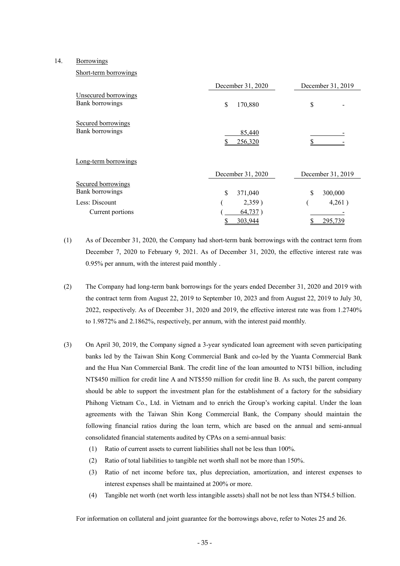#### 14. Borrowings

#### Short-term borrowings

|                                              | December 31, 2020 | December 31, 2019 |  |
|----------------------------------------------|-------------------|-------------------|--|
| Unsecured borrowings<br>Bank borrowings      | \$<br>170,880     | \$                |  |
| Secured borrowings<br>Bank borrowings        | 85,440<br>256,320 |                   |  |
| Long-term borrowings                         |                   |                   |  |
|                                              | December 31, 2020 | December 31, 2019 |  |
| <b>Secured borrowings</b><br>Bank borrowings | \$<br>371,040     | \$<br>300,000     |  |
| Less: Discount                               | 2,359)            | 4,261)            |  |
| Current portions                             | 64,737)           |                   |  |
|                                              | 303,944           | 295,739           |  |

(1) As of December 31, 2020, the Company had short-term bank borrowings with the contract term from December 7, 2020 to February 9, 2021. As of December 31, 2020, the effective interest rate was 0.95% per annum, with the interest paid monthly .

- (2) The Company had long-term bank borrowings for the years ended December 31, 2020 and 2019 with the contract term from August 22, 2019 to September 10, 2023 and from August 22, 2019 to July 30, 2022, respectively. As of December 31, 2020 and 2019, the effective interest rate was from 1.2740% to 1.9872% and 2.1862%, respectively, per annum, with the interest paid monthly.
- (3) On April 30, 2019, the Company signed a 3-year syndicated loan agreement with seven participating banks led by the Taiwan Shin Kong Commercial Bank and co-led by the Yuanta Commercial Bank and the Hua Nan Commercial Bank. The credit line of the loan amounted to NT\$1 billion, including NT\$450 million for credit line A and NT\$550 million for credit line B. As such, the parent company should be able to support the investment plan for the establishment of a factory for the subsidiary Phihong Vietnam Co., Ltd. in Vietnam and to enrich the Group's working capital. Under the loan agreements with the Taiwan Shin Kong Commercial Bank, the Company should maintain the following financial ratios during the loan term, which are based on the annual and semi-annual consolidated financial statements audited by CPAs on a semi-annual basis:
	- (1) Ratio of current assets to current liabilities shall not be less than 100%.
	- (2) Ratio of total liabilities to tangible net worth shall not be more than 150%.
	- (3) Ratio of net income before tax, plus depreciation, amortization, and interest expenses to interest expenses shall be maintained at 200% or more.
	- (4) Tangible net worth (net worth less intangible assets) shall not be not less than NT\$4.5 billion.

For information on collateral and joint guarantee for the borrowings above, refer to Notes 25 and 26.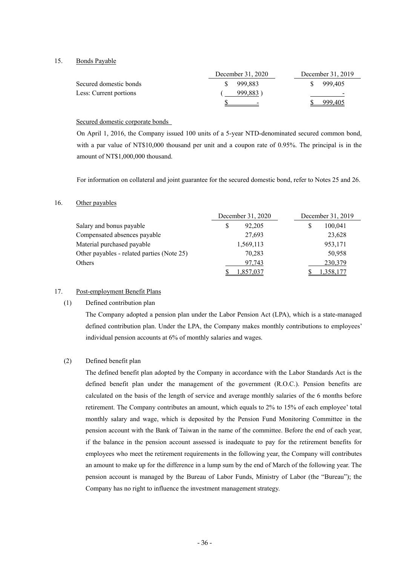15. Bonds Payable

|                        | December 31, 2020        | December 31, 2019 |  |
|------------------------|--------------------------|-------------------|--|
| Secured domestic bonds | 999.883                  | 999.405           |  |
| Less: Current portions | 999,883)                 | $\qquad \qquad$   |  |
|                        | $\overline{\phantom{0}}$ | 999.405           |  |

#### Secured domestic corporate bonds

On April 1, 2016, the Company issued 100 units of a 5-year NTD-denominated secured common bond, with a par value of NT\$10,000 thousand per unit and a coupon rate of 0.95%. The principal is in the amount of NT\$1,000,000 thousand.

For information on collateral and joint guarantee for the secured domestic bond, refer to Notes 25 and 26.

#### 16. Other payables

|                                            | December 31, 2020 |  | December 31, 2019 |                 |
|--------------------------------------------|-------------------|--|-------------------|-----------------|
| Salary and bonus payable                   | 92.205<br>S       |  | S                 | 100,041         |
| Compensated absences payable               | 27,693            |  |                   | 23,628          |
| Material purchased payable                 | 1,569,113         |  |                   | 953,171         |
| Other payables - related parties (Note 25) | 70,283            |  |                   | 50,958          |
| Others                                     | 97.743            |  |                   | 230,379         |
|                                            | 1,857,037         |  |                   | <u>358,177,</u> |

# 17. Post-employment Benefit Plans

#### (1) Defined contribution plan

The Company adopted a pension plan under the Labor Pension Act (LPA), which is a state-managed defined contribution plan. Under the LPA, the Company makes monthly contributions to employees' individual pension accounts at 6% of monthly salaries and wages.

#### (2) Defined benefit plan

The defined benefit plan adopted by the Company in accordance with the Labor Standards Act is the defined benefit plan under the management of the government (R.O.C.). Pension benefits are calculated on the basis of the length of service and average monthly salaries of the 6 months before retirement. The Company contributes an amount, which equals to 2% to 15% of each employee' total monthly salary and wage, which is deposited by the Pension Fund Monitoring Committee in the pension account with the Bank of Taiwan in the name of the committee. Before the end of each year, if the balance in the pension account assessed is inadequate to pay for the retirement benefits for employees who meet the retirement requirements in the following year, the Company will contributes an amount to make up for the difference in a lump sum by the end of March of the following year. The pension account is managed by the Bureau of Labor Funds, Ministry of Labor (the "Bureau"); the Company has no right to influence the investment management strategy.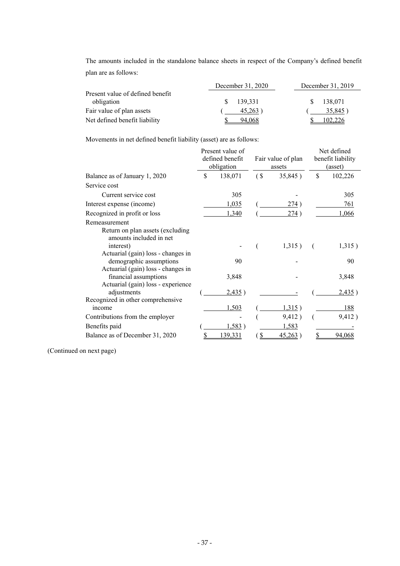The amounts included in the standalone balance sheets in respect of the Company's defined benefit plan are as follows:

|                                                | December 31, 2020 | December 31, 2019 |  |
|------------------------------------------------|-------------------|-------------------|--|
| Present value of defined benefit<br>obligation | 139.331<br>S.     | 138.071           |  |
| Fair value of plan assets                      | 45,263)           | 35,845)           |  |
| Net defined benefit liability                  | 94.068            |                   |  |

Movements in net defined benefit liability (asset) are as follows:

|                                                                                                     | Present value of<br>defined benefit<br>obligation |                   | Fair value of plan<br>assets | Net defined<br>benefit liability<br>(asset) |
|-----------------------------------------------------------------------------------------------------|---------------------------------------------------|-------------------|------------------------------|---------------------------------------------|
| Balance as of January 1, 2020                                                                       | \$<br>138,071                                     | (S <sub>0</sub> ) | 35,845)                      | \$<br>102,226                               |
| Service cost                                                                                        |                                                   |                   |                              |                                             |
| Current service cost                                                                                | 305                                               |                   |                              | 305                                         |
| Interest expense (income)                                                                           | 1,035                                             |                   | 274)                         | 761                                         |
| Recognized in profit or loss                                                                        | 1,340                                             |                   | 274)                         | 1,066                                       |
| Remeasurement                                                                                       |                                                   |                   |                              |                                             |
| Return on plan assets (excluding<br>amounts included in net                                         |                                                   |                   |                              |                                             |
| interest)                                                                                           |                                                   |                   | 1,315)                       | 1,315)                                      |
| Actuarial (gain) loss - changes in<br>demographic assumptions<br>Actuarial (gain) loss - changes in | 90                                                |                   |                              | 90                                          |
| financial assumptions<br>Actuarial (gain) loss - experience                                         | 3,848                                             |                   |                              | 3,848                                       |
| adjustments<br>Recognized in other comprehensive                                                    | 2,435)                                            |                   |                              | 2,435)                                      |
| income                                                                                              | 1,503                                             |                   | 1,315)                       | 188                                         |
| Contributions from the employer                                                                     |                                                   |                   | 9,412)                       | 9,412)                                      |
| Benefits paid                                                                                       | 1,583)                                            |                   | 1,583                        |                                             |
| Balance as of December 31, 2020                                                                     | 139,331                                           |                   | <u>45,263</u>                | 94.06                                       |

(Continued on next page)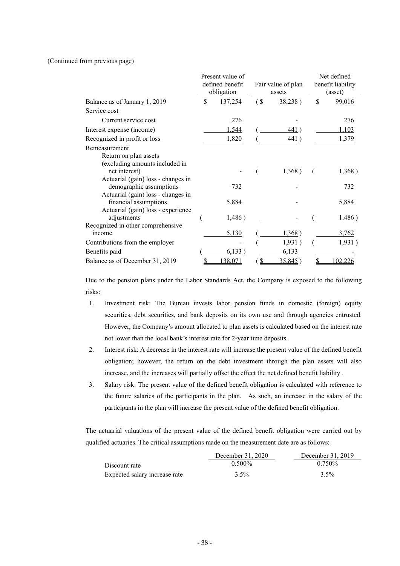#### (Continued from previous page)

|                                                                                                                                                                                                                           | Present value of<br>defined benefit<br>obligation |                           | Fair value of plan<br>assets | Net defined<br>benefit liability<br>(asset) |
|---------------------------------------------------------------------------------------------------------------------------------------------------------------------------------------------------------------------------|---------------------------------------------------|---------------------------|------------------------------|---------------------------------------------|
| Balance as of January 1, 2019                                                                                                                                                                                             | \$<br>137,254                                     | $\left( \text{S} \right)$ | 38,238)                      | \$<br>99,016                                |
| Service cost                                                                                                                                                                                                              |                                                   |                           |                              |                                             |
| Current service cost                                                                                                                                                                                                      | 276                                               |                           |                              | 276                                         |
| Interest expense (income)                                                                                                                                                                                                 | 1,544                                             |                           | 441)                         | 1,103                                       |
| Recognized in profit or loss                                                                                                                                                                                              | 1,820                                             |                           | 441)                         | 1,379                                       |
| Remeasurement<br>Return on plan assets<br>(excluding amounts included in<br>net interest)<br>Actuarial (gain) loss - changes in<br>demographic assumptions<br>Actuarial (gain) loss - changes in<br>financial assumptions | 732<br>5,884                                      |                           | 1,368)                       | 1,368)<br>732<br>5,884                      |
| Actuarial (gain) loss - experience<br>adjustments                                                                                                                                                                         | 1,486)                                            |                           |                              | 1,486)                                      |
| Recognized in other comprehensive<br>income                                                                                                                                                                               | 5,130                                             |                           | 1,368)                       | 3,762                                       |
| Contributions from the employer                                                                                                                                                                                           |                                                   |                           | 1,931)                       | 1,931)                                      |
| Benefits paid                                                                                                                                                                                                             | 6,133)                                            |                           | 6,133                        |                                             |
| Balance as of December 31, 2019                                                                                                                                                                                           | 138,071                                           |                           | 35,845)                      | 102,226                                     |

Due to the pension plans under the Labor Standards Act, the Company is exposed to the following risks:

- 1. Investment risk: The Bureau invests labor pension funds in domestic (foreign) equity securities, debt securities, and bank deposits on its own use and through agencies entrusted. However, the Company's amount allocated to plan assets is calculated based on the interest rate not lower than the local bank's interest rate for 2-year time deposits.
- 2. Interest risk: A decrease in the interest rate will increase the present value of the defined benefit obligation; however, the return on the debt investment through the plan assets will also increase, and the increases will partially offset the effect the net defined benefit liability .
- 3. Salary risk: The present value of the defined benefit obligation is calculated with reference to the future salaries of the participants in the plan. As such, an increase in the salary of the participants in the plan will increase the present value of the defined benefit obligation.

The actuarial valuations of the present value of the defined benefit obligation were carried out by qualified actuaries. The critical assumptions made on the measurement date are as follows:

|                               | December 31, 2020 | December 31, 2019 |
|-------------------------------|-------------------|-------------------|
| Discount rate                 | $0.500\%$         | $0.750\%$         |
| Expected salary increase rate | $3.5\%$           | $3.5\%$           |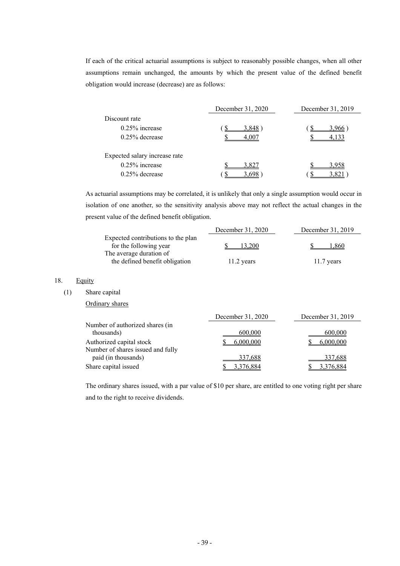If each of the critical actuarial assumptions is subject to reasonably possible changes, when all other assumptions remain unchanged, the amounts by which the present value of the defined benefit obligation would increase (decrease) are as follows:

|                               | December 31, 2020 | December 31, 2019 |
|-------------------------------|-------------------|-------------------|
| Discount rate                 |                   |                   |
| $0.25\%$ increase             | 3.848             | 3.966             |
| $0.25\%$ decrease             |                   |                   |
| Expected salary increase rate |                   |                   |
| $0.25\%$ increase             | 3.827             | 3 958             |
| $0.25\%$ decrease             |                   |                   |

As actuarial assumptions may be correlated, it is unlikely that only a single assumption would occur in isolation of one another, so the sensitivity analysis above may not reflect the actual changes in the present value of the defined benefit obligation.

|                                    | December 31, 2020 | December 31, 2019 |
|------------------------------------|-------------------|-------------------|
| Expected contributions to the plan |                   |                   |
| for the following year             | 13.200            | .860              |
| The average duration of            |                   |                   |
| the defined benefit obligation     | $11.2$ years      | $11.7$ years      |

#### 18. Equity

#### (1) Share capital

| Ordinary shares                   |                   |                   |
|-----------------------------------|-------------------|-------------------|
|                                   | December 31, 2020 | December 31, 2019 |
| Number of authorized shares (in   |                   |                   |
| thousands)                        | 600,000           | 600,000           |
| Authorized capital stock          | 6.000.000         | 6.000.000         |
| Number of shares issued and fully |                   |                   |

The ordinary shares issued, with a par value of \$10 per share, are entitled to one voting right per share and to the right to receive dividends.

paid (in thousands) 337,688 337,688 337,688 Share capital issued \$ 3,376,884 \$ 3,376,884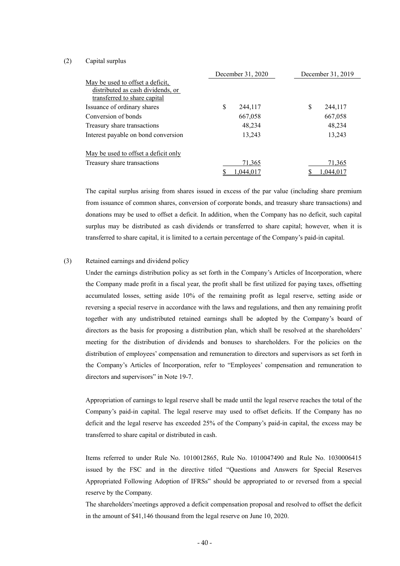#### (2) Capital surplus

|                                      | December 31, 2020 |           | December 31, 2019 |           |
|--------------------------------------|-------------------|-----------|-------------------|-----------|
| May be used to offset a deficit.     |                   |           |                   |           |
| distributed as cash dividends, or    |                   |           |                   |           |
| transferred to share capital         |                   |           |                   |           |
| Issuance of ordinary shares          | \$                | 244,117   | S                 | 244,117   |
| Conversion of bonds                  |                   | 667,058   |                   | 667,058   |
| Treasury share transactions          |                   | 48,234    |                   | 48,234    |
| Interest payable on bond conversion  |                   | 13,243    |                   | 13,243    |
| May be used to offset a deficit only |                   |           |                   |           |
| Treasury share transactions          |                   | 71,365    |                   | 71,365    |
|                                      |                   | 1.044.017 |                   | 1,044,017 |

The capital surplus arising from shares issued in excess of the par value (including share premium from issuance of common shares, conversion of corporate bonds, and treasury share transactions) and donations may be used to offset a deficit. In addition, when the Company has no deficit, such capital surplus may be distributed as cash dividends or transferred to share capital; however, when it is transferred to share capital, it is limited to a certain percentage of the Company's paid-in capital.

#### (3) Retained earnings and dividend policy

Under the earnings distribution policy as set forth in the Company's Articles of Incorporation, where the Company made profit in a fiscal year, the profit shall be first utilized for paying taxes, offsetting accumulated losses, setting aside 10% of the remaining profit as legal reserve, setting aside or reversing a special reserve in accordance with the laws and regulations, and then any remaining profit together with any undistributed retained earnings shall be adopted by the Company's board of directors as the basis for proposing a distribution plan, which shall be resolved at the shareholders' meeting for the distribution of dividends and bonuses to shareholders. For the policies on the distribution of employees' compensation and remuneration to directors and supervisors as set forth in the Company's Articles of Incorporation, refer to "Employees' compensation and remuneration to directors and supervisors" in Note 19-7.

Appropriation of earnings to legal reserve shall be made until the legal reserve reaches the total of the Company's paid-in capital. The legal reserve may used to offset deficits. If the Company has no deficit and the legal reserve has exceeded 25% of the Company's paid-in capital, the excess may be transferred to share capital or distributed in cash.

Items referred to under Rule No. 1010012865, Rule No. 1010047490 and Rule No. 1030006415 issued by the FSC and in the directive titled "Questions and Answers for Special Reserves Appropriated Following Adoption of IFRSs" should be appropriated to or reversed from a special reserve by the Company.

The shareholders'meetings approved a deficit compensation proposal and resolved to offset the deficit in the amount of \$41,146 thousand from the legal reserve on June 10, 2020.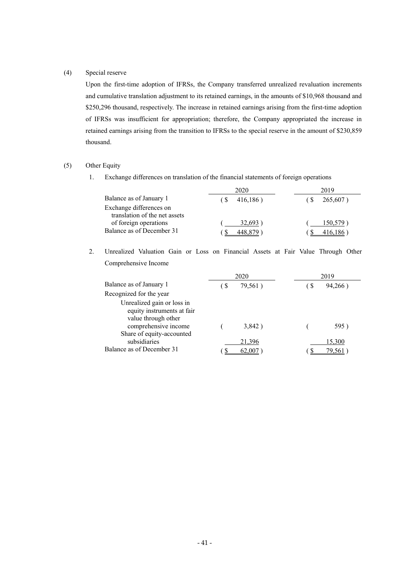#### (4) Special reserve

Upon the first-time adoption of IFRSs, the Company transferred unrealized revaluation increments and cumulative translation adjustment to its retained earnings, in the amounts of \$10,968 thousand and \$250,296 thousand, respectively. The increase in retained earnings arising from the first-time adoption of IFRSs was insufficient for appropriation; therefore, the Company appropriated the increase in retained earnings arising from the transition to IFRSs to the special reserve in the amount of \$230,859 thousand.

#### (5) Other Equity

1. Exchange differences on translation of the financial statements of foreign operations

|                                                          | 2020     | 2019        |  |
|----------------------------------------------------------|----------|-------------|--|
| Balance as of January 1                                  | 416,186) | $265,607$ ) |  |
| Exchange differences on<br>translation of the net assets |          |             |  |
| of foreign operations                                    | 32.693   | 150,579     |  |
| Balance as of December 31                                |          |             |  |

 2. Unrealized Valuation Gain or Loss on Financial Assets at Fair Value Through Other Comprehensive Income

|                                                                                 | 2020 |         |    | 2019   |
|---------------------------------------------------------------------------------|------|---------|----|--------|
| Balance as of January 1                                                         | -S   | 79,561) | -S | 94,266 |
| Recognized for the year                                                         |      |         |    |        |
| Unrealized gain or loss in<br>equity instruments at fair<br>value through other |      |         |    |        |
| comprehensive income                                                            |      | 3,842)  |    | 595)   |
| Share of equity-accounted                                                       |      |         |    |        |
| subsidiaries                                                                    |      | 21,396  |    | 15,300 |
| Balance as of December 31                                                       |      |         |    | 79.56  |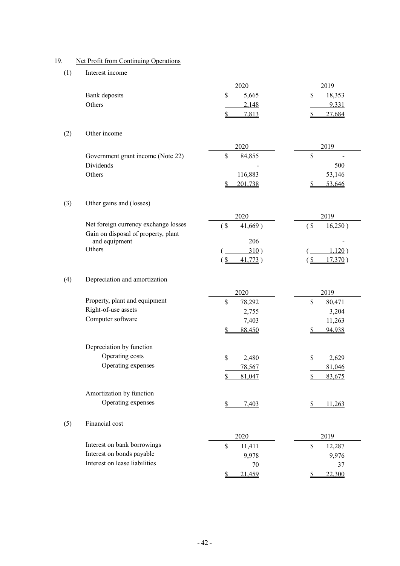## 19. Net Profit from Continuing Operations

#### (1) Interest income

|     |                                                                             | 2020                     | 2019                                         |
|-----|-----------------------------------------------------------------------------|--------------------------|----------------------------------------------|
|     | Bank deposits                                                               | \$<br>5,665              | \$<br>18,353                                 |
|     | Others                                                                      | 2,148                    | 9,331                                        |
|     |                                                                             | $\mathcal{S}$<br>7,813   | $\mathbf{\underline{\mathcal{S}}}$<br>27,684 |
| (2) | Other income                                                                |                          |                                              |
|     |                                                                             | 2020                     | 2019                                         |
|     | Government grant income (Note 22)                                           | \$<br>84,855             | \$                                           |
|     | Dividends                                                                   |                          | 500                                          |
|     | Others                                                                      | 116,883                  | 53,146                                       |
|     |                                                                             | \$<br>201,738            | 53,646<br>\$                                 |
| (3) | Other gains and (losses)                                                    |                          |                                              |
|     |                                                                             | 2020                     | 2019                                         |
|     | Net foreign currency exchange losses<br>Gain on disposal of property, plant | $($ \$<br>41,669)        | $($ \$<br>16,250)                            |
|     | and equipment                                                               | 206                      |                                              |
|     | Others                                                                      | 310)                     | 1,120)                                       |
|     |                                                                             | $\mathbf{\S}$<br>41,773) | $\frac{1}{2}$<br>17,370)                     |
| (4) | Depreciation and amortization                                               |                          |                                              |
|     |                                                                             | 2020                     | 2019                                         |
|     | Property, plant and equipment                                               | \$<br>78,292             | $\mathbb{S}$<br>80,471                       |
|     | Right-of-use assets                                                         | 2,755                    | 3,204                                        |
|     | Computer software                                                           | 7,403                    | 11,263                                       |
|     |                                                                             | 88,450<br>\$             | 94,938<br>\$                                 |
|     | Depreciation by function                                                    |                          |                                              |
|     | Operating costs                                                             | \$<br>2,480              | \$<br>2,629                                  |
|     | Operating expenses                                                          | 78,567                   | 81,046                                       |
|     |                                                                             | \$<br>81,047             | \$<br>83,675                                 |
|     | Amortization by function                                                    |                          |                                              |
|     | Operating expenses                                                          | 7,403<br>S.              | 11,263<br>S.                                 |
| (5) | Financial cost                                                              |                          |                                              |
|     |                                                                             | 2020                     | 2019                                         |
|     | Interest on bank borrowings                                                 | \$<br>11,411             | \$<br>12,287                                 |
|     | Interest on bonds payable                                                   | 9,978                    | 9,976                                        |
|     | Interest on lease liabilities                                               | 70                       | 37                                           |
|     |                                                                             | \$<br>21,459             | 22,300<br>\$                                 |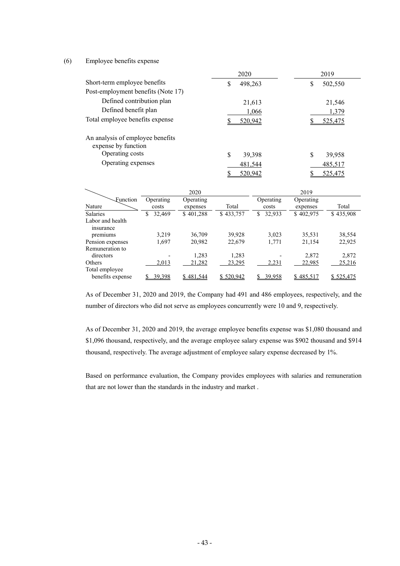#### (6) Employee benefits expense

|                                                         | 2020         | 2019          |
|---------------------------------------------------------|--------------|---------------|
| Short-term employee benefits                            | 498,263<br>S | \$<br>502,550 |
| Post-employment benefits (Note 17)                      |              |               |
| Defined contribution plan                               | 21,613       | 21,546        |
| Defined benefit plan                                    | 1,066        | 1,379         |
| Total employee benefits expense                         | 520.942      | 525,475       |
| An analysis of employee benefits<br>expense by function |              |               |
| Operating costs                                         | S<br>39,398  | S<br>39,958   |
| Operating expenses                                      | 481,544      | 485,517       |
|                                                         | 520.942      | 525,475       |

|                                     |                    | 2020                  |           |                    | 2019                  |           |
|-------------------------------------|--------------------|-----------------------|-----------|--------------------|-----------------------|-----------|
| Function<br>Nature                  | Operating<br>costs | Operating<br>expenses | Total     | Operating<br>costs | Operating<br>expenses | Total     |
| <b>Salaries</b>                     | 32,469             | \$401,288             | \$433,757 | 32,933<br>\$       | \$402,975             | \$435,908 |
| Labor and health                    |                    |                       |           |                    |                       |           |
| insurance<br>premiums               | 3,219              | 36,709                | 39,928    | 3,023              | 35,531                | 38,554    |
| Pension expenses<br>Remuneration to | 1,697              | 20,982                | 22,679    | 1,771              | 21,154                | 22,925    |
| directors                           |                    | 1,283                 | 1,283     |                    | 2,872                 | 2,872     |
| Others                              | 2,013              | 21,282                | 23,295    | 2,231              | 22,985                | 25,216    |
| Total employee<br>benefits expense  | 39,398             | \$481,544             | \$520,942 | 39.958             | \$485,517             | \$525,475 |

As of December 31, 2020 and 2019, the Company had 491 and 486 employees, respectively, and the number of directors who did not serve as employees concurrently were 10 and 9, respectively.

As of December 31, 2020 and 2019, the average employee benefits expense was \$1,080 thousand and \$1,096 thousand, respectively, and the average employee salary expense was \$902 thousand and \$914 thousand, respectively. The average adjustment of employee salary expense decreased by 1%.

Based on performance evaluation, the Company provides employees with salaries and remuneration that are not lower than the standards in the industry and market .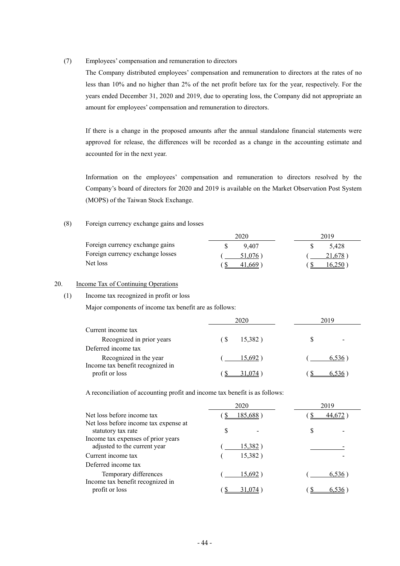#### (7) Employees' compensation and remuneration to directors

The Company distributed employees' compensation and remuneration to directors at the rates of no less than 10% and no higher than 2% of the net profit before tax for the year, respectively. For the years ended December 31, 2020 and 2019, due to operating loss, the Company did not appropriate an amount for employees' compensation and remuneration to directors.

If there is a change in the proposed amounts after the annual standalone financial statements were approved for release, the differences will be recorded as a change in the accounting estimate and accounted for in the next year.

Information on the employees' compensation and remuneration to directors resolved by the Company's board of directors for 2020 and 2019 is available on the Market Observation Post System (MOPS) of the Taiwan Stock Exchange.

#### (8) Foreign currency exchange gains and losses

|                                  | 2020       | 2019   |
|----------------------------------|------------|--------|
| Foreign currency exchange gains  | 9407       | 5.428  |
| Foreign currency exchange losses | $51.076$ ) | 21,678 |
| Net loss                         | 41.669     | 6.250  |

#### 20. Income Tax of Continuing Operations

#### (1) Income tax recognized in profit or loss

Major components of income tax benefit are as follows:

|                                                            | 2020           | 2019  |
|------------------------------------------------------------|----------------|-------|
| Current income tax                                         |                |       |
| Recognized in prior years                                  | 15,382)<br>6 S |       |
| Deferred income tax                                        |                |       |
| Recognized in the year<br>Income tax benefit recognized in | 15.692         | 6,536 |
| profit or loss                                             | 074            |       |

A reconciliation of accounting profit and income tax benefit is as follows:

|                                                                    | 2020            | 2019  |
|--------------------------------------------------------------------|-----------------|-------|
| Net loss before income tax                                         | 185.688         |       |
| Net loss before income tax expense at<br>statutory tax rate        | S               | S     |
| Income tax expenses of prior years<br>adjusted to the current year | <u>15,382</u> ) |       |
| Current income tax                                                 | 15,382)         |       |
| Deferred income tax                                                |                 |       |
| Temporary differences<br>Income tax benefit recognized in          | 15,692          | 6,536 |
| profit or loss                                                     |                 |       |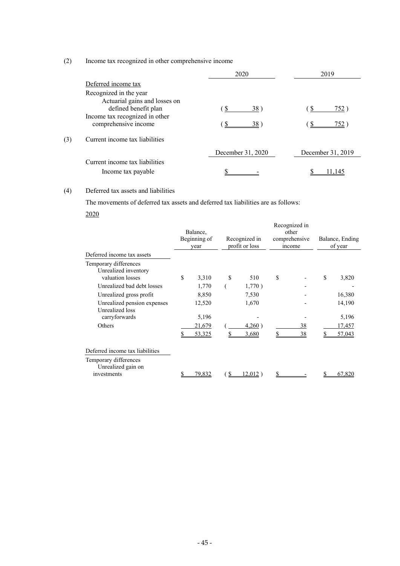#### (2) Income tax recognized in other comprehensive income

|     |                                                                                                                                           | 2020              | 2019                |
|-----|-------------------------------------------------------------------------------------------------------------------------------------------|-------------------|---------------------|
|     | Deferred income tax                                                                                                                       |                   |                     |
|     | Recognized in the year<br>Actuarial gains and losses on<br>defined benefit plan<br>Income tax recognized in other<br>comprehensive income | 38)<br>£.<br>38)  | <u>752</u> )<br>752 |
| (3) | Current income tax liabilities                                                                                                            |                   |                     |
|     |                                                                                                                                           | December 31, 2020 | December 31, 2019   |
|     | Current income tax liabilities<br>Income tax payable                                                                                      |                   |                     |

#### (4) Deferred tax assets and liabilities

The movements of deferred tax assets and deferred tax liabilities are as follows:

2020

|                                                                   | Balance,<br>Beginning of<br>year |   | Recognized in<br>profit or loss | Recognized in<br>other<br>comprehensive<br><i>ncome</i> |    | Balance, Ending<br>of year |
|-------------------------------------------------------------------|----------------------------------|---|---------------------------------|---------------------------------------------------------|----|----------------------------|
| Deferred income tax assets                                        |                                  |   |                                 |                                                         |    |                            |
| Temporary differences<br>Unrealized inventory<br>valuation losses | \$<br>3,310                      | S | 510                             | \$                                                      | \$ | 3,820                      |
| Unrealized bad debt losses                                        | 1,770                            |   | 1,770)                          |                                                         |    |                            |
| Unrealized gross profit                                           | 8,850                            |   | 7,530                           |                                                         |    | 16,380                     |
| Unrealized pension expenses<br>Unrealized loss                    | 12,520                           |   | 1,670                           |                                                         |    | 14,190                     |
| carryforwards                                                     | 5,196                            |   |                                 |                                                         |    | 5,196                      |
| Others                                                            | 21,679                           |   | 4,260                           | 38                                                      |    | 17,457                     |
|                                                                   | 53,325                           |   | 3,680                           | 38                                                      |    | 57,043                     |
| Deferred income tax liabilities                                   |                                  |   |                                 |                                                         |    |                            |
| Temporary differences<br>Unrealized gain on                       |                                  |   |                                 |                                                         |    |                            |
| investments                                                       | \$<br>79,832                     | S | $12,012$ )                      | \$                                                      | S  | 67,820                     |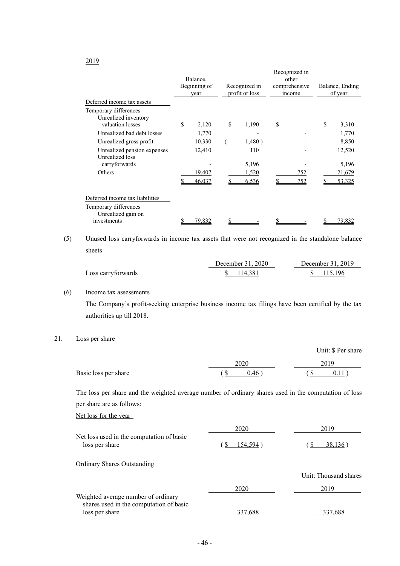|                                                                   | Balance.<br>Beginning of<br>year | Recognized in<br>profit or loss | Recognized in<br>other<br>comprehensive<br>income | Balance, Ending<br>of year |
|-------------------------------------------------------------------|----------------------------------|---------------------------------|---------------------------------------------------|----------------------------|
| Deferred income tax assets                                        |                                  |                                 |                                                   |                            |
| Temporary differences<br>Unrealized inventory<br>valuation losses | \$<br>2,120                      | \$<br>1,190                     | \$                                                | \$<br>3,310                |
| Unrealized bad debt losses                                        | 1,770                            |                                 |                                                   | 1,770                      |
| Unrealized gross profit                                           | 10,330                           | 1,480)                          |                                                   | 8,850                      |
| Unrealized pension expenses<br>Unrealized loss<br>carryforwards   | 12,410                           | 110<br>5,196                    |                                                   | 12,520<br>5,196            |
| Others                                                            | 19,407<br>46,037                 | 1,520<br>6,536                  | 752<br>752                                        | 21,679<br>53,325           |
| Deferred income tax liabilities                                   |                                  |                                 |                                                   |                            |
| Temporary differences<br>Unrealized gain on                       |                                  |                                 |                                                   |                            |
| investments                                                       | 79,832                           |                                 |                                                   | 79,832                     |

(5) Unused loss carryforwards in income tax assets that were not recognized in the standalone balance sheets

|                    | December 31, 2020 | December 31, 2019 |
|--------------------|-------------------|-------------------|
| Loss carryforwards | 114.381           | \$115.196         |

#### (6) Income tax assessments

The Company's profit-seeking enterprise business income tax filings have been certified by the tax authorities up till 2018.

#### 21. Loss per share

|                      |                | Unit: \$ Per share |
|----------------------|----------------|--------------------|
|                      | 2020           | 2019               |
| Basic loss per share | $0.46^{\circ}$ | 0.11               |

The loss per share and the weighted average number of ordinary shares used in the computation of loss per share are as follows:

Net loss for the year

|                                                                                                  | 2020    | 2019                  |
|--------------------------------------------------------------------------------------------------|---------|-----------------------|
| Net loss used in the computation of basic<br>loss per share                                      | 154.594 | 38,136                |
| <b>Ordinary Shares Outstanding</b>                                                               |         |                       |
|                                                                                                  |         | Unit: Thousand shares |
|                                                                                                  | 2020    | 2019                  |
| Weighted average number of ordinary<br>shares used in the computation of basic<br>loss per share | 337.688 | 337.688               |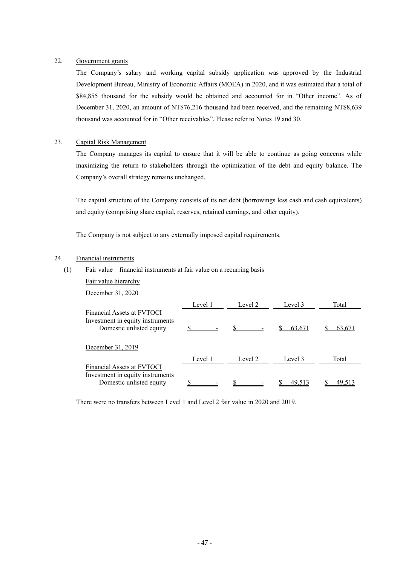#### 22. Government grants

The Company's salary and working capital subsidy application was approved by the Industrial Development Bureau, Ministry of Economic Affairs (MOEA) in 2020, and it was estimated that a total of \$84,855 thousand for the subsidy would be obtained and accounted for in "Other income". As of December 31, 2020, an amount of NT\$76,216 thousand had been received, and the remaining NT\$8,639 thousand was accounted for in "Other receivables". Please refer to Notes 19 and 30.

#### 23. Capital Risk Management

The Company manages its capital to ensure that it will be able to continue as going concerns while maximizing the return to stakeholders through the optimization of the debt and equity balance. The Company's overall strategy remains unchanged.

The capital structure of the Company consists of its net debt (borrowings less cash and cash equivalents) and equity (comprising share capital, reserves, retained earnings, and other equity).

The Company is not subject to any externally imposed capital requirements.

#### 24. Financial instruments

- (1) Fair value—financial instruments at fair value on a recurring basis
	- Fair value hierarchy

December 31, 2020

|                                                                                            | Level 1 | Level 2 | Level 3 | Total |
|--------------------------------------------------------------------------------------------|---------|---------|---------|-------|
| Financial Assets at FVTOCI<br>Investment in equity instruments<br>Domestic unlisted equity |         |         | 63,671  | 63.67 |
| December 31, 2019                                                                          |         |         |         |       |
|                                                                                            | Level 1 | Level 2 | Level 3 | Total |
| <b>Financial Assets at FVTOCI</b><br>Investment in equity instruments                      |         |         |         |       |
| Domestic unlisted equity                                                                   |         |         | 49.51   |       |

There were no transfers between Level 1 and Level 2 fair value in 2020 and 2019.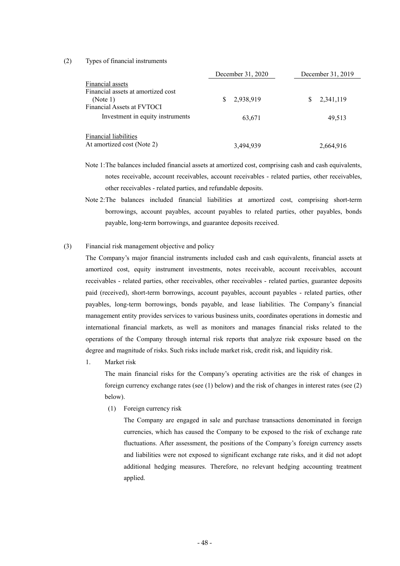(2) Types of financial instruments

|                                                                                                  | December 31, 2020 | December 31, 2019 |
|--------------------------------------------------------------------------------------------------|-------------------|-------------------|
| Financial assets<br>Financial assets at amortized cost<br>(Note 1)<br>Financial Assets at FVTOCI | 2,938,919         | 2,341,119<br>S    |
| Investment in equity instruments                                                                 | 63,671            | 49.513            |
| <b>Financial liabilities</b><br>At amortized cost (Note 2)                                       | 3,494,939         | 2,664,916         |

- Note 1: The balances included financial assets at amortized cost, comprising cash and cash equivalents, notes receivable, account receivables, account receivables - related parties, other receivables, other receivables - related parties, and refundable deposits.
- Note 2: The balances included financial liabilities at amortized cost, comprising short-term borrowings, account payables, account payables to related parties, other payables, bonds payable, long-term borrowings, and guarantee deposits received.
- (3) Financial risk management objective and policy

The Company's major financial instruments included cash and cash equivalents, financial assets at amortized cost, equity instrument investments, notes receivable, account receivables, account receivables - related parties, other receivables, other receivables - related parties, guarantee deposits paid (received), short-term borrowings, account payables, account payables - related parties, other payables, long-term borrowings, bonds payable, and lease liabilities. The Company's financial management entity provides services to various business units, coordinates operations in domestic and international financial markets, as well as monitors and manages financial risks related to the operations of the Company through internal risk reports that analyze risk exposure based on the degree and magnitude of risks. Such risks include market risk, credit risk, and liquidity risk.

1. Market risk

The main financial risks for the Company's operating activities are the risk of changes in foreign currency exchange rates (see (1) below) and the risk of changes in interest rates (see (2) below).

(1) Foreign currency risk

The Company are engaged in sale and purchase transactions denominated in foreign currencies, which has caused the Company to be exposed to the risk of exchange rate fluctuations. After assessment, the positions of the Company's foreign currency assets and liabilities were not exposed to significant exchange rate risks, and it did not adopt additional hedging measures. Therefore, no relevant hedging accounting treatment applied.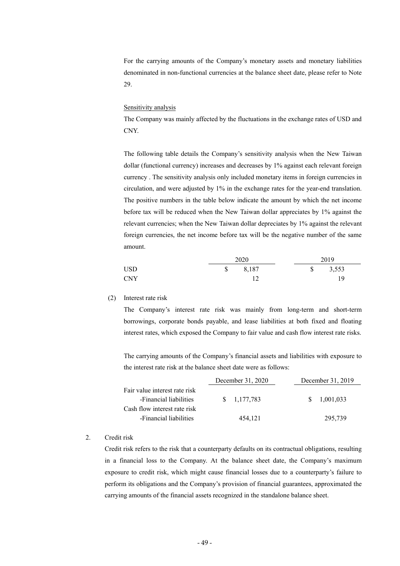For the carrying amounts of the Company's monetary assets and monetary liabilities denominated in non-functional currencies at the balance sheet date, please refer to Note 29.

#### Sensitivity analysis

The Company was mainly affected by the fluctuations in the exchange rates of USD and CNY.

The following table details the Company's sensitivity analysis when the New Taiwan dollar (functional currency) increases and decreases by 1% against each relevant foreign currency . The sensitivity analysis only included monetary items in foreign currencies in circulation, and were adjusted by 1% in the exchange rates for the year-end translation. The positive numbers in the table below indicate the amount by which the net income before tax will be reduced when the New Taiwan dollar appreciates by 1% against the relevant currencies; when the New Taiwan dollar depreciates by 1% against the relevant foreign currencies, the net income before tax will be the negative number of the same amount.

|            |    | 2020  |              | 2019  |  |
|------------|----|-------|--------------|-------|--|
| <b>USD</b> | S. | 8,187 | $\mathbb{S}$ | 3,553 |  |
| <b>CNY</b> |    |       |              | 19    |  |

(2) Interest rate risk

The Company's interest rate risk was mainly from long-term and short-term borrowings, corporate bonds payable, and lease liabilities at both fixed and floating interest rates, which exposed the Company to fair value and cash flow interest rate risks.

The carrying amounts of the Company's financial assets and liabilities with exposure to the interest rate risk at the balance sheet date were as follows:

|                               | December 31, 2020 | December 31, 2019 |
|-------------------------------|-------------------|-------------------|
| Fair value interest rate risk |                   |                   |
| -Financial liabilities        | \$ 1.177.783      | 1,001,033<br>SS.  |
| Cash flow interest rate risk  |                   |                   |
| -Financial liabilities        | 454,121           | 295,739           |

#### 2. Credit risk

Credit risk refers to the risk that a counterparty defaults on its contractual obligations, resulting in a financial loss to the Company. At the balance sheet date, the Company's maximum exposure to credit risk, which might cause financial losses due to a counterparty's failure to perform its obligations and the Company's provision of financial guarantees, approximated the carrying amounts of the financial assets recognized in the standalone balance sheet.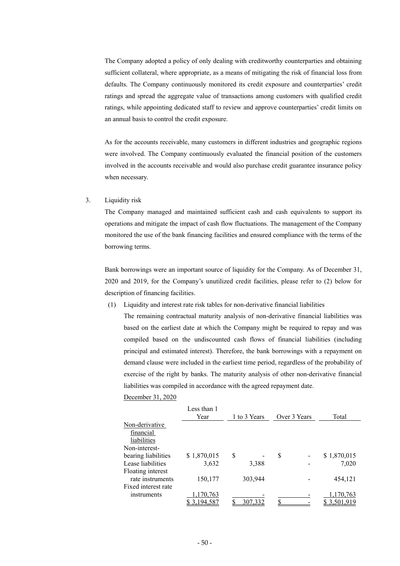The Company adopted a policy of only dealing with creditworthy counterparties and obtaining sufficient collateral, where appropriate, as a means of mitigating the risk of financial loss from defaults. The Company continuously monitored its credit exposure and counterparties' credit ratings and spread the aggregate value of transactions among customers with qualified credit ratings, while appointing dedicated staff to review and approve counterparties' credit limits on an annual basis to control the credit exposure.

As for the accounts receivable, many customers in different industries and geographic regions were involved. The Company continuously evaluated the financial position of the customers involved in the accounts receivable and would also purchase credit guarantee insurance policy when necessary.

#### 3. Liquidity risk

The Company managed and maintained sufficient cash and cash equivalents to support its operations and mitigate the impact of cash flow fluctuations. The management of the Company monitored the use of the bank financing facilities and ensured compliance with the terms of the borrowing terms.

Bank borrowings were an important source of liquidity for the Company. As of December 31, 2020 and 2019, for the Company's unutilized credit facilities, please refer to (2) below for description of financing facilities.

(1) Liquidity and interest rate risk tables for non-derivative financial liabilities

The remaining contractual maturity analysis of non-derivative financial liabilities was based on the earliest date at which the Company might be required to repay and was compiled based on the undiscounted cash flows of financial liabilities (including principal and estimated interest). Therefore, the bank borrowings with a repayment on demand clause were included in the earliest time period, regardless of the probability of exercise of the right by banks. The maturity analysis of other non-derivative financial liabilities was compiled in accordance with the agreed repayment date.

#### December 31, 2020

|                     | Less than 1<br>Year |   | 1 to 3 Years |   | Over 3 Years | Total       |
|---------------------|---------------------|---|--------------|---|--------------|-------------|
| Non-derivative      |                     |   |              |   |              |             |
| financial           |                     |   |              |   |              |             |
| liabilities         |                     |   |              |   |              |             |
| Non-interest-       |                     |   |              |   |              |             |
| bearing liabilities | \$1,870,015         | S |              | S |              | \$1,870,015 |
| Lease liabilities   | 3,632               |   | 3,388        |   |              | 7,020       |
| Floating interest   |                     |   |              |   |              |             |
| rate instruments    | 150,177             |   | 303,944      |   |              | 454,121     |
| Fixed interest rate |                     |   |              |   |              |             |
| instruments         | 170,763             |   |              |   |              | 1,170,763   |
|                     | 3.194.587           |   | 307,332      |   |              | 3.501.919   |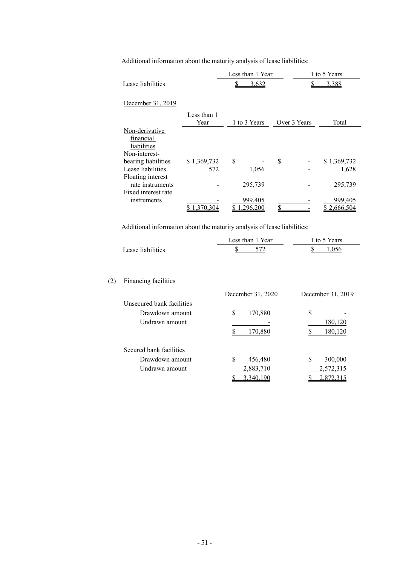Additional information about the maturity analysis of lease liabilities:

|                                                               |                     |   | Less than 1 Year   |              | 1 to 5 Years           |
|---------------------------------------------------------------|---------------------|---|--------------------|--------------|------------------------|
| Lease liabilities                                             |                     |   | 3,632              |              | 3,388                  |
| December 31, 2019                                             |                     |   |                    |              |                        |
|                                                               | Less than 1<br>Year |   | 1 to 3 Years       | Over 3 Years | Total                  |
| Non-derivative<br>financial<br>liabilities                    |                     |   |                    |              |                        |
| Non-interest-                                                 |                     | S |                    |              |                        |
| bearing liabilities<br>Lease liabilities<br>Floating interest | \$1,369,732<br>572  |   | 1,056              | \$           | \$1,369,732<br>1,628   |
| rate instruments<br>Fixed interest rate                       |                     |   | 295,739            |              | 295,739                |
| instruments                                                   | 370 304             |   | 999,405<br>296,200 |              | 999,405<br>\$2.666.504 |

Additional information about the maturity analysis of lease liabilities:

|                   | Less than 1 Year | 1 to 5 Years |
|-------------------|------------------|--------------|
| Lease liabilities |                  |              |

#### (2) Financing facilities

|                           | December 31, 2020 | December 31, 2019 |
|---------------------------|-------------------|-------------------|
| Unsecured bank facilities |                   |                   |
| Drawdown amount           | \$<br>170,880     | S                 |
| Undrawn amount            |                   | 180,120           |
|                           | 70.880            | 180.120           |
|                           |                   |                   |
| Secured bank facilities   |                   |                   |
| Drawdown amount           | 456,480<br>S      | S<br>300,000      |
| Undrawn amount            | 2,883,710         | 2,572,315         |
|                           | 3,340,190         | 2,872,315         |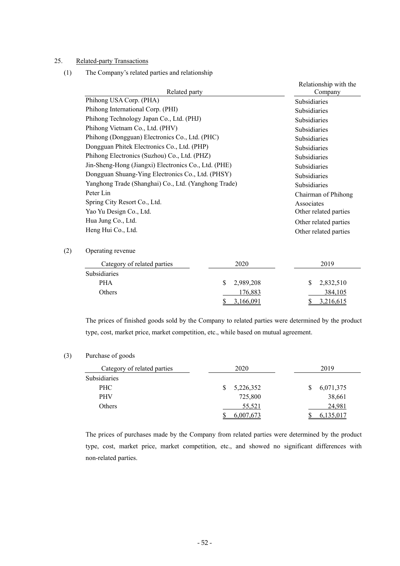#### 25. Related-party Transactions

(1) The Company's related parties and relationship

|                                                      | Relationship with the |
|------------------------------------------------------|-----------------------|
| Related party                                        | Company               |
| Phihong USA Corp. (PHA)                              | <b>Subsidiaries</b>   |
| Phihong International Corp. (PHI)                    | <b>Subsidiaries</b>   |
| Phihong Technology Japan Co., Ltd. (PHJ)             | <b>Subsidiaries</b>   |
| Phihong Vietnam Co., Ltd. (PHV)                      | <b>Subsidiaries</b>   |
| Phihong (Dongguan) Electronics Co., Ltd. (PHC)       | <b>Subsidiaries</b>   |
| Dongguan Phitek Electronics Co., Ltd. (PHP)          | <b>Subsidiaries</b>   |
| Phihong Electronics (Suzhou) Co., Ltd. (PHZ)         | <b>Subsidiaries</b>   |
| Jin-Sheng-Hong (Jiangxi) Electronics Co., Ltd. (PHE) | <b>Subsidiaries</b>   |
| Dongguan Shuang-Ying Electronics Co., Ltd. (PHSY)    | <b>Subsidiaries</b>   |
| Yanghong Trade (Shanghai) Co., Ltd. (Yanghong Trade) | <b>Subsidiaries</b>   |
| Peter Lin                                            | Chairman of Phihong   |
| Spring City Resort Co., Ltd.                         | Associates            |
| Yao Yu Design Co., Ltd.                              | Other related parties |
| Hua Jung Co., Ltd.                                   | Other related parties |
| Heng Hui Co., Ltd.                                   | Other related parties |

#### (2) Operating revenue

| Category of related parties | 2020        | 2019                      |
|-----------------------------|-------------|---------------------------|
| <b>Subsidiaries</b>         |             |                           |
| <b>PHA</b>                  | \$2,989,208 | 2,832,510<br><sup>S</sup> |
| Others                      | 176,883     | 384,105                   |
|                             | 3.166.091   | 3,216,615                 |

The prices of finished goods sold by the Company to related parties were determined by the product type, cost, market price, market competition, etc., while based on mutual agreement.

#### (3) Purchase of goods

| Category of related parties | 2020      | 2019      |
|-----------------------------|-----------|-----------|
| Subsidiaries                |           |           |
| PHC                         | 5,226,352 | 6,071,375 |
| <b>PHV</b>                  | 725,800   | 38,661    |
| Others                      | 55,521    | 24,981    |
|                             | 6.007.673 |           |

The prices of purchases made by the Company from related parties were determined by the product type, cost, market price, market competition, etc., and showed no significant differences with non-related parties.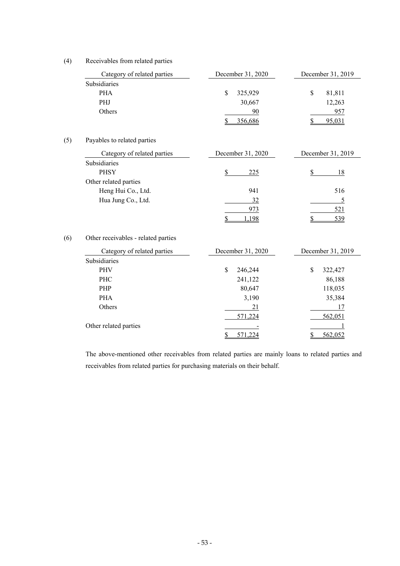#### (4) Receivables from related parties

| Category of related parties         | December 31, 2020           | December 31, 2019 |  |
|-------------------------------------|-----------------------------|-------------------|--|
| Subsidiaries                        |                             |                   |  |
| <b>PHA</b>                          | \$<br>325,929               | \$<br>81,811      |  |
| PHJ                                 | 30,667                      | 12,263            |  |
| Others                              | 90                          | 957               |  |
|                                     | 356,686<br>\$               | 95,031<br>\$      |  |
| Payables to related parties         |                             |                   |  |
| Category of related parties         | December 31, 2020           | December 31, 2019 |  |
| Subsidiaries                        |                             |                   |  |
| <b>PHSY</b>                         | 225<br>S                    | 18<br>S           |  |
| Other related parties               |                             |                   |  |
| Heng Hui Co., Ltd.                  | 941                         | 516               |  |
| Hua Jung Co., Ltd.                  | 32                          | $\overline{5}$    |  |
|                                     | 973                         | 521               |  |
|                                     | $\mathbf{\hat{S}}$<br>1,198 | \$<br>539         |  |
| Other receivables - related parties |                             |                   |  |
| Category of related parties         | December 31, 2020           | December 31, 2019 |  |
| Subsidiaries                        |                             |                   |  |
| <b>PHV</b>                          | \$<br>246,244               | \$<br>322,427     |  |
| PHC                                 | 241,122                     | 86,188            |  |
| PHP                                 | 80,647                      | 118,035           |  |
| <b>PHA</b>                          | 3,190                       | 35,384            |  |
| Others                              | 21                          | 17                |  |
|                                     | 571,224                     | 562,051           |  |
| Other related parties               |                             | 1                 |  |

The above-mentioned other receivables from related parties are mainly loans to related parties and receivables from related parties for purchasing materials on their behalf.

 $\overline{\text{S}}$  571,224  $\overline{\text{S}}$  562,052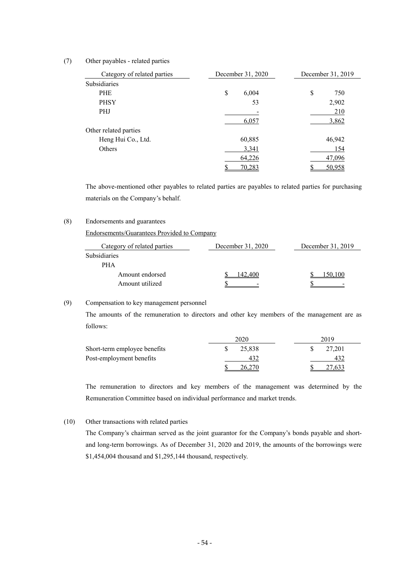#### (7) Other payables - related parties

| Category of related parties | December 31, 2020 | December 31, 2019 |
|-----------------------------|-------------------|-------------------|
| Subsidiaries                |                   |                   |
| <b>PHE</b>                  | \$<br>6,004       | \$<br>750         |
| <b>PHSY</b>                 | 53                | 2,902             |
| <b>PHJ</b>                  |                   | 210               |
|                             | 6,057             | 3,862             |
| Other related parties       |                   |                   |
| Heng Hui Co., Ltd.          | 60,885            | 46,942            |
| Others                      | 3,341             | 154               |
|                             | 64,226            | 47,096            |
|                             | 70,283            | 50,958            |

The above-mentioned other payables to related parties are payables to related parties for purchasing materials on the Company's behalf.

#### (8) Endorsements and guarantees

Endorsements/Guarantees Provided to Company

| Category of related parties | December 31, 2020 | December 31, 2019 |
|-----------------------------|-------------------|-------------------|
| Subsidiaries                |                   |                   |
| <b>PHA</b>                  |                   |                   |
| Amount endorsed             |                   | 10O               |
| Amount utilized             |                   |                   |

#### (9) Compensation to key management personnel

The amounts of the remuneration to directors and other key members of the management are as follows:

|                              | 2020   | 2019 |        |  |  |  |
|------------------------------|--------|------|--------|--|--|--|
| Short-term employee benefits | 25.838 |      | 27.201 |  |  |  |
| Post-employment benefits     | 432    |      | 432    |  |  |  |
|                              |        |      |        |  |  |  |

The remuneration to directors and key members of the management was determined by the Remuneration Committee based on individual performance and market trends.

#### (10) Other transactions with related parties

The Company's chairman served as the joint guarantor for the Company's bonds payable and shortand long-term borrowings. As of December 31, 2020 and 2019, the amounts of the borrowings were \$1,454,004 thousand and \$1,295,144 thousand, respectively.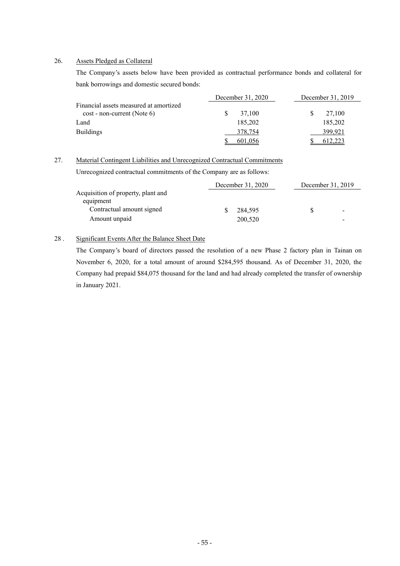#### 26. Assets Pledged as Collateral

The Company's assets below have been provided as contractual performance bonds and collateral for bank borrowings and domestic secured bonds:

|                                                                         | December 31, 2020 | December 31, 2019 |
|-------------------------------------------------------------------------|-------------------|-------------------|
| Financial assets measured at amortized<br>$cost$ - non-current (Note 6) | 37.100            | 27,100            |
| Land                                                                    | 185.202           | 185,202           |
| <b>Buildings</b>                                                        | 378,754           | 399,921           |
|                                                                         | 601,056           | 612,223           |

#### 27. Material Contingent Liabilities and Unrecognized Contractual Commitments

Unrecognized contractual commitments of the Company are as follows:

|                                                 | December 31, 2020 | December 31, 2019 |                 |  |  |
|-------------------------------------------------|-------------------|-------------------|-----------------|--|--|
| Acquisition of property, plant and<br>equipment |                   |                   |                 |  |  |
| Contractual amount signed                       | 284.595           |                   | $\qquad \qquad$ |  |  |
| Amount unpaid                                   | 200,520           |                   | -               |  |  |

#### 28 . Significant Events After the Balance Sheet Date

The Company's board of directors passed the resolution of a new Phase 2 factory plan in Tainan on November 6, 2020, for a total amount of around \$284,595 thousand. As of December 31, 2020, the Company had prepaid \$84,075 thousand for the land and had already completed the transfer of ownership in January 2021.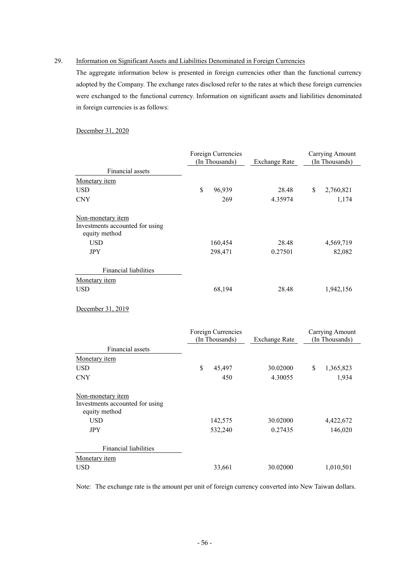#### 29. Information on Significant Assets and Liabilities Denominated in Foreign Currencies

The aggregate information below is presented in foreign currencies other than the functional currency adopted by the Company. The exchange rates disclosed refer to the rates at which these foreign currencies were exchanged to the functional currency. Information on significant assets and liabilities denominated in foreign currencies is as follows:

#### December 31, 2020

|                                                                       | Foreign Currencies<br>(In Thousands) | <b>Exchange Rate</b> | Carrying Amount<br>(In Thousands) |  |  |
|-----------------------------------------------------------------------|--------------------------------------|----------------------|-----------------------------------|--|--|
| Financial assets                                                      |                                      |                      |                                   |  |  |
| Monetary item                                                         |                                      |                      |                                   |  |  |
| <b>USD</b>                                                            | \$<br>96,939                         | 28.48                | \$<br>2,760,821                   |  |  |
| <b>CNY</b>                                                            | 269                                  | 4.35974              | 1,174                             |  |  |
| Non-monetary item<br>Investments accounted for using<br>equity method |                                      |                      |                                   |  |  |
| <b>USD</b>                                                            | 160,454                              | 28.48                | 4,569,719                         |  |  |
| <b>JPY</b>                                                            | 298,471                              | 0.27501              | 82,082                            |  |  |
| Financial liabilities                                                 |                                      |                      |                                   |  |  |
| Monetary item                                                         |                                      |                      |                                   |  |  |
| <b>USD</b>                                                            | 68,194                               | 28.48                | 1,942,156                         |  |  |
| December 31, 2019                                                     |                                      |                      |                                   |  |  |
|                                                                       | Foreign Currencies<br>(In Thousands) | <b>Exchange Rate</b> | Carrying Amount<br>(In Thousands) |  |  |
| Financial assets                                                      |                                      |                      |                                   |  |  |
| Monetary item                                                         |                                      |                      |                                   |  |  |
| <b>USD</b>                                                            | \$<br>45,497                         | 30.02000             | \$<br>1,365,823                   |  |  |
| <b>CNY</b>                                                            | 450                                  | 4.30055              | 1,934                             |  |  |
| Non-monetary item<br>Investments accounted for using<br>equity method |                                      |                      |                                   |  |  |
| <b>USD</b>                                                            | 142,575                              | 30.02000             | 4,422,672                         |  |  |
| <b>JPY</b>                                                            | 532,240                              | 0.27435              | 146,020                           |  |  |
| Financial liabilities                                                 |                                      |                      |                                   |  |  |
| Monetary item                                                         |                                      |                      |                                   |  |  |
| <b>USD</b>                                                            | 33,661                               | 30.02000             | 1,010,501                         |  |  |

Note: The exchange rate is the amount per unit of foreign currency converted into New Taiwan dollars.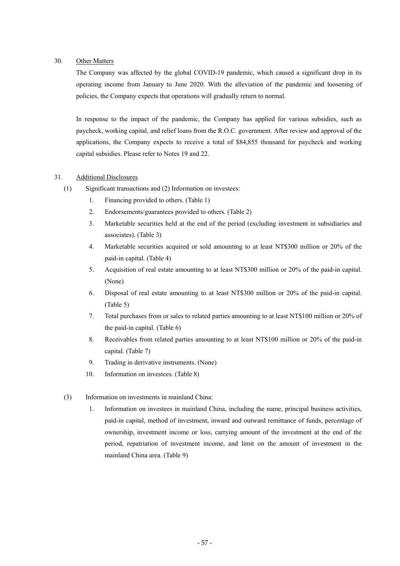#### 30. Other Matters

The Company was affected by the global COVID-19 pandemic, which caused a significant drop in its operating income from January to June 2020. With the alleviation of the pandemic and loosening of policies, the Company expects that operations will gradually return to normal.

In response to the impact of the pandemic, the Company has applied for various subsidies, such as paycheck, working capital, and relief loans from the R.O.C. government. After review and approval of the applications, the Company expects to receive a total of \$84,855 thousand for paycheck and working capital subsidies. Please refer to Notes 19 and 22.

#### 31. Additional Disclosures

- (1) Significant transactions and (2) Information on investees:
	- 1. Financing provided to others. (Table 1)
	- 2. Endorsements/guarantees provided to others. (Table 2)
	- 3. Marketable securities held at the end of the period (excluding investment in subsidiaries and associates). (Table 3)
	- 4. Marketable securities acquired or sold amounting to at least NT\$300 million or 20% of the paid-in capital. (Table 4)
	- 5. Acquisition of real estate amounting to at least NT\$300 million or 20% of the paid-in capital. (None)
	- 6. Disposal of real estate amounting to at least NT\$300 million or 20% of the paid-in capital. (Table 5)
	- 7. Total purchases from or sales to related parties amounting to at least NT\$100 million or 20% of the paid-in capital. (Table 6)
	- 8. Receivables from related parties amounting to at least NT\$100 million or 20% of the paid-in capital. (Table 7)
	- 9. Trading in derivative instruments. (None)
	- 10. Information on investees. (Table 8)
- (3) Information on investments in mainland China:
	- 1. Information on investees in mainland China, including the name, principal business activities, paid-in capital, method of investment, inward and outward remittance of funds, percentage of ownership, investment income or loss, carrying amount of the investment at the end of the period, repatriation of investment income, and limit on the amount of investment in the mainland China area. (Table 9)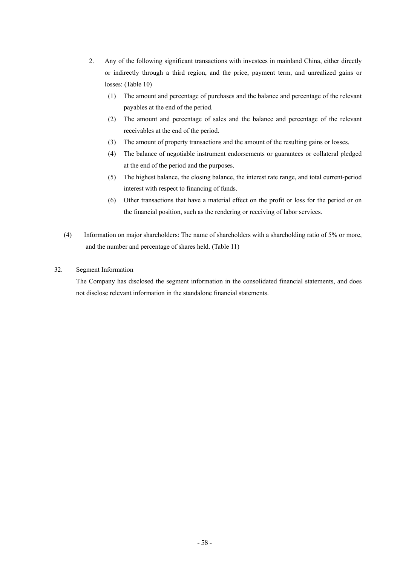- 2. Any of the following significant transactions with investees in mainland China, either directly or indirectly through a third region, and the price, payment term, and unrealized gains or losses: (Table 10)
	- (1) The amount and percentage of purchases and the balance and percentage of the relevant payables at the end of the period.
	- (2) The amount and percentage of sales and the balance and percentage of the relevant receivables at the end of the period.
	- (3) The amount of property transactions and the amount of the resulting gains or losses.
	- (4) The balance of negotiable instrument endorsements or guarantees or collateral pledged at the end of the period and the purposes.
	- (5) The highest balance, the closing balance, the interest rate range, and total current-period interest with respect to financing of funds.
	- (6) Other transactions that have a material effect on the profit or loss for the period or on the financial position, such as the rendering or receiving of labor services.
- (4) Information on major shareholders: The name of shareholders with a shareholding ratio of 5% or more, and the number and percentage of shares held. (Table 11)

#### 32. Segment Information

The Company has disclosed the segment information in the consolidated financial statements, and does not disclose relevant information in the standalone financial statements.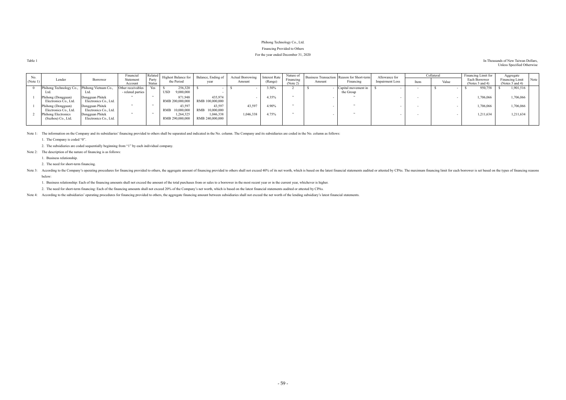#### Phihong Technology Co., Ltd. Financing Provided to Others

### For the year ended December 31, 2020

| Table 1 | In Thousands of New Taiwan Dollars, |
|---------|-------------------------------------|
|         | Unless Specified Otherwise          |

| No.      |                                              |                       | Financial         | Related | <b>Highest Balance for</b> | Balance, Ending of | <b>Actual Borrowing</b> | <b>Interest Rate</b> | Nature of |        | Business Transaction Reason for Short-term | Allowance for          |      | Collateral | Financing Limit for | Aggregate            |  |
|----------|----------------------------------------------|-----------------------|-------------------|---------|----------------------------|--------------------|-------------------------|----------------------|-----------|--------|--------------------------------------------|------------------------|------|------------|---------------------|----------------------|--|
| (Note 1) | Lender                                       | Borrower              | Statement         | Party   | the Period                 | year               | Amount                  | (Range)              | Financing | Amount | Financing                                  | <b>Impairment Loss</b> | Item | Value      | Each Borrower       | Financing Limit Note |  |
|          |                                              |                       | Account           | Status  |                            |                    |                         |                      | (Note 2)  |        |                                            |                        |      |            | (Notes 3 and 4)     | (Notes $3$ and $4$ ) |  |
|          | Phihong Technology Co., Phihong Vietnam Co., |                       | Other receivables | Yes     | 256,320                    |                    |                         | 3.50%                |           |        | Capital movement in                        |                        |      |            | 950,758             | 1,901,516            |  |
|          | Ltd.                                         |                       | - related parties |         | <b>USD</b><br>9,000,000    |                    |                         |                      |           |        | the Group                                  |                        |      |            |                     |                      |  |
|          | Phihong (Dongguan)                           | Dongguan Phitek       |                   |         | 871,948                    | 435,974            |                         | 4.35%                |           |        |                                            |                        |      |            | 1,706,066           | ,706,066             |  |
|          | Electronics Co., Ltd.                        | Electronics Co., Ltd. |                   |         | RMB 200,000,000            | RMB 100,000,000    |                         |                      |           |        |                                            |                        |      |            |                     |                      |  |
|          | Phihong (Dongguan)                           | Dongguan Phitek       |                   |         | 43.597                     | 43,597             | 43.597                  | 4.90%                |           |        |                                            |                        |      |            | 1,706,066           | ,706,066             |  |
|          | Electronics Co., Ltd.                        | Electronics Co., Ltd. |                   |         | RMB 10,000,000             | RMB 10,000,000     |                         |                      |           |        |                                            |                        |      |            |                     |                      |  |
|          | <b>Phihong Electronics</b>                   | Dongguan Phitek       |                   |         | 1.264.325                  | 1,046,338          | 1,046,338               | 4.75%                |           |        |                                            |                        |      |            | 1,211,634           | 1,211,634            |  |
|          | (Suzhou) Co., Ltd.                           | Electronics Co., Ltd. |                   |         | RMB 290,000,000            | RMB 240,000,000    |                         |                      |           |        |                                            |                        |      |            |                     |                      |  |
|          |                                              |                       |                   |         |                            |                    |                         |                      |           |        |                                            |                        |      |            |                     |                      |  |

Note 1: The information on the Company and its subsidiaries' financing provided to others shall be separated and indicated in the No. column. The Company and its subsidiaries are coded in the No. column as follows:

Note 3: According to the Company's operating procedures for financing provided to others, the aggregate amount of financing provided to others hall not exceed 40% of its net worth, which is based on the latest financial st below:

1. The Company is coded "0".

2. The subsidiaries are coded sequentially beginning from "1" by each individual company.

Note 2: The description of the nature of financing is as follows:

1. Business relationship.

2. The need for short-term financing.

1. Business relationship: Each of the financing amounts shall not exceed the amount of the total purchases from or sales to a borrower in the most recent year or in the current year, whichever is higher.

2. The need for short-term financing: Each of the financing amounts shall not exceed 20% of the Company's net worth, which is based on the latest financial statements audited or attested by CPAs.

Note 4: According to the subsidiaries' operating procedures for financing provided to others, the aggregate financing amount between subsidiaries shall not exceed the net worth of the lending subsidiary's latest financial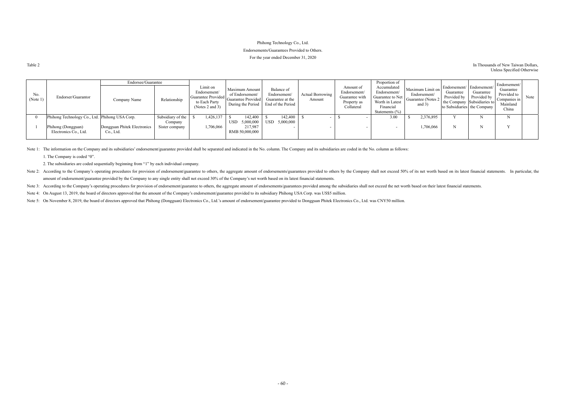#### Phihong Technology Co., Ltd.

#### Endorsements/Guarantees Provided to Others.

#### Table 2 In Thousands of New Taiwan Dollars, Unless Specified Otherwise

#### For the year ended December 31, 2020

|                 |                                                | Endorsee/Guarantee          |                   |                                                                                                                                                          |                                                        |                                                                     |                                   |                                                                          | Proportion of                                                                                         |                                                                     |                                                       |                                                                                        | Endorsement/                                                  |      |
|-----------------|------------------------------------------------|-----------------------------|-------------------|----------------------------------------------------------------------------------------------------------------------------------------------------------|--------------------------------------------------------|---------------------------------------------------------------------|-----------------------------------|--------------------------------------------------------------------------|-------------------------------------------------------------------------------------------------------|---------------------------------------------------------------------|-------------------------------------------------------|----------------------------------------------------------------------------------------|---------------------------------------------------------------|------|
| No.<br>(Note 1) | Endorser/Guarantor                             | Company Name                | Relationship      | Limit on<br>Endorsement/<br>Guarantee Provided $\begin{vmatrix} 0 & 1 & 1 \\ 0 & 0 & 0 \\ 0 & 0 & 0 \end{vmatrix}$ C<br>to Each Party<br>(Notes 2 and 3) | Maximum Amount<br>of Endorsement/<br>During the Period | Balance of<br>Endorsement/<br>Guarantee at the<br>End of the Period | <b>Actual Borrowing</b><br>Amount | Amount of<br>Endorsement/<br>Guarantee with<br>Property as<br>Collateral | Accumulated<br>Endorsement/<br>Guarantee to Net<br>Worth in Latest<br>Financial<br>Statements $(\% )$ | Maximum Limit on<br>Endorsement/<br>Guarantee (Notes 2)<br>and $3)$ | Endorsement/ Endorsement/<br>Guarantee<br>Provided by | Guarantee<br>Provided by<br>the Company Subsidiaries to<br>to Subsidiaries the Company | Guarantee<br>Provided to<br>Companies in<br>Mainland<br>China | Note |
|                 | Phihong Technology Co., Ltd. Phihong USA Corp. |                             | Subsidiary of the | ,426,137                                                                                                                                                 | 142,400                                                | 142,400                                                             |                                   |                                                                          | 3.00                                                                                                  | 2,376,895                                                           |                                                       |                                                                                        |                                                               |      |
|                 |                                                |                             | Company           |                                                                                                                                                          | USD 5,000,000                                          | USD 5,000,000                                                       |                                   |                                                                          |                                                                                                       |                                                                     |                                                       |                                                                                        |                                                               |      |
|                 | Phihong (Dongguan)                             | Dongguan Phitek Electronics | Sister company    | ,706,066                                                                                                                                                 | 217,987                                                |                                                                     |                                   |                                                                          |                                                                                                       | ,706,066                                                            |                                                       |                                                                                        |                                                               |      |
|                 | Electronics Co., Ltd.                          | Co., Ltd.                   |                   |                                                                                                                                                          | RMB 50,000,000                                         |                                                                     |                                   |                                                                          |                                                                                                       |                                                                     |                                                       |                                                                                        |                                                               |      |
|                 |                                                |                             |                   |                                                                                                                                                          |                                                        |                                                                     |                                   |                                                                          |                                                                                                       |                                                                     |                                                       |                                                                                        |                                                               |      |

Note 1: The information on the Company and its subsidiaries' endorsement/guarantee provided shall be separated and indicated in the No. column. The Company and its subsidiaries are coded in the No. column as follows: 1. The Company is coded "0".

Note 2: According to the Company's operating procedures for provision of endorsement/guarantee to others, the aggregate amount of endorsements/guarantees provided to others by the Company shall not exceed 50% of its net wo amount of endorsement/guarantee provided by the Company to any single entity shall not exceed 30% of the Company's net worth based on its latest financial statements.

Note 3: According to the Company's operating procedures for provision of endorsement/guarantee to others, the aggregate amount of endorsements/guarantees provided among the subsidiaries shall not exceed the net worth based

Note 4: On August 13, 2019, the board of directors approved that the amount of the Company's endorsement/guarantee provided to its subsidiary Phihong USA Corp. was US\$5 million.

Note 5: On November 8, 2019, the board of directors approved that Phihong (Dongguan) Electronics Co., Ltd.'s amount of endorsement/guarantee provided to Dongguan Phitek Electronics Co., Ltd. was CNY50 million.

2. The subsidiaries are coded sequentially beginning from "1" by each individual company.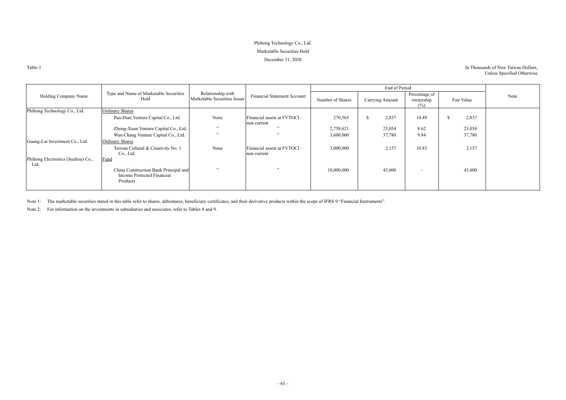## Phihong Technology Co., Ltd. Marketable Securities Held December 31, 2020

Table 3

### In Thousands of New Taiwan Dollars, Unless Specified Otherwise

|                                           |                                                                                 |                                                   |                                               |                  | End of Period   |                                   |            |      |
|-------------------------------------------|---------------------------------------------------------------------------------|---------------------------------------------------|-----------------------------------------------|------------------|-----------------|-----------------------------------|------------|------|
| Holding Company Name                      | Type and Name of Marketable Securities<br>Held                                  | Relationship with<br>Marketable Securities Issuer | <b>Financial Statement Account</b>            | Number of Shares | Carrying Amount | Percentage of<br>ownership<br>(%) | Fair Value | Note |
| Phihong Technology Co., Ltd.              | <b>Ordinary Shares</b>                                                          |                                                   |                                               |                  |                 |                                   |            |      |
|                                           | Pao-Dian Venture Capital Co., Ltd.                                              | None                                              | Financial assets at $FVTOCI -$<br>non current | 270,565          | 2,837           | 10.49                             | 2,837      |      |
|                                           | Zhong-Xuan Venture Capital Co., Ltd.                                            | , 22                                              | , ,                                           | 2,758,621        | 23,054          | 8.62                              | 23,054     |      |
|                                           | Wan-Chang Venture Capital Co., Ltd.                                             | $\overline{\phantom{a}}$                          | 52                                            | 3,600,000        | 37,780          | 9.84                              | 37,780     |      |
| Guang-Lai Investment Co., Ltd.            | <b>Ordinary Shares</b>                                                          |                                                   |                                               |                  |                 |                                   |            |      |
|                                           | Taiwan Cultural & Creativity No. 1<br>Co., Ltd.                                 | None                                              | Financial assets at FVTOCI-<br>non current    | 3,000,000        | 2,157           | 10.83                             | 2,157      |      |
| Phihong Electronics (Suzhou) Co.,<br>Ltd. | <b>Fund</b>                                                                     |                                                   |                                               |                  |                 |                                   |            |      |
|                                           | China Construction Bank Principal and<br>Income Protected Financial<br>Products | $\overline{\phantom{a}}$                          | 52                                            | 10,000,000       | 43,600          | $\overline{\phantom{a}}$          | 43,600     |      |

Note 1: The marketable securities stated in this table refer to shares, debentures, beneficiary certificates, and their derivative products within the scope of IFRS 9 "Financial Instruments".

Note 2: For information on the investments in subsidiaries and associates, refer to Tables 8 and 9.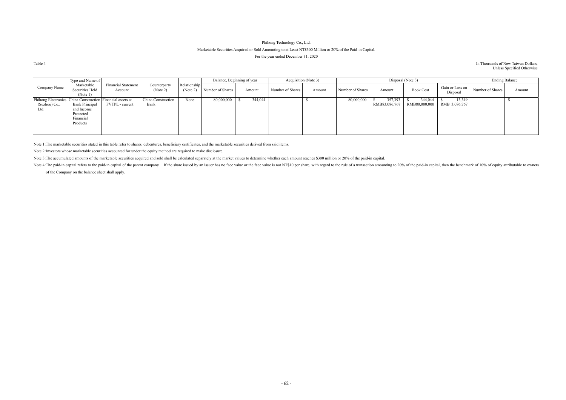## Phihong Technology Co., Ltd. Marketable Securities Acquired or Sold Amounting to at Least NT\$300 Million or 20% of the Paid-in Capital. For the year ended December 31, 2020

#### Table 4 In Thousands of New Taiwan Dollars, Unless Specified Otherwise

|                                                                                     | Type and Name of                                                          |                                       |                            |                          |                  | Balance, Beginning of year |                  | Acquisition (Note 3) |                  |                          | Disposal (Note 3)        |                             | <b>Ending Balance</b> |        |
|-------------------------------------------------------------------------------------|---------------------------------------------------------------------------|---------------------------------------|----------------------------|--------------------------|------------------|----------------------------|------------------|----------------------|------------------|--------------------------|--------------------------|-----------------------------|-----------------------|--------|
| Company Name                                                                        | Marketable<br>Securities Held<br>(Note 1)                                 | <b>Financial Statement</b><br>Account | Counterparty<br>(Note 2)   | Relationship<br>(Note 2) | Number of Shares | Amount                     | Number of Shares | Amount               | Number of Shares | Amount                   | <b>Book Cost</b>         | Gain or Loss on<br>Disposal | Number of Shares      | Amount |
| Phihong Electronics China Construction Financial assets at<br>(Suzhou) Co.,<br>Ltd. | <b>Bank Principal</b><br>and Income<br>Protected<br>Financial<br>Products | FVTPL - current                       | China Construction<br>Bank | None                     | 80,000,000       | 344,044                    |                  |                      | 80,000,000       | 357,393<br>RMB83,086,767 | 344,044<br>RMB80,000,000 | 13,349<br>RMB 3,086,767     |                       | $\sim$ |

Note 1: The marketable securities stated in this table refer to shares, debentures, beneficiary certificates, and the marketable securities derived from said items.

Note 4: The paid-in capital refers to the paid-in capital of the parent company. If the share issued by an issuer has no face value or the face value is not NT\$10 per share, with regard to the rule of a transaction amounti of the Company on the balance sheet shall apply.

Note 2: Investors whose marketable securities accounted for under the equity method are required to make disclosure.

Note 3: The accumulated amounts of the marketable securities acquired and sold shall be calculated separately at the market values to determine whether each amount reaches \$300 million or 20% of the paid-in capital.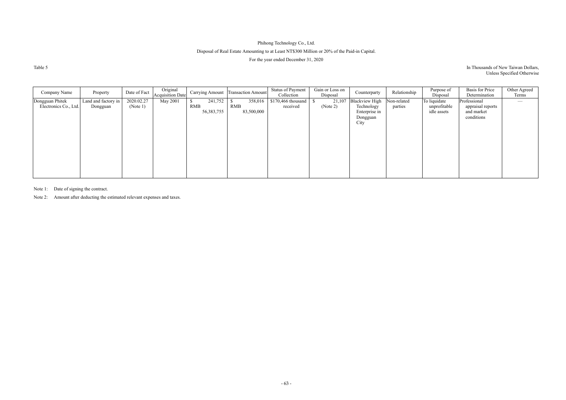## Phihong Technology Co., Ltd. Disposal of Real Estate Amounting to at Least NT\$300 Million or 20% of the Paid-in Capital. For the year ended December 31, 2020

Table 5

#### In Thousands of New Taiwan Dollars, Unless Specified Otherwise

| Company Name                             | Property                        | Date of Fact           | Original<br>Acquisition Date |                                       | Carrying Amount Transaction Amount  | <b>Status of Payment</b><br>Collection | Gain or Loss on<br>Disposal | Counterparty                                                             | Relationship           | Purpose of<br>Disposal                      | <b>Basis</b> for Price<br>Determination                       | Other Agreed<br>Terms |
|------------------------------------------|---------------------------------|------------------------|------------------------------|---------------------------------------|-------------------------------------|----------------------------------------|-----------------------------|--------------------------------------------------------------------------|------------------------|---------------------------------------------|---------------------------------------------------------------|-----------------------|
| Dongguan Phitek<br>Electronics Co., Ltd. | Land and factory in<br>Dongguan | 2020.02.27<br>(Note 1) | May 2001                     | 241,752<br><b>RMB</b><br>56, 383, 755 | 358,016<br><b>RMB</b><br>83,500,000 | $$170,466$ thousand<br>received        | 21,107<br>(Note 2)          | <b>Blackview High</b><br>Technology<br>Enterprise in<br>Dongguan<br>City | Non-related<br>parties | To liquidate<br>unprofitable<br>idle assets | Professional<br>appraisal reports<br>and market<br>conditions |                       |

Note 1: Date of signing the contract.

Note 2: Amount after deducting the estimated relevant expenses and taxes.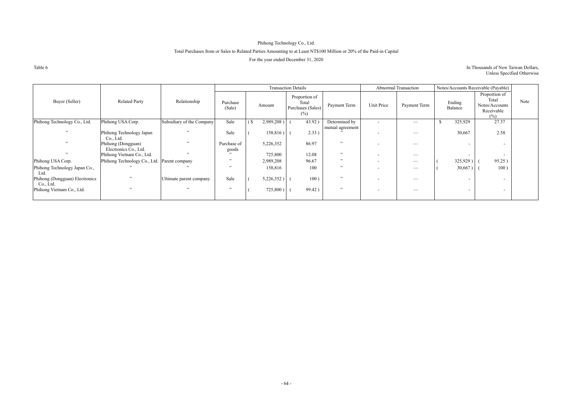## Phihong Technology Co., Ltd.

## Total Purchases from or Sales to Related Parties Amounting to at Least NT\$100 Million or 20% of the Paid-in Capital

For the year ended December 31, 2020

Table 6

#### In Thousands of New Taiwan Dollars, Unless Specified Otherwise

|                                             |                                             |                           |                          |                           | <b>Transaction Details</b> |                                                       |                  |                          | Abnormal Transaction          | Notes/Accounts Receivable (Payable) |                   |                                                                                      |      |
|---------------------------------------------|---------------------------------------------|---------------------------|--------------------------|---------------------------|----------------------------|-------------------------------------------------------|------------------|--------------------------|-------------------------------|-------------------------------------|-------------------|--------------------------------------------------------------------------------------|------|
| Buyer (Seller)                              | <b>Related Party</b>                        | Relationship              | Purchase<br>(Sale)       |                           | Amount                     | Proportion of<br>Total<br>Purchases (Sales)<br>$(\%)$ | Payment Term     | Unit Price               | Payment Term                  |                                     | Ending<br>Balance | Proportion of<br>Total<br>Notes/Accounts<br>Receivable<br>$\left(\frac{0}{0}\right)$ | Note |
| Phihong Technology Co., Ltd.                | Phihong USA Corp.                           | Subsidiary of the Company | Sale                     | $\left( \text{S} \right)$ | 2,989,208)                 | 43.92)                                                | Determined by    | $\overline{\phantom{0}}$ | $\overbrace{\phantom{aaaaa}}$ | <sup>\$</sup>                       | 325,929           | 27.37                                                                                |      |
| , 2                                         | Phihong Technology Japan<br>Co., Ltd.       | , ,                       | Sale                     |                           | 158,816)                   | 2.33)                                                 | mutual agreement |                          | $\overline{\phantom{m}}$      |                                     | 30,667            | 2.58                                                                                 |      |
| , 2                                         | Phihong (Dongguan)<br>Electronics Co., Ltd. | , ,                       | Purchase of<br>goods     |                           | 5,226,352                  | 86.97                                                 | , 22             |                          |                               |                                     |                   | $\overline{\phantom{0}}$                                                             |      |
| $\overline{\phantom{a}}$                    | Phihong Vietnam Co., Ltd.                   | , ,                       | 22                       |                           | 725,800                    | 12.08                                                 | , ,              | $\overline{\phantom{a}}$ |                               |                                     |                   | $\sim$                                                                               |      |
| Phihong USA Corp.                           | Phihong Technology Co., Ltd.                | Parent company            | $\ddot{\phantom{0}}$     |                           | 2,989,208                  | 96.67                                                 | $, \cdot$        | $\overline{\phantom{a}}$ | $\overline{\phantom{m}}$      |                                     | 325,929)          | 95.25)                                                                               |      |
| Phihong Technology Japan Co.,<br>Ltd.       |                                             |                           | $\overline{\phantom{a}}$ |                           | 158,816                    | 100                                                   | , 22             | $\overline{\phantom{0}}$ | $\overbrace{\phantom{aaaaa}}$ |                                     | 30,667)           | 100)                                                                                 |      |
| Phihong (Dongguan) Electronics<br>Co., Ltd. | , ,                                         | Ultimate parent company   | Sale                     |                           | 5,226,352)                 | 100)                                                  | , 22             | $\overline{\phantom{0}}$ | __                            |                                     | $\sim$            | $\sim$                                                                               |      |
| Phihong Vietnam Co., Ltd.                   | , ,                                         |                           | , ,                      |                           | 725,800)                   | 99.42)                                                | $, \cdot$        | $\overline{\phantom{a}}$ |                               |                                     |                   | $\sim$                                                                               |      |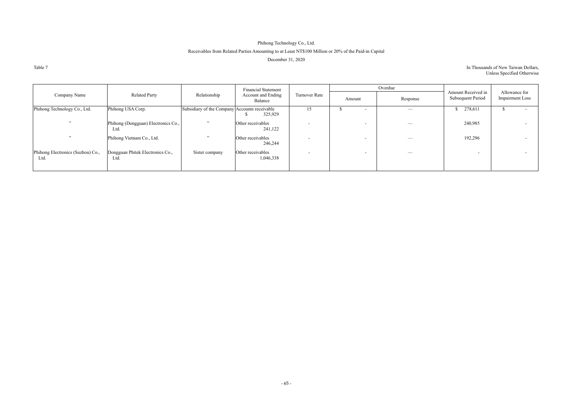## Phihong Technology Co., Ltd.

## Receivables from Related Parties Amounting to at Least NT\$100 Million or 20% of the Paid-in Capital

December 31, 2020

Table 7

#### In Thousands of New Taiwan Dollars, Unless Specified Otherwise

|                                           |                                             |                                               | <b>Financial Statement</b>     |               |        | Overdue           |                                                |                                         |
|-------------------------------------------|---------------------------------------------|-----------------------------------------------|--------------------------------|---------------|--------|-------------------|------------------------------------------------|-----------------------------------------|
| Company Name                              | <b>Related Party</b>                        | Relationship                                  | Account and Ending<br>Balance  | Turnover Rate | Amount | Response          | Amount Received in<br><b>Subsequent Period</b> | Allowance for<br><b>Impairment Loss</b> |
| Phihong Technology Co., Ltd.              | Phihong USA Corp.                           | Subsidiary of the Company Accounts receivable | 325,929                        | 15            |        | $\hspace{0.05cm}$ | \$278,611                                      |                                         |
| , 22                                      | Phihong (Dongguan) Electronics Co.,<br>Ltd. | , 22                                          | Other receivables<br>241,122   |               |        |                   | 240,985                                        |                                         |
| , 22                                      | Phihong Vietnam Co., Ltd.                   | 22                                            | Other receivables<br>246,244   |               |        |                   | 192,296                                        |                                         |
| Phihong Electronics (Suzhou) Co.,<br>Ltd. | Dongguan Phitek Electronics Co.,<br>Ltd.    | Sister company                                | Other receivables<br>1,046,338 |               |        |                   | $\sim$                                         |                                         |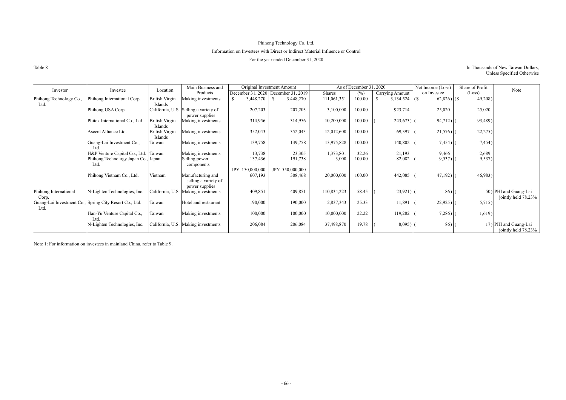## Phihong Technology Co. Ltd. Information on Investees with Direct or Indirect Material Influence or Control For the year ended December 31, 2020

Table 8 In Thousands of New Taiwan Dollars, Unless Specified Otherwise

| Investor                        | Investee                                               | Location                         | Main Business and                                           |                 | Original Investment Amount          |             | As of December 31, 2020 |                  | Net Income (Loss) | Share of Profit | Note                                         |
|---------------------------------|--------------------------------------------------------|----------------------------------|-------------------------------------------------------------|-----------------|-------------------------------------|-------------|-------------------------|------------------|-------------------|-----------------|----------------------------------------------|
|                                 |                                                        |                                  | Products                                                    |                 | December 31, 2020 December 31, 2019 | Shares      | $(\% )$                 | Carrying Amount  | on Investee       | (Loss)          |                                              |
| Phihong Technology Co.,<br>Ltd. | Phihong International Corp.                            | <b>British Virgin</b><br>Islands | Making investments                                          | 3,448,270       | 3,448,270                           | 111,061,351 | 100.00                  | $3,134,524$ (\$) | $62,826$ (\$)     | 49,208)         |                                              |
|                                 | Phihong USA Corp.                                      |                                  | California, U.S. Selling a variety of<br>power supplies     | 207,203         | 207,203                             | 3,100,000   | 100.00                  | 923,714          | 25,020            | 25,020          |                                              |
|                                 | Phitek International Co., Ltd.                         | British Virgin<br>Islands        | Making investments                                          | 314,956         | 314,956                             | 10,200,000  | 100.00                  | $243,673$ )      | 94,712)           | 93,489)         |                                              |
|                                 | Ascent Alliance Ltd.                                   | British Virgin<br>Islands        | Making investments                                          | 352,043         | 352,043                             | 12,012,600  | 100.00                  | 69,397           | $21,576$ )        | 22,275)         |                                              |
|                                 | Guang-Lai Investment Co.,<br>Ltd.                      | Taiwan                           | Making investments                                          | 139,758         | 139,758                             | 13,975,828  | 100.00                  | 140,802          | $7,454$ )         | 7,454)          |                                              |
|                                 | H&P Venture Capital Co., Ltd.                          | Taiwan                           | Making investments                                          | 13,738          | 23,305                              | 1,373,801   | 32.26                   | 21,193           | 9,466             | 2,689           |                                              |
|                                 | Phihong Technology Japan Co., Japan<br>Ltd.            |                                  | Selling power<br>components                                 | 137,436         | 191,738                             | 3,000       | 100.00                  | 82,082           | $9,537$ )         | 9,537)          |                                              |
|                                 |                                                        |                                  |                                                             | JPY 150,000,000 | JPY 550,000,000                     |             |                         |                  |                   |                 |                                              |
|                                 | Phihong Vietnam Co., Ltd.                              | Vietnam                          | Manufacturing and<br>selling a variety of<br>power supplies | 607,193         | 308,468                             | 20,000,000  | 100.00                  | 442,085          | $47,192$ )        | 46,983)         |                                              |
| Phihong International<br>Corp.  | N-Lighten Technologies, Inc.                           |                                  | California, U.S. Making investments                         | 409,851         | 409,851                             | 110,834,223 | 58.45                   | 23,921)          | $86$ )            |                 | 50) PHI and Guang-Lai<br>jointly held 78.23% |
| Ltd.                            | Guang-Lai Investment Co., Spring City Resort Co., Ltd. | Taiwan                           | Hotel and restaurant                                        | 190,000         | 190,000                             | 2,837,343   | 25.33                   | 11,891           | $22,925$ )        | 5,715)          |                                              |
|                                 | Han-Yu Venture Capital Co.,<br>Ltd.                    | Taiwan                           | Making investments                                          | 100,000         | 100,000                             | 10,000,000  | 22.22                   | 119,282          | $7,286$ )         | 1,619)          |                                              |
|                                 | N-Lighten Technologies, Inc.                           |                                  | California, U.S. Making investments                         | 206,084         | 206,084                             | 37,498,870  | 19.78                   | 8,095)           | 86)               |                 | 17) PHI and Guang-Lai<br>jointly held 78.23% |

Note 1: For information on investees in mainland China, refer to Table 9.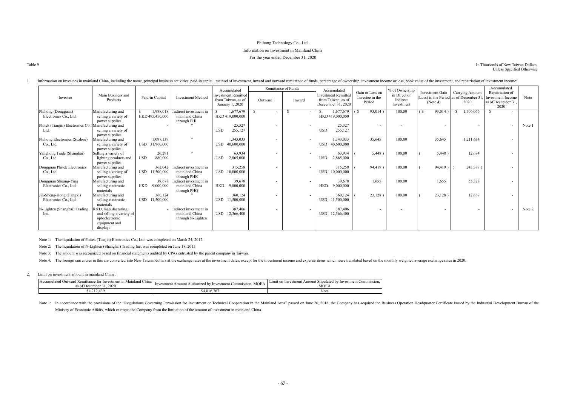## Phihong Technology Co., Ltd. Information on Investment in Mainland China For the year ended December 31, 2020

| ×<br>۰.<br>۰.<br>۰, |
|---------------------|
|---------------------|

#### In Thousands of New Taiwan Dollars, Unless Specified Otherwise

|                                                     |                                           |                              |                                         | Accumulated                                                         |                          | Remittance of Funds | Accumulated                                                            |                                              | % of Ownership                         |                                                                       |                                | Accumulated                                                        |        |
|-----------------------------------------------------|-------------------------------------------|------------------------------|-----------------------------------------|---------------------------------------------------------------------|--------------------------|---------------------|------------------------------------------------------------------------|----------------------------------------------|----------------------------------------|-----------------------------------------------------------------------|--------------------------------|--------------------------------------------------------------------|--------|
| Investee                                            | Main Business and<br>Products             | Paid-in Capital              | <b>Investment Method</b>                | <b>Investment Remitted</b><br>from Taiwan, as of<br>January 1, 2020 | Outward                  | Inward              | <b>Investment Remitted</b><br>from Taiwan, as of<br>Deceember 31, 2020 | Gain or Loss on<br>Investee in the<br>Period | in Direct or<br>Indirect<br>Investment | Investment Gain<br>(Loss) in the Period as of December 31<br>(Note 4) | <b>Carrying Amount</b><br>2020 | Repatriation of<br>Investment Income<br>as of December 31.<br>2020 | Note   |
| Phihong (Dongguan)<br>Electronics Co., Ltd.         | Manufacturing and<br>selling a variety of | 1,988,018<br>HKD 495,450,000 | ndirect investment in<br>mainland China | 1,677,679<br>HKD 419,000,000                                        |                          |                     | 1,677,679<br>HKD 419,000,000                                           | 93,014)<br>(\$                               | 100.00                                 | 93,014<br>(\$                                                         | 1,706,066                      |                                                                    |        |
|                                                     | power supplies                            |                              | through PHI                             |                                                                     |                          |                     |                                                                        |                                              |                                        |                                                                       |                                |                                                                    |        |
| Phitek (Tianjin) Electronics Co., Manufacturing and |                                           |                              |                                         | 25,327                                                              |                          |                     | 25,327                                                                 | $\blacksquare$                               | $\overline{\phantom{a}}$               |                                                                       |                                |                                                                    | Note 1 |
| Ltd.                                                | selling a variety of                      |                              |                                         | <b>USD</b><br>255,127                                               |                          |                     | 255,127<br><b>USD</b>                                                  |                                              |                                        |                                                                       |                                |                                                                    |        |
|                                                     | power supplies                            |                              |                                         |                                                                     |                          |                     |                                                                        |                                              |                                        |                                                                       |                                |                                                                    |        |
| Phihong Electronics (Suzhou)                        | Manufacturing and                         | 1,097,139                    | , ,                                     | 1,343,033                                                           |                          |                     | 1,343,033                                                              | 35,645                                       | 100.00                                 | 35,645                                                                | 1,211,634                      |                                                                    |        |
| Co., Ltd.                                           | selling a variety of                      | USD 31,960,000               |                                         | 40,600,000<br><b>USD</b>                                            |                          |                     | USD 40,600,000                                                         |                                              |                                        |                                                                       |                                |                                                                    |        |
|                                                     | power supplies                            |                              | $, \,$                                  |                                                                     |                          |                     |                                                                        |                                              |                                        |                                                                       |                                |                                                                    |        |
| Yanghong Trade (Shanghai)                           | Selling a variety of                      | 26,291                       |                                         | 63,934                                                              | $\overline{\phantom{a}}$ | $\sim$              | 63,934                                                                 | 5,448)                                       | 100.00                                 | 5,448)                                                                | 12,684                         |                                                                    |        |
| Co., Ltd.                                           | lighting products and<br>power supplies   | <b>USD</b><br>880,000        |                                         | 2,865,000<br><b>USD</b>                                             |                          |                     | 2,865,000<br><b>USD</b>                                                |                                              |                                        |                                                                       |                                |                                                                    |        |
| Dongguan Phitek Electronics                         | Manufacturing and                         | 362,042                      | Indirect investment in                  | 315,258                                                             | $\overline{\phantom{a}}$ |                     | 315,258                                                                | 94,419)                                      | 100.00                                 | 94,419)                                                               | 245,387)                       |                                                                    |        |
| Co., Ltd.                                           | selling a variety of                      | <b>USD</b><br>11,500,000     | mainland China                          | <b>USD</b><br>10,000,000                                            |                          |                     | 10,000,000<br><b>USD</b>                                               |                                              |                                        |                                                                       |                                |                                                                    |        |
|                                                     | power supplies                            |                              | through PHK                             |                                                                     |                          |                     |                                                                        |                                              |                                        |                                                                       |                                |                                                                    |        |
| Dongguan Shuang-Ying                                | Manufacturing and                         | 39,678                       | Indirect investment in                  | 39,678                                                              | $\overline{\phantom{a}}$ |                     | 39,678                                                                 | 1,655                                        | 100.00                                 | 1,655                                                                 | 55,328                         |                                                                    |        |
| Electronics Co., Ltd.                               | selling electronic                        | <b>HKD</b><br>9,000,000      | mainland China                          | <b>HKD</b><br>9,000,000                                             |                          |                     | 9,000,000<br><b>HKD</b>                                                |                                              |                                        |                                                                       |                                |                                                                    |        |
| Jin-Sheng-Hong (Jiangxi)                            | materials<br>Manufacturing and            | 360,124                      | through PHQ                             | 360,124                                                             |                          |                     | 360,124                                                                | 23,128)                                      | 100.00                                 | 23,128)                                                               | 12,637                         |                                                                    |        |
| Electronics Co., Ltd.                               | selling electronic                        | USD 11,500,000               |                                         | USD 11,500,000                                                      | $\overline{\phantom{a}}$ |                     | <b>USD</b><br>11,500,000                                               |                                              |                                        |                                                                       |                                |                                                                    |        |
|                                                     | materials                                 |                              |                                         |                                                                     |                          |                     |                                                                        |                                              |                                        |                                                                       |                                |                                                                    |        |
| N-Lighten (Shanghai) Trading                        | R&D, manufacturing,                       |                              | Indirect investment in                  | 387,406                                                             |                          |                     | 387,406                                                                |                                              |                                        |                                                                       |                                |                                                                    | Note 2 |
| Inc.                                                | and selling a variety of                  |                              | mainland China                          | USD 12,366,400                                                      |                          |                     | USD 12,366,400                                                         |                                              |                                        |                                                                       |                                |                                                                    |        |
|                                                     | optoelectronic                            |                              | through N-Lighten                       |                                                                     |                          |                     |                                                                        |                                              |                                        |                                                                       |                                |                                                                    |        |
|                                                     | equipment and                             |                              |                                         |                                                                     |                          |                     |                                                                        |                                              |                                        |                                                                       |                                |                                                                    |        |
|                                                     | displays                                  |                              |                                         |                                                                     |                          |                     |                                                                        |                                              |                                        |                                                                       |                                |                                                                    |        |

#### 1. Information on investees in mainland China, including the name, principal business activities, paid-in capital, method of investment, inward and outward remittance of funds, percentage of ownership, investment income or

Note 1: In accordance with the provisions of the "Regulations Governing Permission for Investment or Technical Cooperation in the Mainland Area" passed on June 26, 2018, the Company has acquired the Business Operation Head Ministry of Economic Affairs, which exempts the Company from the limitation of the amount of investment in mainland China.

Note 1: The liquidation of Phitek (Tianjin) Electronics Co., Ltd. was completed on March 24, 2017.

Note 2: The liquidation of N-Lighten (Shanghai) Trading Inc. was completed on June 18, 2015.

Note 3: The amount was recognized based on financial statements audited by CPAs entrusted by the parent company in Taiwan.

Note 4: The foreign currencies in this are converted into New Taiwan dollars at the exchange rates at the investment dates, except for the investment income and expense items which were translated based on the monthly weig

#### 2. Limit on investment amount in mainland China:

| $\sim$<br>Mainland China I<br>Accumulated<br>Outward Remittance<br>e for Investment in<br>.2020<br>as of . | <b>MOEA</b><br>estment Commission.<br>Investment Amount Authorized by Inves | Limit on Investment Amount<br>' Investment Commission.<br>at Stipulated by '<br>MOEA |  |  |
|------------------------------------------------------------------------------------------------------------|-----------------------------------------------------------------------------|--------------------------------------------------------------------------------------|--|--|
| 4,212,439                                                                                                  | $\epsilon$ $\pi$ $\epsilon$<br>$$4,816.76$ .                                | Note                                                                                 |  |  |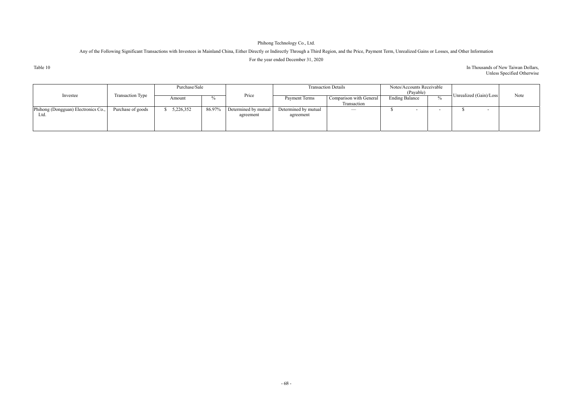## Phihong Technology Co., Ltd.

## Any of the Following Significant Transactions with Investees in Mainland China, Either Directly or Indirectly Through a Third Region, and the Price, Payment Term, Unrealized Gains or Losses, and Other Information For the year ended December 31, 2020

Table 10

#### In Thousands of New Taiwan Dollars, Unless Specified Otherwise

|                                     |                   | Purchase/Sale |        |                      |                      | <b>Transaction Details</b> | Notes/Accounts Receivable<br>(Payable) |        |                          |      |
|-------------------------------------|-------------------|---------------|--------|----------------------|----------------------|----------------------------|----------------------------------------|--------|--------------------------|------|
| Investee                            | Transaction Type  | Amount        | 0/2    | Price                | Payment Terms        | Comparison with General    | <b>Ending Balance</b>                  |        | Unrealized (Gain)/Loss   | Note |
|                                     |                   |               |        |                      |                      | Transaction                |                                        |        |                          |      |
| Phihong (Dongguan) Electronics Co., | Purchase of goods | 5,226,352     | 86.97% | Determined by mutual | Determined by mutual | $\overline{\phantom{m}}$   |                                        | $\sim$ | $\overline{\phantom{0}}$ |      |
| Ltd.                                |                   |               |        | agreement            | agreement            |                            |                                        |        |                          |      |
|                                     |                   |               |        |                      |                      |                            |                                        |        |                          |      |
|                                     |                   |               |        |                      |                      |                            |                                        |        |                          |      |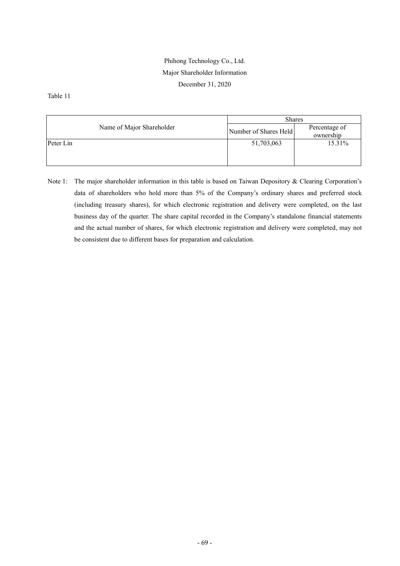## Phihong Technology Co., Ltd. Major Shareholder Information December 31, 2020

Table 11

|                           | <b>Shares</b>         |                            |  |  |
|---------------------------|-----------------------|----------------------------|--|--|
| Name of Major Shareholder | Number of Shares Held | Percentage of<br>ownership |  |  |
| Peter Lin                 | 51,703,063            | 15.31%                     |  |  |
|                           |                       |                            |  |  |

Note 1: The major shareholder information in this table is based on Taiwan Depository & Clearing Corporation's data of shareholders who hold more than 5% of the Company's ordinary shares and preferred stock (including treasury shares), for which electronic registration and delivery were completed, on the last business day of the quarter. The share capital recorded in the Company's standalone financial statements and the actual number of shares, for which electronic registration and delivery were completed, may not be consistent due to different bases for preparation and calculation.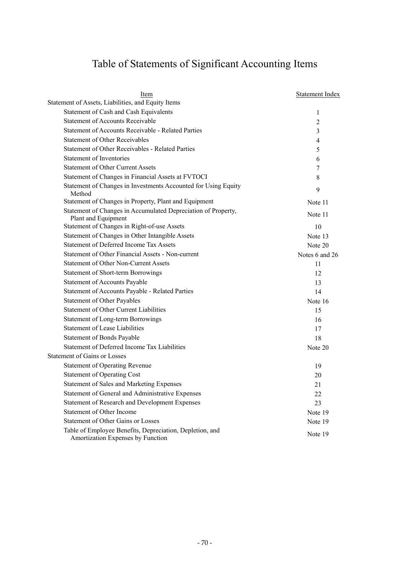# Table of Statements of Significant Accounting Items

| Item                                                                                          | <b>Statement Index</b> |
|-----------------------------------------------------------------------------------------------|------------------------|
| Statement of Assets, Liabilities, and Equity Items                                            |                        |
| Statement of Cash and Cash Equivalents                                                        | $\mathbf{1}$           |
| <b>Statement of Accounts Receivable</b>                                                       | $\overline{2}$         |
| <b>Statement of Accounts Receivable - Related Parties</b>                                     | 3                      |
| <b>Statement of Other Receivables</b>                                                         | $\overline{4}$         |
| <b>Statement of Other Receivables - Related Parties</b>                                       | 5                      |
| Statement of Inventories                                                                      | 6                      |
| <b>Statement of Other Current Assets</b>                                                      | 7                      |
| Statement of Changes in Financial Assets at FVTOCI                                            | 8                      |
| Statement of Changes in Investments Accounted for Using Equity<br>Method                      | 9                      |
| Statement of Changes in Property, Plant and Equipment                                         | Note 11                |
| Statement of Changes in Accumulated Depreciation of Property,<br>Plant and Equipment          | Note 11                |
| Statement of Changes in Right-of-use Assets                                                   | 10                     |
| Statement of Changes in Other Intangible Assets                                               | Note 13                |
| <b>Statement of Deferred Income Tax Assets</b>                                                | Note 20                |
| Statement of Other Financial Assets - Non-current                                             | Notes 6 and 26         |
| <b>Statement of Other Non-Current Assets</b>                                                  | 11                     |
| Statement of Short-term Borrowings                                                            | 12                     |
| <b>Statement of Accounts Payable</b>                                                          | 13                     |
| Statement of Accounts Payable - Related Parties                                               | 14                     |
| <b>Statement of Other Payables</b>                                                            | Note 16                |
| <b>Statement of Other Current Liabilities</b>                                                 | 15                     |
| Statement of Long-term Borrowings                                                             | 16                     |
| Statement of Lease Liabilities                                                                | 17                     |
| Statement of Bonds Payable                                                                    | 18                     |
| Statement of Deferred Income Tax Liabilities                                                  | Note 20                |
| <b>Statement of Gains or Losses</b>                                                           |                        |
| <b>Statement of Operating Revenue</b>                                                         | 19                     |
| <b>Statement of Operating Cost</b>                                                            | 20                     |
| <b>Statement of Sales and Marketing Expenses</b>                                              | 21                     |
| Statement of General and Administrative Expenses                                              | 22                     |
| Statement of Research and Development Expenses                                                | 23                     |
| Statement of Other Income                                                                     | Note 19                |
| <b>Statement of Other Gains or Losses</b>                                                     | Note 19                |
| Table of Employee Benefits, Depreciation, Depletion, and<br>Amortization Expenses by Function | Note 19                |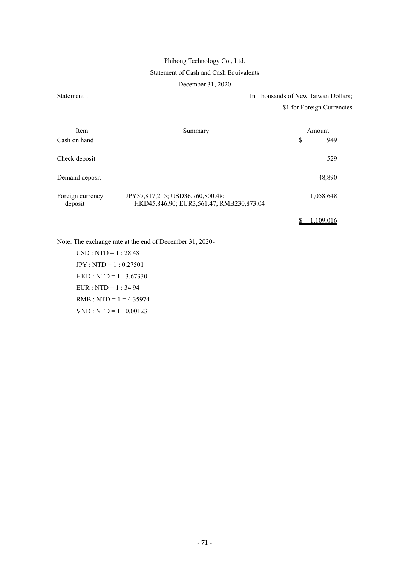## Phihong Technology Co., Ltd. Statement of Cash and Cash Equivalents

December 31, 2020

Statement 1 In Thousands of New Taiwan Dollars; \$1 for Foreign Currencies

| Item                        | Summary                                                                      | Amount    |
|-----------------------------|------------------------------------------------------------------------------|-----------|
| Cash on hand                |                                                                              | \$<br>949 |
| Check deposit               |                                                                              | 529       |
| Demand deposit              |                                                                              | 48,890    |
| Foreign currency<br>deposit | JPY37,817,215; USD36,760,800.48;<br>HKD45,846.90; EUR3,561.47; RMB230,873.04 | 1,058,648 |

 $$ 1,109,016$ 

Note: The exchange rate at the end of December 31, 2020-

USD : NTD = 1 : 28.48 JPY : NTD = 1 : 0.27501 HKD : NTD = 1 : 3.67330 EUR : NTD = 1 : 34.94  $RMB : NTD = 1 = 4.35974$ VND : NTD = 1 : 0.00123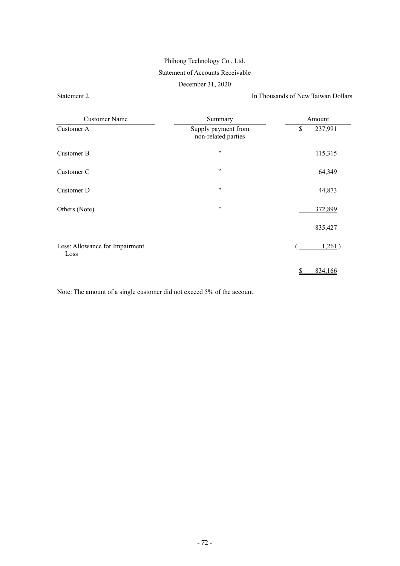## Phihong Technology Co., Ltd. Statement of Accounts Receivable

#### December 31, 2020

Statement 2 In Thousands of New Taiwan Dollars

| <b>Customer Name</b>                   | Summary                                    | Amount        |  |  |  |
|----------------------------------------|--------------------------------------------|---------------|--|--|--|
| Customer A                             | Supply payment from<br>non-related parties | \$<br>237,991 |  |  |  |
| Customer B                             | , ,                                        | 115,315       |  |  |  |
| Customer C                             | , ,                                        | 64,349        |  |  |  |
| Customer D                             | , ,                                        | 44,873        |  |  |  |
| Others (Note)                          | , ,                                        | 372,899       |  |  |  |
|                                        |                                            | 835,427       |  |  |  |
| Less: Allowance for Impairment<br>Loss |                                            | 1,261)        |  |  |  |
|                                        |                                            | 834,166<br>S  |  |  |  |

Note: The amount of a single customer did not exceed 5% of the account.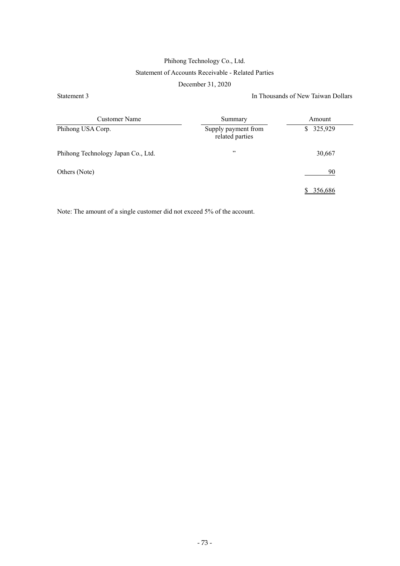## Phihong Technology Co., Ltd. Statement of Accounts Receivable - Related Parties

#### December 31, 2020

#### Statement 3 In Thousands of New Taiwan Dollars

| Customer Name                      | Summary                                | Amount        |
|------------------------------------|----------------------------------------|---------------|
| Phihong USA Corp.                  | Supply payment from<br>related parties | 325,929<br>S. |
| Phihong Technology Japan Co., Ltd. | , ,                                    | 30,667        |
| Others (Note)                      |                                        | 90            |
|                                    |                                        | 356.686       |

Note: The amount of a single customer did not exceed 5% of the account.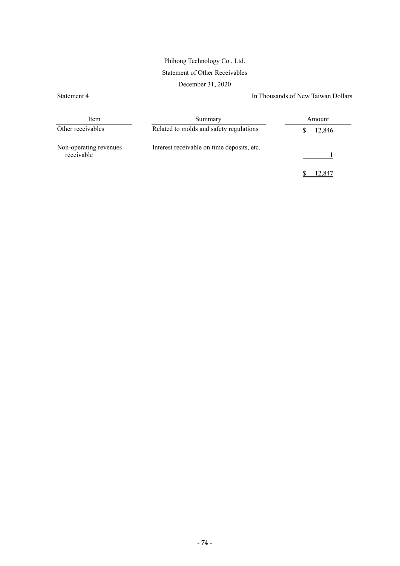### Phihong Technology Co., Ltd. Statement of Other Receivables

December 31, 2020

Statement 4 In Thousands of New Taiwan Dollars

| Item                                 | Summary                                    | Amount |
|--------------------------------------|--------------------------------------------|--------|
| Other receivables                    | Related to molds and safety regulations    | 12,846 |
| Non-operating revenues<br>receivable | Interest receivable on time deposits, etc. |        |
|                                      |                                            | 12.847 |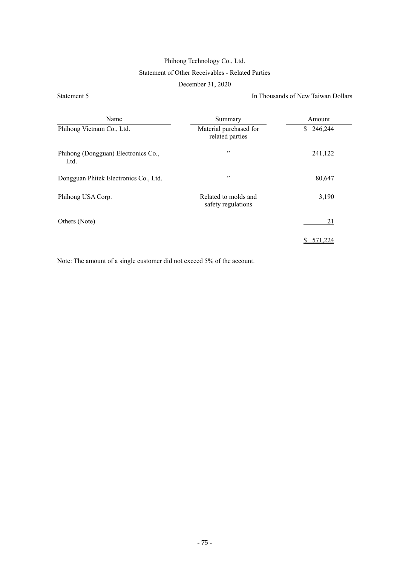### Phihong Technology Co., Ltd. Statement of Other Receivables - Related Parties

December 31, 2020

Statement 5 In Thousands of New Taiwan Dollars

| Name                                        | Summary                                    | Amount        |
|---------------------------------------------|--------------------------------------------|---------------|
| Phihong Vietnam Co., Ltd.                   | Material purchased for<br>related parties  | 246,244<br>S. |
| Phihong (Dongguan) Electronics Co.,<br>Ltd. | , ,                                        | 241,122       |
| Dongguan Phitek Electronics Co., Ltd.       | , ,                                        | 80,647        |
| Phihong USA Corp.                           | Related to molds and<br>safety regulations | 3,190         |
| Others (Note)                               |                                            | 21            |
|                                             |                                            |               |

Note: The amount of a single customer did not exceed 5% of the account.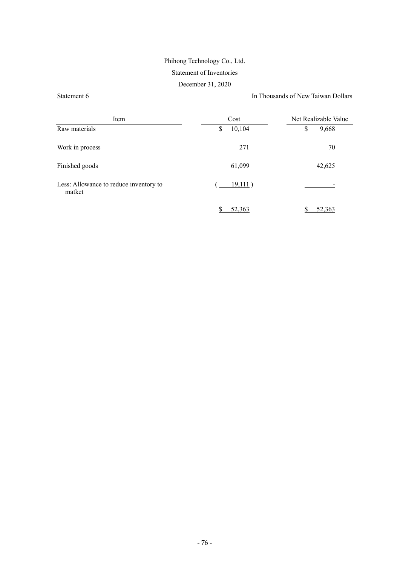## Phihong Technology Co., Ltd. Statement of Inventories

December 31, 2020

Statement 6 In Thousands of New Taiwan Dollars

| Item                                             | Cost         | Net Realizable Value |
|--------------------------------------------------|--------------|----------------------|
| Raw materials                                    | 10,104<br>\$ | \$<br>9,668          |
| Work in process                                  | 271          | 70                   |
| Finished goods                                   | 61,099       | 42,625               |
| Less: Allowance to reduce inventory to<br>matket | 19,111)      |                      |
|                                                  | 52,363       | 52,363               |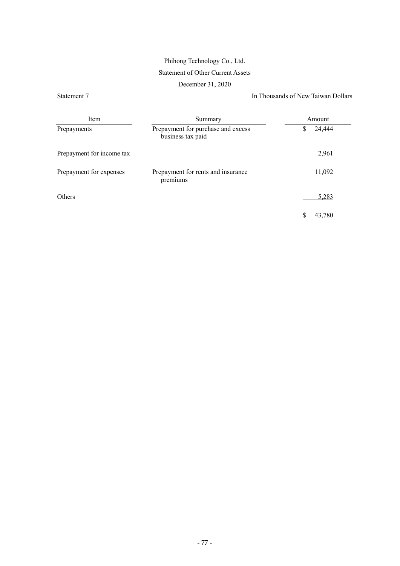# Phihong Technology Co., Ltd.

### Statement of Other Current Assets

December 31, 2020

Statement 7 In Thousands of New Taiwan Dollars

| Item                      | Summary                                                 | Amount      |  |  |  |
|---------------------------|---------------------------------------------------------|-------------|--|--|--|
| Prepayments               | Prepayment for purchase and excess<br>business tax paid | 24,444<br>S |  |  |  |
| Prepayment for income tax |                                                         | 2,961       |  |  |  |
| Prepayment for expenses   | Prepayment for rents and insurance<br>premiums          | 11,092      |  |  |  |
| Others                    |                                                         | 5,283       |  |  |  |
|                           |                                                         | 43.780      |  |  |  |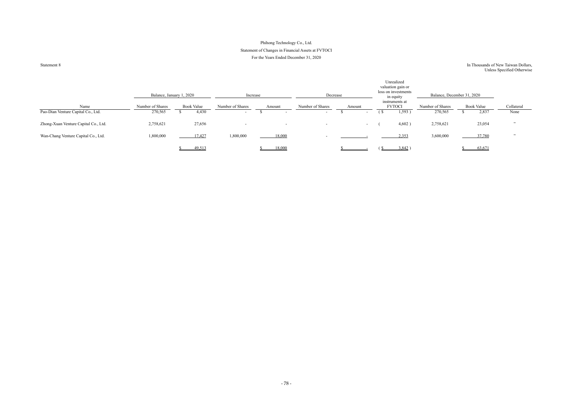### Phihong Technology Co., Ltd. Statement of Changes in Financial Assets at FVTOCI For the Years Ended December 31, 2020

Statement 8

#### In Thousands of New Taiwan Dollars, Unless Specified Otherwise

|                                      | Balance, January 1, 2020 |                   | Increase                 |                          | Decrease                 |        | Unrealized<br>valuation gain or<br>loss on investments<br>in equity |                  | Balance, December 31, 2020 |                          |
|--------------------------------------|--------------------------|-------------------|--------------------------|--------------------------|--------------------------|--------|---------------------------------------------------------------------|------------------|----------------------------|--------------------------|
| Name                                 | Number of Shares         | <b>Book Value</b> | Number of Shares         | Amount                   | Number of Shares         | Amount | instruments at<br><b>FVTOCI</b>                                     | Number of Shares | <b>Book Value</b>          | Collateral               |
| Pao-Dian Venture Capital Co., Ltd.   | 270,565                  | 4,430             | $\sim$                   | $\overline{\phantom{0}}$ | $\overline{\phantom{0}}$ | $\sim$ | 1,593)<br>- 21                                                      | 270,565          | 2,837                      | None                     |
| Zhong-Xuan Venture Capital Co., Ltd. | 2,758,621                | 27,656            | $\overline{\phantom{0}}$ | $\sim$                   | $\overline{\phantom{0}}$ | $\sim$ | 4,602)                                                              | 2,758,621        | 23,054                     | , 22                     |
| Wan-Chang Venture Capital Co., Ltd.  | 1,800,000                | 17,427            | 1,800,000                | 18,000                   |                          |        | 2,353                                                               | 3,600,000        | 37,780                     | $\overline{\phantom{a}}$ |
|                                      |                          | 49,513            |                          | 18,000                   |                          |        | 3,842                                                               |                  | 63,671                     |                          |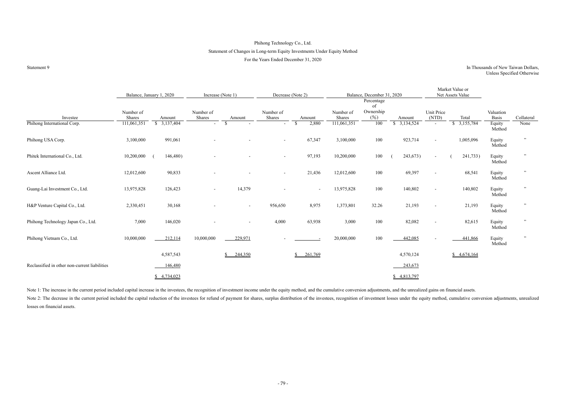### Phihong Technology Co., Ltd. Statement of Changes in Long-term Equity Investments Under Equity Method For the Years Ended December 31, 2020

#### Statement 9<br>In Thousands of New Taiwan Dollars, Unless Specified Otherwise

Market Value or

|                                               |                     | Balance, January 1, 2020    | Increase (Note 1)   |                          |                     | Decrease (Note 2)     |                     | Balance, December 31, 2020 |                    |                     | Net Assets Value   |                    |            |
|-----------------------------------------------|---------------------|-----------------------------|---------------------|--------------------------|---------------------|-----------------------|---------------------|----------------------------|--------------------|---------------------|--------------------|--------------------|------------|
|                                               |                     |                             |                     |                          |                     |                       |                     | Percentage<br>of           |                    |                     |                    |                    |            |
| Investee                                      | Number of<br>Shares | Amount                      | Number of<br>Shares | Amount                   | Number of<br>Shares | Amount                | Number of<br>Shares | Ownership<br>(%)           | Amount             | Unit Price<br>(NTD) | Total              | Valuation<br>Basis | Collateral |
| Phihong International Corp.                   | 111,061,351         | $\frac{1}{2}$ , 3, 137, 404 | $\sim$              | $\mathbb{S}$<br>$\sim$   | $\sim$              | 2,880<br>$\mathbb{S}$ | 111,061,351         | 100                        | $\sqrt{3,134,524}$ | $\sim$              | $\sqrt{3,155,784}$ | Equity<br>Method   | None       |
| Phihong USA Corp.                             | 3,100,000           | 991,061                     |                     |                          | $\sim$              | 67,347                | 3,100,000           | 100                        | 923,714            | $\sim$              | 1,005,096          | Equity<br>Method   | , ,        |
| Phitek International Co., Ltd.                | 10,200,000          | 146,480)                    |                     |                          | $\sim$              | 97,193                | 10,200,000          | 100                        | 243,673)           | $\sim$              | 241,733)           | Equity<br>Method   |            |
| Ascent Alliance Ltd.                          | 12,012,600          | 90,833                      |                     |                          | $\sim$              | 21,436                | 12,012,600          | 100                        | 69,397             |                     | 68,541             | Equity<br>Method   |            |
| Guang-Lai Investment Co., Ltd.                | 13,975,828          | 126,423                     | $\sim$              | 14,379                   |                     | $\sim$                | 13,975,828          | 100                        | 140,802            | $\sim$              | 140,802            | Equity<br>Method   |            |
| H&P Venture Capital Co., Ltd.                 | 2,330,451           | 30,168                      |                     | $\sim$                   | 956,650             | 8,975                 | 1,373,801           | 32.26                      | 21,193             |                     | 21,193             | Equity<br>Method   | , ,        |
| Phihong Technology Japan Co., Ltd.            | 7,000               | 146,020                     |                     | $\overline{\phantom{a}}$ | 4,000               | 63,938                | 3,000               | 100                        | 82,082             |                     | 82,615             | Equity<br>Method   |            |
| Phihong Vietnam Co., Ltd.                     | 10,000,000          | 212,114                     | 10,000,000          | 229,971                  |                     |                       | 20,000,000          | 100                        | 442,085            |                     | 441,866            | Equity<br>Method   |            |
|                                               |                     | 4,587,543                   |                     | 244,350<br>\$            |                     | 261,769<br>S          |                     |                            | 4,570,124          |                     | \$4,674,164        |                    |            |
| Reclassified in other non-current liabilities |                     | 146,480                     |                     |                          |                     |                       |                     |                            | 243,673            |                     |                    |                    |            |
|                                               |                     | \$4,734,023                 |                     |                          |                     |                       |                     |                            | \$4,813,797        |                     |                    |                    |            |

Note 1: The increase in the current period included capital increase in the investees, the recognition of investment income under the equity method, and the cumulative conversion adjustments, and the unrealized gains on fi Note 2: The decrease in the current period included the capital reduction of the investees for refund of payment for shares, surplus distribution of the investees, recognition of investment losses under the equity method, losses on financial assets.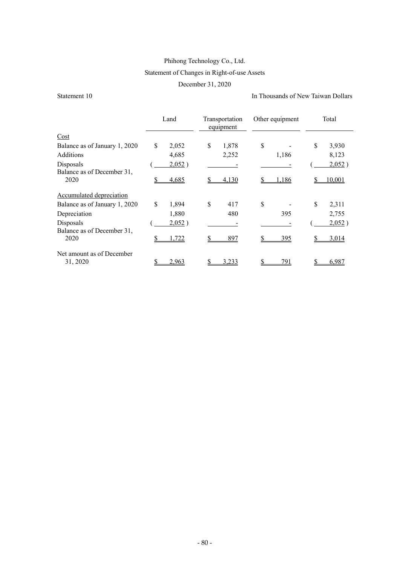### Phihong Technology Co., Ltd. Statement of Changes in Right-of-use Assets

December 31, 2020

Statement 10 In Thousands of New Taiwan Dollars

|                                         | Land        | Transportation<br>equipment | Other equipment | Total         |
|-----------------------------------------|-------------|-----------------------------|-----------------|---------------|
| Cost                                    |             |                             |                 |               |
| Balance as of January 1, 2020           | \$<br>2,052 | \$<br>1,878                 | \$              | \$<br>3,930   |
| <b>Additions</b>                        | 4,685       | 2,252                       | 1,186           | 8,123         |
| Disposals<br>Balance as of December 31, | 2,052)      |                             |                 | 2,052)        |
| 2020                                    | 4,685       | 4,130                       | .186            | <u>10.001</u> |
| Accumulated depreciation                |             |                             |                 |               |
| Balance as of January 1, 2020           | \$<br>1,894 | \$<br>417                   | \$              | \$<br>2,311   |
| Depreciation                            | 1,880       | 480                         | 395             | 2,755         |
| Disposals<br>Balance as of December 31, | 2,052)      |                             |                 | 2,052)        |
| 2020                                    | 1,722       | 897                         | <u>395</u>      | 3,014         |
| Net amount as of December<br>31, 2020   | 2,963       | 3.233                       | 791             | 6,987         |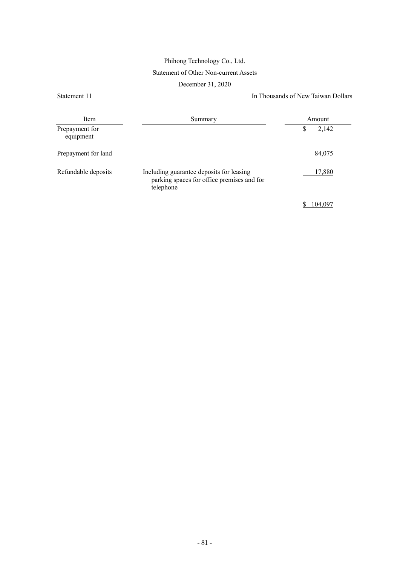## Phihong Technology Co., Ltd. Statement of Other Non-current Assets

December 31, 2020

Statement 11 In Thousands of New Taiwan Dollars

| Item                        | Summary                                                                                             | Amount     |  |
|-----------------------------|-----------------------------------------------------------------------------------------------------|------------|--|
| Prepayment for<br>equipment |                                                                                                     | 2,142<br>S |  |
| Prepayment for land         |                                                                                                     | 84,075     |  |
| Refundable deposits         | Including guarantee deposits for leasing<br>parking spaces for office premises and for<br>telephone | 17,880     |  |
|                             |                                                                                                     | 104,097    |  |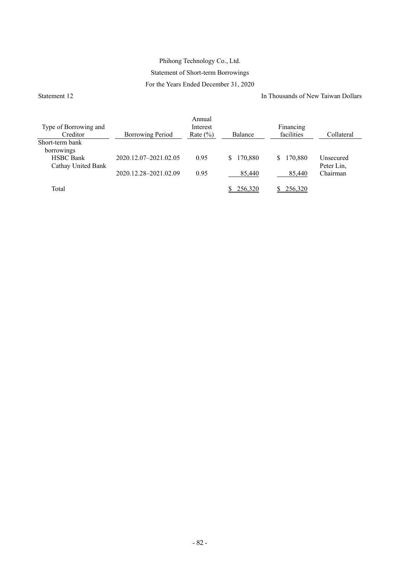### Phihong Technology Co., Ltd. Statement of Short-term Borrowings For the Years Ended December 31, 2020

Statement 12 In Thousands of New Taiwan Dollars

| Type of Borrowing and                  |                         | Annual<br>Interest |               | Financing     |                         |
|----------------------------------------|-------------------------|--------------------|---------------|---------------|-------------------------|
| Creditor                               | <b>Borrowing Period</b> | Rate $(\% )$       | Balance       | facilities    | Collateral              |
| Short-term bank<br>borrowings          |                         |                    |               |               |                         |
| <b>HSBC</b> Bank<br>Cathay United Bank | 2020.12.07-2021.02.05   | 0.95               | 170,880<br>S. | 170,880<br>S. | Unsecured<br>Peter Lin, |
|                                        | 2020.12.28-2021.02.09   | 0.95               | 85,440        | 85,440        | Chairman                |
| Total                                  |                         |                    | 256.320       | 256,320       |                         |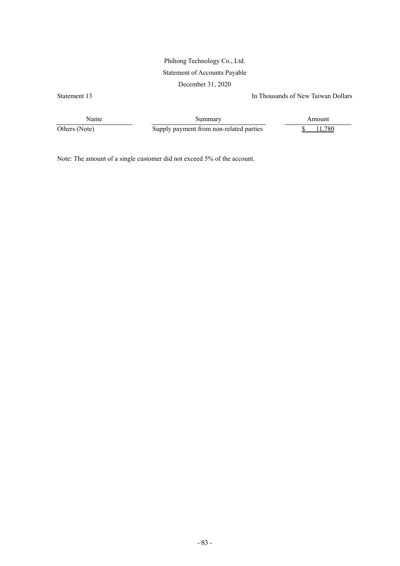### Phihong Technology Co., Ltd. Statement of Accounts Payable

December 31, 2020

Statement 13 In Thousands of New Taiwan Dollars

Name Summary Summary Amount Others (Note) Supply payment from non-related parties 5 11,780

Note: The amount of a single customer did not exceed 5% of the account.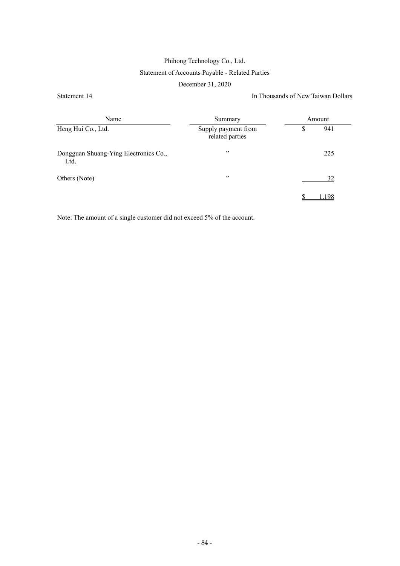### Phihong Technology Co., Ltd. Statement of Accounts Payable - Related Parties

#### December 31, 2020

Statement 14 In Thousands of New Taiwan Dollars

| Name                                          | Summary                                | Amount |     |  |  |
|-----------------------------------------------|----------------------------------------|--------|-----|--|--|
| Heng Hui Co., Ltd.                            | Supply payment from<br>related parties | \$     | 941 |  |  |
| Dongguan Shuang-Ying Electronics Co.,<br>Ltd. | , ,                                    |        | 225 |  |  |
| Others (Note)                                 | , ,                                    |        | 32  |  |  |
|                                               |                                        |        | -98 |  |  |

Note: The amount of a single customer did not exceed 5% of the account.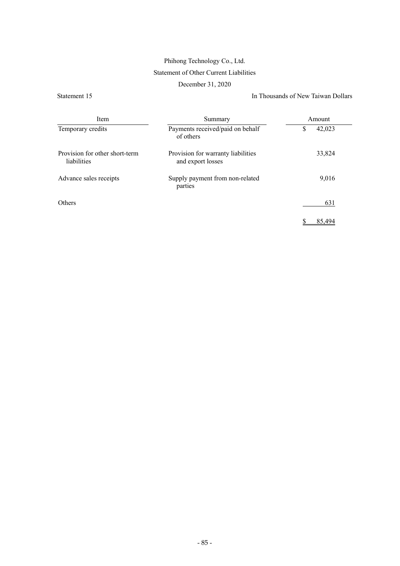# Phihong Technology Co., Ltd.

### Statement of Other Current Liabilities

December 31, 2020

Statement 15 In Thousands of New Taiwan Dollars

| Item                                          | Summary                                                 | Amount       |
|-----------------------------------------------|---------------------------------------------------------|--------------|
| Temporary credits                             | Payments received/paid on behalf<br>of others           | \$<br>42,023 |
| Provision for other short-term<br>liabilities | Provision for warranty liabilities<br>and export losses | 33,824       |
| Advance sales receipts                        | Supply payment from non-related<br>parties              | 9,016        |
| <b>Others</b>                                 |                                                         | 631          |
|                                               |                                                         |              |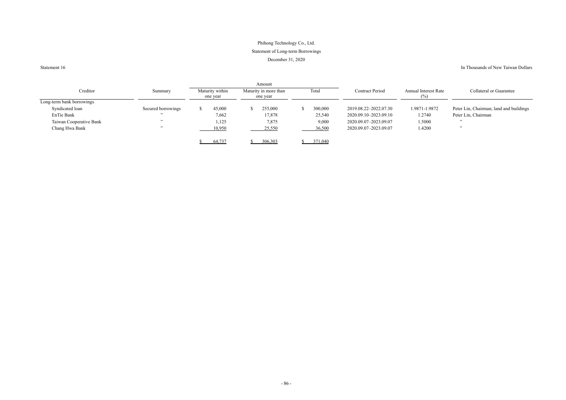### Phihong Technology Co., Ltd. Statement of Long-term Borrowings December 31, 2020

Statement 16

#### In Thousands of New Taiwan Dollars

|                           |                    |                             | Amount                            |         |                        |                                    |                                         |
|---------------------------|--------------------|-----------------------------|-----------------------------------|---------|------------------------|------------------------------------|-----------------------------------------|
| Creditor                  | Summary            | Maturity within<br>one year | Maturity in more than<br>one year | Total   | <b>Contract Period</b> | <b>Annual Interest Rate</b><br>(%) | <b>Collateral or Guarantee</b>          |
| Long-term bank borrowings |                    |                             |                                   |         |                        |                                    |                                         |
| Syndicated loan           | Secured borrowings | 45,000                      | 255,000                           | 300,000 | 2019.08.22-2022.07.30  | 1.9871-1.9872                      | Peter Lin, Chairman; land and buildings |
| EnTie Bank                | , ,                | 7,662                       | 17,878                            | 25,540  | 2020.09.10-2023.09.10  | 1.2740                             | Peter Lin, Chairman                     |
| Taiwan Cooperative Bank   | , 22               | 1,125                       | 7,875                             | 9,000   | 2020.09.07-2023.09.07  | 1.5000                             | , ,                                     |
| Chang Hwa Bank            | , 2, 3             | 10,950                      | 25,550                            | 36,500  | 2020.09.07-2023.09.07  | 1.4200                             |                                         |
|                           |                    | 64,737                      | 306,303                           | 371,040 |                        |                                    |                                         |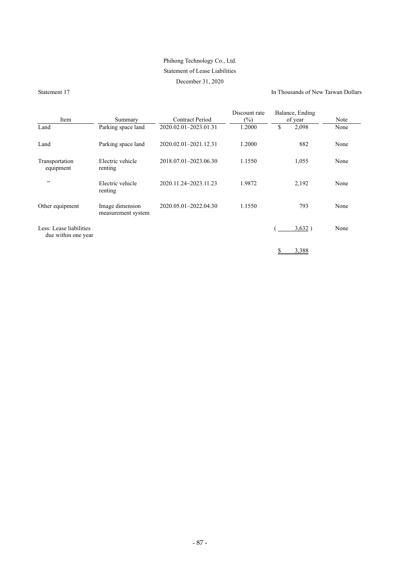### Phihong Technology Co., Ltd.

#### Statement of Lease Liabilities

#### December 31, 2020

Statement 17 In Thousands of New Taiwan Dollars

| Item                                           | Summary                               | <b>Contract Period</b> | Discount rate<br>$(\%)$ |    | Balance, Ending<br>of year | Note |
|------------------------------------------------|---------------------------------------|------------------------|-------------------------|----|----------------------------|------|
| Land                                           | Parking space land                    | 2020.02.01-2023.01.31  | 1.2000                  | \$ | 2,098                      | None |
| Land                                           | Parking space land                    | 2020.02.01-2021.12.31  | 1.2000                  |    | 882                        | None |
| Transportation<br>equipment                    | Electric vehicle<br>renting           | 2018.07.01-2023.06.30  | 1.1550                  |    | 1,055                      | None |
| , 22                                           | Electric vehicle<br>renting           | 2020.11.24~2023.11.23  | 1.9872                  |    | 2,192                      | None |
| Other equipment                                | Image dimension<br>measurement system | 2020.05.01-2022.04.30  | 1.1550                  |    | 793                        | None |
| Less: Lease liabilities<br>due within one year |                                       |                        |                         |    | 3,632)                     | None |
|                                                |                                       |                        |                         | S  | 3.388                      |      |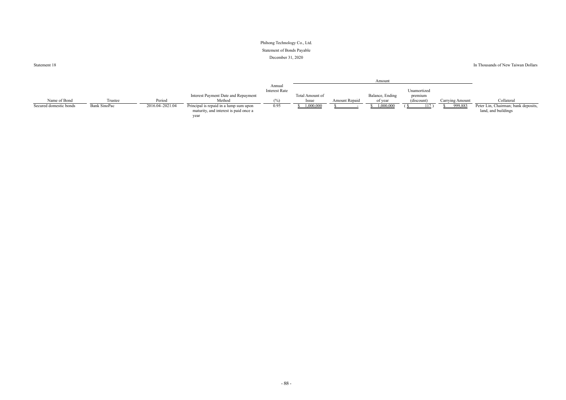### Phihong Technology Co., Ltd. Statement of Bonds Payable December 31, 2020

Statement 18

In Thousands of New Taiwan Dollars

|                        |              |                 |                                                                                         |                                |                 |               | Amount          |             |                 |                                                            |
|------------------------|--------------|-----------------|-----------------------------------------------------------------------------------------|--------------------------------|-----------------|---------------|-----------------|-------------|-----------------|------------------------------------------------------------|
|                        |              |                 |                                                                                         | Annual<br><b>Interest Rate</b> |                 |               |                 | Unamortized |                 |                                                            |
|                        |              |                 | Interest Payment Date and Repayment                                                     |                                | Total Amount of |               | Balance, Ending | premium     |                 |                                                            |
| Name of Bond           | Trustee      | Period          | Method                                                                                  |                                | Issue           | Amount Repaid | of year         | (discount)  | Carrying Amount | Collateral                                                 |
| Secured domestic bonds | Bank SinoPac | 2016.04-2021.04 | Principal is repaid in a lump sum upon<br>maturity, and interest is paid once a<br>year | 0.95                           | 000,000         |               | 1,000,000       | 117         | 999,88          | Peter Lin, Chairman; bank deposits,<br>land, and buildings |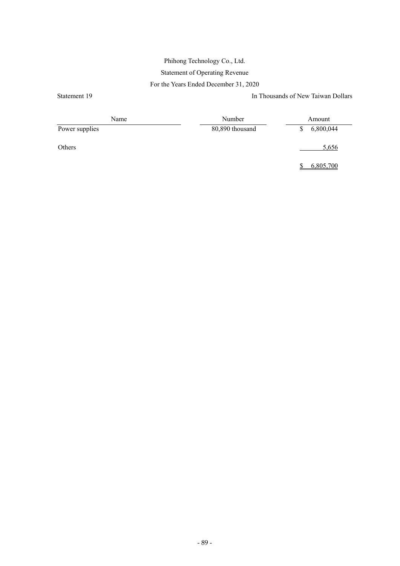### Phihong Technology Co., Ltd. Statement of Operating Revenue For the Years Ended December 31, 2020

Statement 19<br>In Thousands of New Taiwan Dollars

| Name           | Number          | Amount    |  |  |
|----------------|-----------------|-----------|--|--|
| Power supplies | 80,890 thousand | 6,800,044 |  |  |
| Others         |                 | 5,656     |  |  |

\$ 6,805,700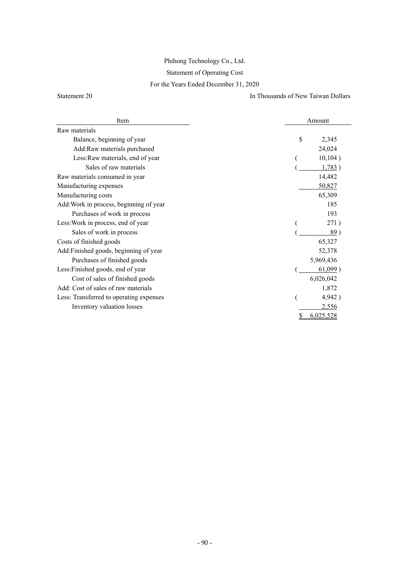## Phihong Technology Co., Ltd.

### Statement of Operating Cost

### For the Years Ended December 31, 2020

Statement 20 In Thousands of New Taiwan Dollars

| Item                                    | Amount         |  |  |  |
|-----------------------------------------|----------------|--|--|--|
| Raw materials                           |                |  |  |  |
| Balance, beginning of year              | \$<br>2,345    |  |  |  |
| Add:Raw materials purchased             | 24,024         |  |  |  |
| Less: Raw materials, end of year        | 10,104)        |  |  |  |
| Sales of raw materials                  | 1,783)         |  |  |  |
| Raw materials consumed in year          | 14,482         |  |  |  |
| Manufacturing expenses                  | 50,827         |  |  |  |
| Manufacturing costs                     | 65,309         |  |  |  |
| Add: Work in process, beginning of year | 185            |  |  |  |
| Purchases of work in process            | 193            |  |  |  |
| Less: Work in process, end of year      | 271)           |  |  |  |
| Sales of work in process                | 89)            |  |  |  |
| Costs of finished goods                 | 65,327         |  |  |  |
| Add:Finished goods, beginning of year   | 52,378         |  |  |  |
| Purchases of finished goods             | 5,969,436      |  |  |  |
| Less: Finished goods, end of year       | $61,099$ )     |  |  |  |
| Cost of sales of finished goods         | 6,026,042      |  |  |  |
| Add: Cost of sales of raw materials     | 1,872          |  |  |  |
| Less: Transferred to operating expenses | 4,942)         |  |  |  |
| Inventory valuation losses              | 2,556          |  |  |  |
|                                         | 6,025,528<br>S |  |  |  |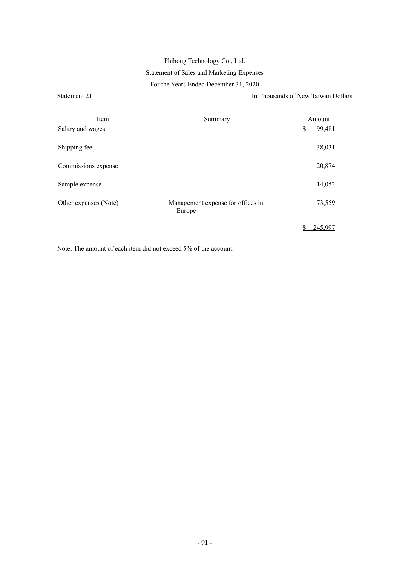### Phihong Technology Co., Ltd. Statement of Sales and Marketing Expenses For the Years Ended December 31, 2020

Statement 21 In Thousands of New Taiwan Dollars

| Item                  | Summary                                     | Amount |         |  |
|-----------------------|---------------------------------------------|--------|---------|--|
| Salary and wages      |                                             | \$     | 99,481  |  |
| Shipping fee          |                                             |        | 38,031  |  |
| Commissions expense   |                                             |        | 20,874  |  |
| Sample expense        |                                             |        | 14,052  |  |
| Other expenses (Note) | Management expense for offices in<br>Europe |        | 73,559  |  |
|                       |                                             | S      | 245,997 |  |

Note: The amount of each item did not exceed 5% of the account.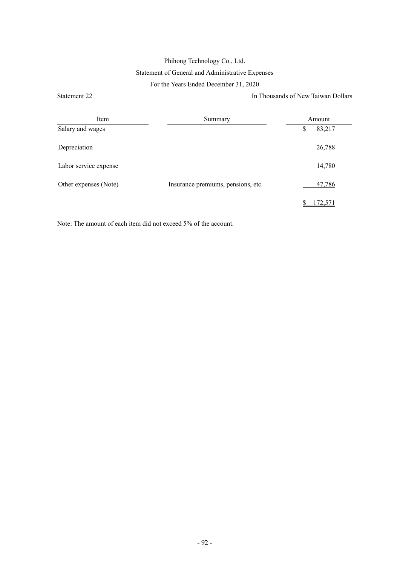### Phihong Technology Co., Ltd. Statement of General and Administrative Expenses For the Years Ended December 31, 2020

Statement 22 In Thousands of New Taiwan Dollars

| Item<br>Summary       |                                    | Amount       |  |  |
|-----------------------|------------------------------------|--------------|--|--|
| Salary and wages      |                                    | 83,217<br>\$ |  |  |
| Depreciation          |                                    | 26,788       |  |  |
| Labor service expense |                                    | 14,780       |  |  |
| Other expenses (Note) | Insurance premiums, pensions, etc. | 47,786       |  |  |
|                       |                                    | 72.57        |  |  |

Note: The amount of each item did not exceed 5% of the account.